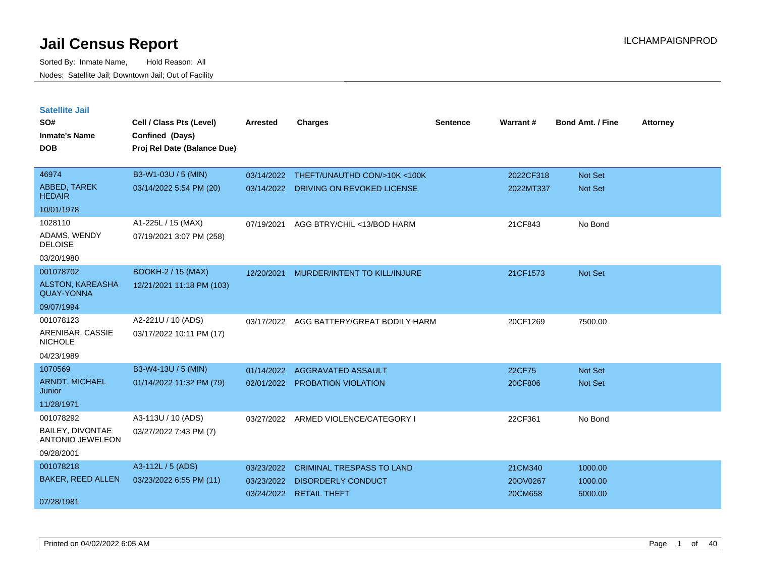| <b>Satellite Jail</b>                        |                             |            |                                  |          |           |                         |                 |
|----------------------------------------------|-----------------------------|------------|----------------------------------|----------|-----------|-------------------------|-----------------|
| SO#                                          | Cell / Class Pts (Level)    | Arrested   | <b>Charges</b>                   | Sentence | Warrant#  | <b>Bond Amt. / Fine</b> | <b>Attorney</b> |
| Inmate's Name                                | Confined (Days)             |            |                                  |          |           |                         |                 |
| <b>DOB</b>                                   | Proj Rel Date (Balance Due) |            |                                  |          |           |                         |                 |
| 46974                                        |                             |            |                                  |          |           |                         |                 |
|                                              | B3-W1-03U / 5 (MIN)         | 03/14/2022 | THEFT/UNAUTHD CON/>10K <100K     |          | 2022CF318 | <b>Not Set</b>          |                 |
| ABBED, TAREK<br><b>HEDAIR</b>                | 03/14/2022 5:54 PM (20)     | 03/14/2022 | DRIVING ON REVOKED LICENSE       |          | 2022MT337 | Not Set                 |                 |
| 10/01/1978                                   |                             |            |                                  |          |           |                         |                 |
| 1028110                                      | A1-225L / 15 (MAX)          | 07/19/2021 | AGG BTRY/CHIL <13/BOD HARM       |          | 21CF843   | No Bond                 |                 |
| ADAMS, WENDY<br><b>DELOISE</b>               | 07/19/2021 3:07 PM (258)    |            |                                  |          |           |                         |                 |
| 03/20/1980                                   |                             |            |                                  |          |           |                         |                 |
| 001078702                                    | <b>BOOKH-2 / 15 (MAX)</b>   | 12/20/2021 | MURDER/INTENT TO KILL/INJURE     |          | 21CF1573  | <b>Not Set</b>          |                 |
| <b>ALSTON, KAREASHA</b><br><b>QUAY-YONNA</b> | 12/21/2021 11:18 PM (103)   |            |                                  |          |           |                         |                 |
| 09/07/1994                                   |                             |            |                                  |          |           |                         |                 |
| 001078123                                    | A2-221U / 10 (ADS)          | 03/17/2022 | AGG BATTERY/GREAT BODILY HARM    |          | 20CF1269  | 7500.00                 |                 |
| ARENIBAR, CASSIE<br>NICHOLE                  | 03/17/2022 10:11 PM (17)    |            |                                  |          |           |                         |                 |
| 04/23/1989                                   |                             |            |                                  |          |           |                         |                 |
| 1070569                                      | B3-W4-13U / 5 (MIN)         | 01/14/2022 | AGGRAVATED ASSAULT               |          | 22CF75    | <b>Not Set</b>          |                 |
| <b>ARNDT, MICHAEL</b><br>Junior              | 01/14/2022 11:32 PM (79)    | 02/01/2022 | <b>PROBATION VIOLATION</b>       |          | 20CF806   | <b>Not Set</b>          |                 |
| 11/28/1971                                   |                             |            |                                  |          |           |                         |                 |
| 001078292                                    | A3-113U / 10 (ADS)          | 03/27/2022 | ARMED VIOLENCE/CATEGORY I        |          | 22CF361   | No Bond                 |                 |
| BAILEY, DIVONTAE<br><b>ANTONIO JEWELEON</b>  | 03/27/2022 7:43 PM (7)      |            |                                  |          |           |                         |                 |
| 09/28/2001                                   |                             |            |                                  |          |           |                         |                 |
| 001078218                                    | A3-112L / 5 (ADS)           | 03/23/2022 | <b>CRIMINAL TRESPASS TO LAND</b> |          | 21CM340   | 1000.00                 |                 |
| <b>BAKER, REED ALLEN</b>                     | 03/23/2022 6:55 PM (11)     | 03/23/2022 | <b>DISORDERLY CONDUCT</b>        |          | 20OV0267  | 1000.00                 |                 |
| 07/28/1981                                   |                             |            | 03/24/2022 RETAIL THEFT          |          | 20CM658   | 5000.00                 |                 |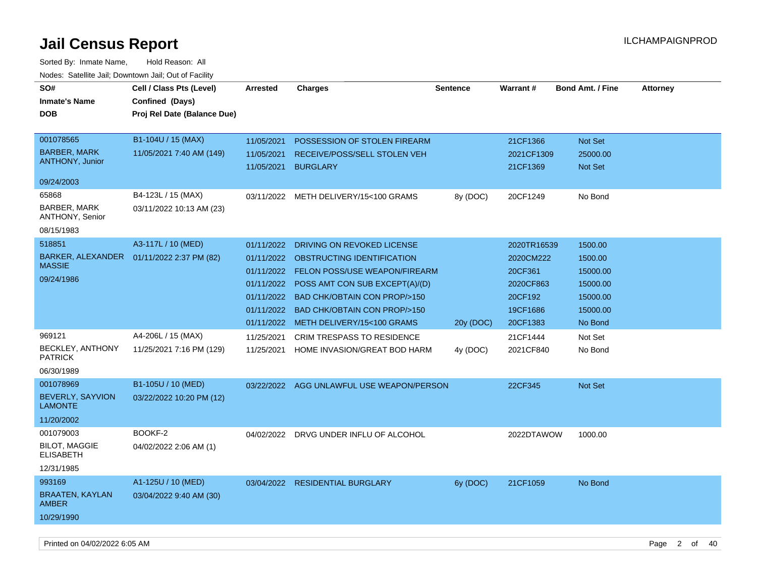| SO#                                    | Cell / Class Pts (Level)    | Arrested   | <b>Charges</b>                            | <b>Sentence</b> | Warrant#    | <b>Bond Amt. / Fine</b> | <b>Attorney</b> |
|----------------------------------------|-----------------------------|------------|-------------------------------------------|-----------------|-------------|-------------------------|-----------------|
| <b>Inmate's Name</b>                   | Confined (Days)             |            |                                           |                 |             |                         |                 |
| DOB                                    | Proj Rel Date (Balance Due) |            |                                           |                 |             |                         |                 |
|                                        |                             |            |                                           |                 |             |                         |                 |
| 001078565                              | B1-104U / 15 (MAX)          | 11/05/2021 | POSSESSION OF STOLEN FIREARM              |                 | 21CF1366    | <b>Not Set</b>          |                 |
| <b>BARBER, MARK</b>                    | 11/05/2021 7:40 AM (149)    | 11/05/2021 | RECEIVE/POSS/SELL STOLEN VEH              |                 | 2021CF1309  | 25000.00                |                 |
| ANTHONY, Junior                        |                             | 11/05/2021 | <b>BURGLARY</b>                           |                 | 21CF1369    | Not Set                 |                 |
| 09/24/2003                             |                             |            |                                           |                 |             |                         |                 |
| 65868                                  | B4-123L / 15 (MAX)          |            | 03/11/2022 METH DELIVERY/15<100 GRAMS     | 8y (DOC)        | 20CF1249    | No Bond                 |                 |
| BARBER, MARK<br>ANTHONY, Senior        | 03/11/2022 10:13 AM (23)    |            |                                           |                 |             |                         |                 |
| 08/15/1983                             |                             |            |                                           |                 |             |                         |                 |
| 518851                                 | A3-117L / 10 (MED)          | 01/11/2022 | DRIVING ON REVOKED LICENSE                |                 | 2020TR16539 | 1500.00                 |                 |
| BARKER, ALEXANDER                      | 01/11/2022 2:37 PM (82)     | 01/11/2022 | OBSTRUCTING IDENTIFICATION                |                 | 2020CM222   | 1500.00                 |                 |
| <b>MASSIE</b>                          |                             | 01/11/2022 | <b>FELON POSS/USE WEAPON/FIREARM</b>      |                 | 20CF361     | 15000.00                |                 |
| 09/24/1986                             |                             | 01/11/2022 | POSS AMT CON SUB EXCEPT(A)/(D)            |                 | 2020CF863   | 15000.00                |                 |
|                                        |                             | 01/11/2022 | <b>BAD CHK/OBTAIN CON PROP/&gt;150</b>    |                 | 20CF192     | 15000.00                |                 |
|                                        |                             | 01/11/2022 | <b>BAD CHK/OBTAIN CON PROP/&gt;150</b>    |                 | 19CF1686    | 15000.00                |                 |
|                                        |                             | 01/11/2022 | METH DELIVERY/15<100 GRAMS                | 20y (DOC)       | 20CF1383    | No Bond                 |                 |
| 969121                                 | A4-206L / 15 (MAX)          | 11/25/2021 | <b>CRIM TRESPASS TO RESIDENCE</b>         |                 | 21CF1444    | Not Set                 |                 |
| <b>BECKLEY, ANTHONY</b>                | 11/25/2021 7:16 PM (129)    | 11/25/2021 | HOME INVASION/GREAT BOD HARM              | 4y (DOC)        | 2021CF840   | No Bond                 |                 |
| <b>PATRICK</b>                         |                             |            |                                           |                 |             |                         |                 |
| 06/30/1989                             |                             |            |                                           |                 |             |                         |                 |
| 001078969                              | B1-105U / 10 (MED)          |            | 03/22/2022 AGG UNLAWFUL USE WEAPON/PERSON |                 | 22CF345     | Not Set                 |                 |
| BEVERLY, SAYVION<br><b>LAMONTE</b>     | 03/22/2022 10:20 PM (12)    |            |                                           |                 |             |                         |                 |
| 11/20/2002                             |                             |            |                                           |                 |             |                         |                 |
| 001079003                              | BOOKF-2                     |            | 04/02/2022 DRVG UNDER INFLU OF ALCOHOL    |                 | 2022DTAWOW  | 1000.00                 |                 |
| <b>BILOT, MAGGIE</b><br>ELISABETH      | 04/02/2022 2:06 AM (1)      |            |                                           |                 |             |                         |                 |
| 12/31/1985                             |                             |            |                                           |                 |             |                         |                 |
| 993169                                 | A1-125U / 10 (MED)          | 03/04/2022 | <b>RESIDENTIAL BURGLARY</b>               | 6y (DOC)        | 21CF1059    | No Bond                 |                 |
| <b>BRAATEN, KAYLAN</b><br><b>AMBER</b> | 03/04/2022 9:40 AM (30)     |            |                                           |                 |             |                         |                 |
| 10/29/1990                             |                             |            |                                           |                 |             |                         |                 |
|                                        |                             |            |                                           |                 |             |                         |                 |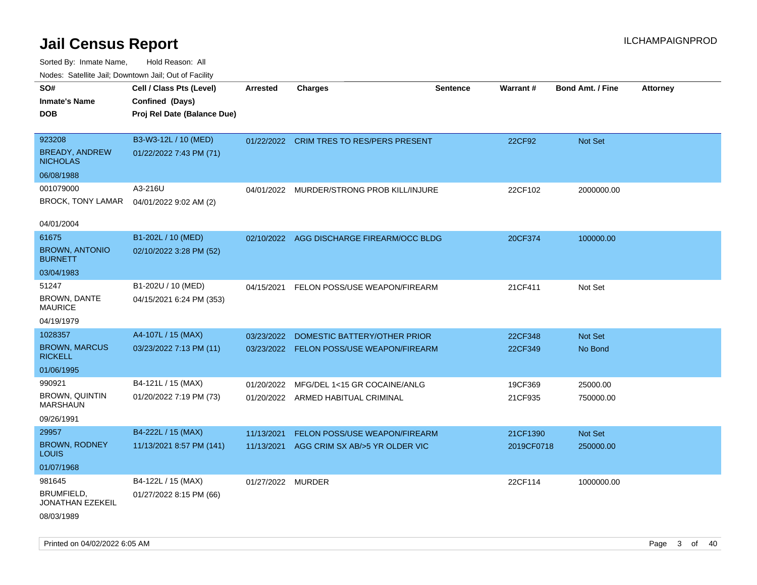| roaco. Oatomto dan, Downtown dan, Oat or Fability |                             |                   |                                           |                 |            |                         |                 |
|---------------------------------------------------|-----------------------------|-------------------|-------------------------------------------|-----------------|------------|-------------------------|-----------------|
| SO#                                               | Cell / Class Pts (Level)    | <b>Arrested</b>   | <b>Charges</b>                            | <b>Sentence</b> | Warrant#   | <b>Bond Amt. / Fine</b> | <b>Attorney</b> |
| <b>Inmate's Name</b>                              | Confined (Days)             |                   |                                           |                 |            |                         |                 |
| <b>DOB</b>                                        | Proj Rel Date (Balance Due) |                   |                                           |                 |            |                         |                 |
|                                                   |                             |                   |                                           |                 |            |                         |                 |
| 923208                                            | B3-W3-12L / 10 (MED)        |                   | 01/22/2022 CRIM TRES TO RES/PERS PRESENT  |                 | 22CF92     | Not Set                 |                 |
| BREADY, ANDREW<br><b>NICHOLAS</b>                 | 01/22/2022 7:43 PM (71)     |                   |                                           |                 |            |                         |                 |
| 06/08/1988                                        |                             |                   |                                           |                 |            |                         |                 |
| 001079000                                         | A3-216U                     |                   | 04/01/2022 MURDER/STRONG PROB KILL/INJURE |                 | 22CF102    | 2000000.00              |                 |
| BROCK, TONY LAMAR                                 | 04/01/2022 9:02 AM (2)      |                   |                                           |                 |            |                         |                 |
|                                                   |                             |                   |                                           |                 |            |                         |                 |
| 04/01/2004                                        |                             |                   |                                           |                 |            |                         |                 |
| 61675                                             | B1-202L / 10 (MED)          |                   | 02/10/2022 AGG DISCHARGE FIREARM/OCC BLDG |                 | 20CF374    | 100000.00               |                 |
| <b>BROWN, ANTONIO</b><br><b>BURNETT</b>           | 02/10/2022 3:28 PM (52)     |                   |                                           |                 |            |                         |                 |
| 03/04/1983                                        |                             |                   |                                           |                 |            |                         |                 |
| 51247                                             | B1-202U / 10 (MED)          | 04/15/2021        | FELON POSS/USE WEAPON/FIREARM             |                 | 21CF411    | Not Set                 |                 |
| <b>BROWN, DANTE</b><br><b>MAURICE</b>             | 04/15/2021 6:24 PM (353)    |                   |                                           |                 |            |                         |                 |
| 04/19/1979                                        |                             |                   |                                           |                 |            |                         |                 |
| 1028357                                           | A4-107L / 15 (MAX)          | 03/23/2022        | DOMESTIC BATTERY/OTHER PRIOR              |                 | 22CF348    | Not Set                 |                 |
| <b>BROWN, MARCUS</b><br><b>RICKELL</b>            | 03/23/2022 7:13 PM (11)     |                   | 03/23/2022 FELON POSS/USE WEAPON/FIREARM  |                 | 22CF349    | No Bond                 |                 |
| 01/06/1995                                        |                             |                   |                                           |                 |            |                         |                 |
| 990921                                            | B4-121L / 15 (MAX)          | 01/20/2022        | MFG/DEL 1<15 GR COCAINE/ANLG              |                 | 19CF369    | 25000.00                |                 |
| <b>BROWN, QUINTIN</b><br><b>MARSHAUN</b>          | 01/20/2022 7:19 PM (73)     |                   | 01/20/2022 ARMED HABITUAL CRIMINAL        |                 | 21CF935    | 750000.00               |                 |
| 09/26/1991                                        |                             |                   |                                           |                 |            |                         |                 |
| 29957                                             | B4-222L / 15 (MAX)          | 11/13/2021        | FELON POSS/USE WEAPON/FIREARM             |                 | 21CF1390   | Not Set                 |                 |
| <b>BROWN, RODNEY</b><br><b>LOUIS</b>              | 11/13/2021 8:57 PM (141)    | 11/13/2021        | AGG CRIM SX AB/>5 YR OLDER VIC            |                 | 2019CF0718 | 250000.00               |                 |
| 01/07/1968                                        |                             |                   |                                           |                 |            |                         |                 |
| 981645                                            | B4-122L / 15 (MAX)          | 01/27/2022 MURDER |                                           |                 | 22CF114    | 1000000.00              |                 |
| BRUMFIELD,<br>JONATHAN EZEKEIL                    | 01/27/2022 8:15 PM (66)     |                   |                                           |                 |            |                         |                 |
| 08/03/1989                                        |                             |                   |                                           |                 |            |                         |                 |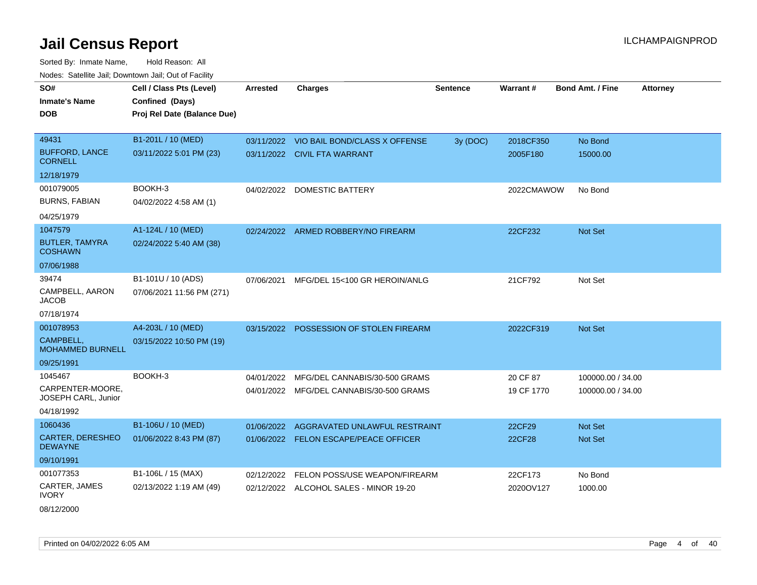Sorted By: Inmate Name, Hold Reason: All Nodes: Satellite Jail; Downtown Jail; Out of Facility

| SO#<br><b>Inmate's Name</b><br><b>DOB</b> | Cell / Class Pts (Level)<br>Confined (Days)<br>Proj Rel Date (Balance Due) | <b>Arrested</b> | <b>Charges</b>                           | <b>Sentence</b> | Warrant#   | <b>Bond Amt. / Fine</b><br><b>Attorney</b> |
|-------------------------------------------|----------------------------------------------------------------------------|-----------------|------------------------------------------|-----------------|------------|--------------------------------------------|
| 49431                                     | B1-201L / 10 (MED)                                                         |                 | 03/11/2022 VIO BAIL BOND/CLASS X OFFENSE | 3y (DOC)        | 2018CF350  | No Bond                                    |
| <b>BUFFORD, LANCE</b><br><b>CORNELL</b>   | 03/11/2022 5:01 PM (23)                                                    |                 | 03/11/2022 CIVIL FTA WARRANT             |                 | 2005F180   | 15000.00                                   |
| 12/18/1979                                |                                                                            |                 |                                          |                 |            |                                            |
| 001079005                                 | BOOKH-3                                                                    | 04/02/2022      | <b>DOMESTIC BATTERY</b>                  |                 | 2022CMAWOW | No Bond                                    |
| <b>BURNS, FABIAN</b>                      | 04/02/2022 4:58 AM (1)                                                     |                 |                                          |                 |            |                                            |
| 04/25/1979                                |                                                                            |                 |                                          |                 |            |                                            |
| 1047579                                   | A1-124L / 10 (MED)                                                         |                 | 02/24/2022 ARMED ROBBERY/NO FIREARM      |                 | 22CF232    | <b>Not Set</b>                             |
| <b>BUTLER, TAMYRA</b><br><b>COSHAWN</b>   | 02/24/2022 5:40 AM (38)                                                    |                 |                                          |                 |            |                                            |
| 07/06/1988                                |                                                                            |                 |                                          |                 |            |                                            |
| 39474                                     | B1-101U / 10 (ADS)                                                         | 07/06/2021      | MFG/DEL 15<100 GR HEROIN/ANLG            |                 | 21CF792    | Not Set                                    |
| CAMPBELL, AARON<br><b>JACOB</b>           | 07/06/2021 11:56 PM (271)                                                  |                 |                                          |                 |            |                                            |
| 07/18/1974                                |                                                                            |                 |                                          |                 |            |                                            |
| 001078953                                 | A4-203L / 10 (MED)                                                         |                 | 03/15/2022 POSSESSION OF STOLEN FIREARM  |                 | 2022CF319  | Not Set                                    |
| CAMPBELL,<br><b>MOHAMMED BURNELL</b>      | 03/15/2022 10:50 PM (19)                                                   |                 |                                          |                 |            |                                            |
| 09/25/1991                                |                                                                            |                 |                                          |                 |            |                                            |
| 1045467                                   | BOOKH-3                                                                    | 04/01/2022      | MFG/DEL CANNABIS/30-500 GRAMS            |                 | 20 CF 87   | 100000.00 / 34.00                          |
| CARPENTER-MOORE.<br>JOSEPH CARL, Junior   |                                                                            |                 | 04/01/2022 MFG/DEL CANNABIS/30-500 GRAMS |                 | 19 CF 1770 | 100000.00 / 34.00                          |
| 04/18/1992                                |                                                                            |                 |                                          |                 |            |                                            |
| 1060436                                   | B1-106U / 10 (MED)                                                         | 01/06/2022      | AGGRAVATED UNLAWFUL RESTRAINT            |                 | 22CF29     | Not Set                                    |
| <b>CARTER, DERESHEO</b><br><b>DEWAYNE</b> | 01/06/2022 8:43 PM (87)                                                    |                 | 01/06/2022 FELON ESCAPE/PEACE OFFICER    |                 | 22CF28     | <b>Not Set</b>                             |
| 09/10/1991                                |                                                                            |                 |                                          |                 |            |                                            |
| 001077353                                 | B1-106L / 15 (MAX)                                                         | 02/12/2022      | FELON POSS/USE WEAPON/FIREARM            |                 | 22CF173    | No Bond                                    |
| CARTER, JAMES<br><b>IVORY</b>             | 02/13/2022 1:19 AM (49)                                                    |                 | 02/12/2022 ALCOHOL SALES - MINOR 19-20   |                 | 2020OV127  | 1000.00                                    |

08/12/2000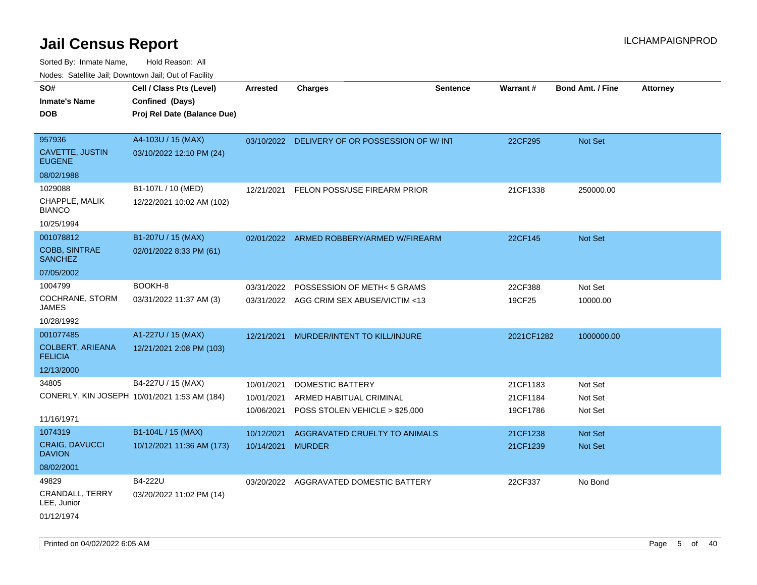| rougs. Calcinic Jan, Downtown Jan, Out of Facility |                                              |                   |                                                |                 |                 |                         |                 |
|----------------------------------------------------|----------------------------------------------|-------------------|------------------------------------------------|-----------------|-----------------|-------------------------|-----------------|
| SO#                                                | Cell / Class Pts (Level)                     | <b>Arrested</b>   | <b>Charges</b>                                 | <b>Sentence</b> | <b>Warrant#</b> | <b>Bond Amt. / Fine</b> | <b>Attorney</b> |
| <b>Inmate's Name</b>                               | Confined (Days)                              |                   |                                                |                 |                 |                         |                 |
| <b>DOB</b>                                         | Proj Rel Date (Balance Due)                  |                   |                                                |                 |                 |                         |                 |
|                                                    |                                              |                   |                                                |                 |                 |                         |                 |
| 957936                                             | A4-103U / 15 (MAX)                           |                   | 03/10/2022 DELIVERY OF OR POSSESSION OF W/ INT |                 | 22CF295         | Not Set                 |                 |
| CAVETTE, JUSTIN<br><b>EUGENE</b>                   | 03/10/2022 12:10 PM (24)                     |                   |                                                |                 |                 |                         |                 |
| 08/02/1988                                         |                                              |                   |                                                |                 |                 |                         |                 |
| 1029088                                            | B1-107L / 10 (MED)                           | 12/21/2021        | FELON POSS/USE FIREARM PRIOR                   |                 | 21CF1338        | 250000.00               |                 |
| CHAPPLE, MALIK<br><b>BIANCO</b>                    | 12/22/2021 10:02 AM (102)                    |                   |                                                |                 |                 |                         |                 |
| 10/25/1994                                         |                                              |                   |                                                |                 |                 |                         |                 |
| 001078812                                          | B1-207U / 15 (MAX)                           |                   | 02/01/2022 ARMED ROBBERY/ARMED W/FIREARM       |                 | 22CF145         | <b>Not Set</b>          |                 |
| <b>COBB, SINTRAE</b><br><b>SANCHEZ</b>             | 02/01/2022 8:33 PM (61)                      |                   |                                                |                 |                 |                         |                 |
| 07/05/2002                                         |                                              |                   |                                                |                 |                 |                         |                 |
| 1004799                                            | BOOKH-8                                      | 03/31/2022        | POSSESSION OF METH< 5 GRAMS                    |                 | 22CF388         | Not Set                 |                 |
| COCHRANE, STORM<br>JAMES                           | 03/31/2022 11:37 AM (3)                      |                   | 03/31/2022 AGG CRIM SEX ABUSE/VICTIM <13       |                 | 19CF25          | 10000.00                |                 |
| 10/28/1992                                         |                                              |                   |                                                |                 |                 |                         |                 |
| 001077485                                          | A1-227U / 15 (MAX)                           | 12/21/2021        | MURDER/INTENT TO KILL/INJURE                   |                 | 2021CF1282      | 1000000.00              |                 |
| <b>COLBERT, ARIEANA</b><br><b>FELICIA</b>          | 12/21/2021 2:08 PM (103)                     |                   |                                                |                 |                 |                         |                 |
| 12/13/2000                                         |                                              |                   |                                                |                 |                 |                         |                 |
| 34805                                              | B4-227U / 15 (MAX)                           | 10/01/2021        | DOMESTIC BATTERY                               |                 | 21CF1183        | Not Set                 |                 |
|                                                    | CONERLY, KIN JOSEPH 10/01/2021 1:53 AM (184) | 10/01/2021        | ARMED HABITUAL CRIMINAL                        |                 | 21CF1184        | Not Set                 |                 |
|                                                    |                                              | 10/06/2021        | POSS STOLEN VEHICLE > \$25,000                 |                 | 19CF1786        | Not Set                 |                 |
| 11/16/1971                                         |                                              |                   |                                                |                 |                 |                         |                 |
| 1074319                                            | B1-104L / 15 (MAX)                           | 10/12/2021        | AGGRAVATED CRUELTY TO ANIMALS                  |                 | 21CF1238        | <b>Not Set</b>          |                 |
| <b>CRAIG, DAVUCCI</b><br><b>DAVION</b>             | 10/12/2021 11:36 AM (173)                    | 10/14/2021 MURDER |                                                |                 | 21CF1239        | <b>Not Set</b>          |                 |
| 08/02/2001                                         |                                              |                   |                                                |                 |                 |                         |                 |
| 49829                                              | B4-222U                                      |                   | 03/20/2022 AGGRAVATED DOMESTIC BATTERY         |                 | 22CF337         | No Bond                 |                 |
| <b>CRANDALL, TERRY</b><br>LEE, Junior              | 03/20/2022 11:02 PM (14)                     |                   |                                                |                 |                 |                         |                 |
| 01/12/1974                                         |                                              |                   |                                                |                 |                 |                         |                 |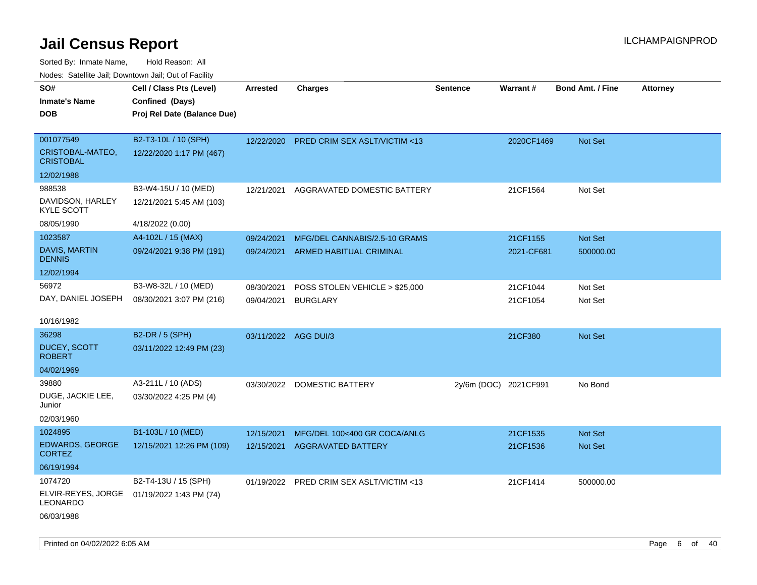Sorted By: Inmate Name, Hold Reason: All Nodes: Satellite Jail; Downtown Jail; Out of Facility

| Nudes. Satellite Jali, Downtown Jali, Out of Facility |                             |                      |                                          |                       |            |                         |                 |
|-------------------------------------------------------|-----------------------------|----------------------|------------------------------------------|-----------------------|------------|-------------------------|-----------------|
| SO#                                                   | Cell / Class Pts (Level)    | Arrested             | <b>Charges</b>                           | <b>Sentence</b>       | Warrant#   | <b>Bond Amt. / Fine</b> | <b>Attorney</b> |
| <b>Inmate's Name</b>                                  | Confined (Days)             |                      |                                          |                       |            |                         |                 |
| <b>DOB</b>                                            | Proj Rel Date (Balance Due) |                      |                                          |                       |            |                         |                 |
|                                                       |                             |                      |                                          |                       |            |                         |                 |
| 001077549                                             | B2-T3-10L / 10 (SPH)        | 12/22/2020           | PRED CRIM SEX ASLT/VICTIM <13            |                       | 2020CF1469 | Not Set                 |                 |
| CRISTOBAL-MATEO,<br><b>CRISTOBAL</b>                  | 12/22/2020 1:17 PM (467)    |                      |                                          |                       |            |                         |                 |
| 12/02/1988                                            |                             |                      |                                          |                       |            |                         |                 |
| 988538                                                | B3-W4-15U / 10 (MED)        | 12/21/2021           | AGGRAVATED DOMESTIC BATTERY              |                       | 21CF1564   | Not Set                 |                 |
| DAVIDSON, HARLEY<br>KYLE SCOTT                        | 12/21/2021 5:45 AM (103)    |                      |                                          |                       |            |                         |                 |
| 08/05/1990                                            | 4/18/2022 (0.00)            |                      |                                          |                       |            |                         |                 |
| 1023587                                               | A4-102L / 15 (MAX)          | 09/24/2021           | MFG/DEL CANNABIS/2.5-10 GRAMS            |                       | 21CF1155   | <b>Not Set</b>          |                 |
| DAVIS, MARTIN<br><b>DENNIS</b>                        | 09/24/2021 9:38 PM (191)    | 09/24/2021           | ARMED HABITUAL CRIMINAL                  |                       | 2021-CF681 | 500000.00               |                 |
| 12/02/1994                                            |                             |                      |                                          |                       |            |                         |                 |
| 56972                                                 | B3-W8-32L / 10 (MED)        | 08/30/2021           | POSS STOLEN VEHICLE > \$25,000           |                       | 21CF1044   | Not Set                 |                 |
| DAY, DANIEL JOSEPH                                    | 08/30/2021 3:07 PM (216)    | 09/04/2021           | <b>BURGLARY</b>                          |                       | 21CF1054   | Not Set                 |                 |
|                                                       |                             |                      |                                          |                       |            |                         |                 |
| 10/16/1982                                            |                             |                      |                                          |                       |            |                         |                 |
| 36298                                                 | B2-DR / 5 (SPH)             | 03/11/2022 AGG DUI/3 |                                          |                       | 21CF380    | Not Set                 |                 |
| DUCEY, SCOTT<br><b>ROBERT</b>                         | 03/11/2022 12:49 PM (23)    |                      |                                          |                       |            |                         |                 |
| 04/02/1969                                            |                             |                      |                                          |                       |            |                         |                 |
| 39880                                                 | A3-211L / 10 (ADS)          |                      | 03/30/2022 DOMESTIC BATTERY              | 2y/6m (DOC) 2021CF991 |            | No Bond                 |                 |
| DUGE, JACKIE LEE,<br>Junior                           | 03/30/2022 4:25 PM (4)      |                      |                                          |                       |            |                         |                 |
| 02/03/1960                                            |                             |                      |                                          |                       |            |                         |                 |
| 1024895                                               | B1-103L / 10 (MED)          | 12/15/2021           | MFG/DEL 100<400 GR COCA/ANLG             |                       | 21CF1535   | <b>Not Set</b>          |                 |
| <b>EDWARDS, GEORGE</b><br><b>CORTEZ</b>               | 12/15/2021 12:26 PM (109)   | 12/15/2021           | <b>AGGRAVATED BATTERY</b>                |                       | 21CF1536   | <b>Not Set</b>          |                 |
| 06/19/1994                                            |                             |                      |                                          |                       |            |                         |                 |
| 1074720                                               | B2-T4-13U / 15 (SPH)        |                      | 01/19/2022 PRED CRIM SEX ASLT/VICTIM <13 |                       | 21CF1414   | 500000.00               |                 |
| ELVIR-REYES, JORGE<br>LEONARDO                        | 01/19/2022 1:43 PM (74)     |                      |                                          |                       |            |                         |                 |
| 06/03/1988                                            |                             |                      |                                          |                       |            |                         |                 |

Printed on 04/02/2022 6:05 AM Page 6 of 40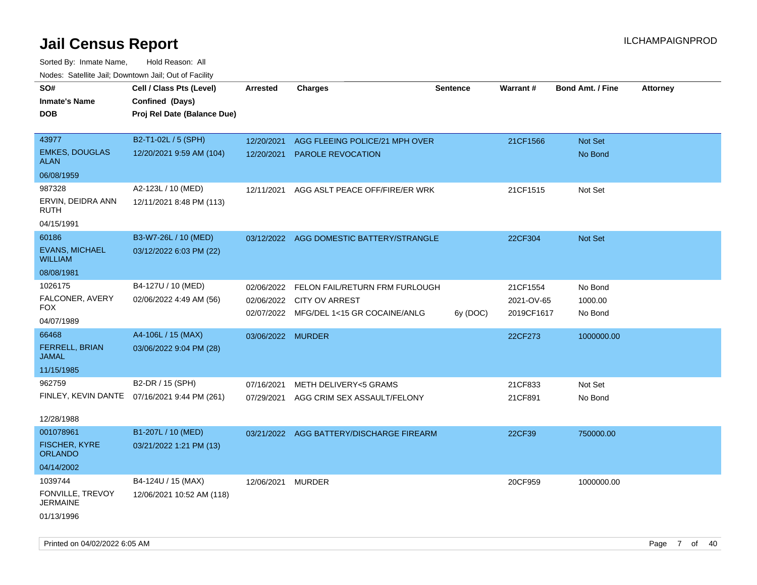| SO#                                     | Cell / Class Pts (Level)                     | <b>Arrested</b>   | <b>Charges</b>                            | <b>Sentence</b> | Warrant#   | <b>Bond Amt. / Fine</b> | <b>Attorney</b> |
|-----------------------------------------|----------------------------------------------|-------------------|-------------------------------------------|-----------------|------------|-------------------------|-----------------|
| <b>Inmate's Name</b>                    | Confined (Days)                              |                   |                                           |                 |            |                         |                 |
| <b>DOB</b>                              | Proj Rel Date (Balance Due)                  |                   |                                           |                 |            |                         |                 |
|                                         |                                              |                   |                                           |                 |            |                         |                 |
| 43977                                   | B2-T1-02L / 5 (SPH)                          | 12/20/2021        | AGG FLEEING POLICE/21 MPH OVER            |                 | 21CF1566   | <b>Not Set</b>          |                 |
| <b>EMKES, DOUGLAS</b><br>ALAN           | 12/20/2021 9:59 AM (104)                     | 12/20/2021        | PAROLE REVOCATION                         |                 |            | No Bond                 |                 |
| 06/08/1959                              |                                              |                   |                                           |                 |            |                         |                 |
| 987328                                  | A2-123L / 10 (MED)                           | 12/11/2021        | AGG ASLT PEACE OFF/FIRE/ER WRK            |                 | 21CF1515   | Not Set                 |                 |
| ERVIN, DEIDRA ANN<br><b>RUTH</b>        | 12/11/2021 8:48 PM (113)                     |                   |                                           |                 |            |                         |                 |
| 04/15/1991                              |                                              |                   |                                           |                 |            |                         |                 |
| 60186                                   | B3-W7-26L / 10 (MED)                         |                   | 03/12/2022 AGG DOMESTIC BATTERY/STRANGLE  |                 | 22CF304    | Not Set                 |                 |
| <b>EVANS, MICHAEL</b><br><b>WILLIAM</b> | 03/12/2022 6:03 PM (22)                      |                   |                                           |                 |            |                         |                 |
| 08/08/1981                              |                                              |                   |                                           |                 |            |                         |                 |
| 1026175                                 | B4-127U / 10 (MED)                           |                   | 02/06/2022 FELON FAIL/RETURN FRM FURLOUGH |                 | 21CF1554   | No Bond                 |                 |
| FALCONER, AVERY                         | 02/06/2022 4:49 AM (56)                      | 02/06/2022        | CITY OV ARREST                            |                 | 2021-OV-65 | 1000.00                 |                 |
| FOX.                                    |                                              |                   | 02/07/2022 MFG/DEL 1<15 GR COCAINE/ANLG   | 6y (DOC)        | 2019CF1617 | No Bond                 |                 |
| 04/07/1989                              |                                              |                   |                                           |                 |            |                         |                 |
| 66468                                   | A4-106L / 15 (MAX)                           | 03/06/2022 MURDER |                                           |                 | 22CF273    | 1000000.00              |                 |
| FERRELL, BRIAN<br>JAMAL                 | 03/06/2022 9:04 PM (28)                      |                   |                                           |                 |            |                         |                 |
| 11/15/1985                              |                                              |                   |                                           |                 |            |                         |                 |
| 962759                                  | B2-DR / 15 (SPH)                             | 07/16/2021        | <b>METH DELIVERY&lt;5 GRAMS</b>           |                 | 21CF833    | Not Set                 |                 |
|                                         | FINLEY, KEVIN DANTE 07/16/2021 9:44 PM (261) | 07/29/2021        | AGG CRIM SEX ASSAULT/FELONY               |                 | 21CF891    | No Bond                 |                 |
|                                         |                                              |                   |                                           |                 |            |                         |                 |
| 12/28/1988                              |                                              |                   |                                           |                 |            |                         |                 |
| 001078961                               | B1-207L / 10 (MED)                           |                   | 03/21/2022 AGG BATTERY/DISCHARGE FIREARM  |                 | 22CF39     | 750000.00               |                 |
| <b>FISCHER, KYRE</b><br><b>ORLANDO</b>  | 03/21/2022 1:21 PM (13)                      |                   |                                           |                 |            |                         |                 |
| 04/14/2002                              |                                              |                   |                                           |                 |            |                         |                 |
| 1039744                                 | B4-124U / 15 (MAX)                           | 12/06/2021 MURDER |                                           |                 | 20CF959    | 1000000.00              |                 |
| FONVILLE, TREVOY<br>JERMAINE            | 12/06/2021 10:52 AM (118)                    |                   |                                           |                 |            |                         |                 |
| 01/13/1996                              |                                              |                   |                                           |                 |            |                         |                 |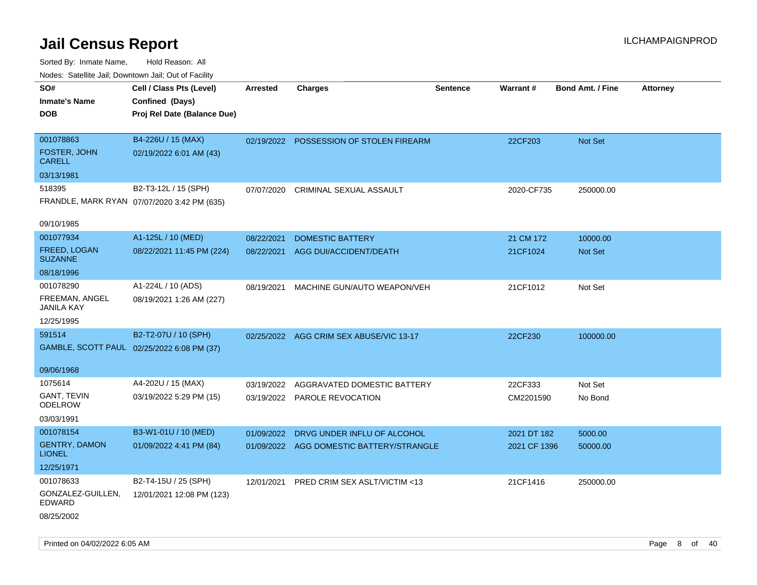| Noues. Salemie Jan, Downlown Jan, Out of Facility |                                             |            |                                          |                 |              |                         |          |
|---------------------------------------------------|---------------------------------------------|------------|------------------------------------------|-----------------|--------------|-------------------------|----------|
| SO#                                               | Cell / Class Pts (Level)                    | Arrested   | <b>Charges</b>                           | <b>Sentence</b> | Warrant#     | <b>Bond Amt. / Fine</b> | Attorney |
| <b>Inmate's Name</b>                              | Confined (Days)                             |            |                                          |                 |              |                         |          |
| <b>DOB</b>                                        | Proj Rel Date (Balance Due)                 |            |                                          |                 |              |                         |          |
|                                                   |                                             |            |                                          |                 |              |                         |          |
| 001078863                                         | B4-226U / 15 (MAX)                          |            | 02/19/2022 POSSESSION OF STOLEN FIREARM  |                 | 22CF203      | Not Set                 |          |
| <b>FOSTER, JOHN</b><br><b>CARELL</b>              | 02/19/2022 6:01 AM (43)                     |            |                                          |                 |              |                         |          |
| 03/13/1981                                        |                                             |            |                                          |                 |              |                         |          |
| 518395                                            | B2-T3-12L / 15 (SPH)                        | 07/07/2020 | CRIMINAL SEXUAL ASSAULT                  |                 | 2020-CF735   | 250000.00               |          |
|                                                   | FRANDLE, MARK RYAN 07/07/2020 3:42 PM (635) |            |                                          |                 |              |                         |          |
|                                                   |                                             |            |                                          |                 |              |                         |          |
| 09/10/1985                                        |                                             |            |                                          |                 |              |                         |          |
| 001077934                                         | A1-125L / 10 (MED)                          | 08/22/2021 | <b>DOMESTIC BATTERY</b>                  |                 | 21 CM 172    | 10000.00                |          |
| FREED, LOGAN<br><b>SUZANNE</b>                    | 08/22/2021 11:45 PM (224)                   | 08/22/2021 | <b>AGG DUI/ACCIDENT/DEATH</b>            |                 | 21CF1024     | <b>Not Set</b>          |          |
| 08/18/1996                                        |                                             |            |                                          |                 |              |                         |          |
| 001078290                                         | A1-224L / 10 (ADS)                          | 08/19/2021 | MACHINE GUN/AUTO WEAPON/VEH              |                 | 21CF1012     | Not Set                 |          |
| FREEMAN, ANGEL<br>JANILA KAY                      | 08/19/2021 1:26 AM (227)                    |            |                                          |                 |              |                         |          |
| 12/25/1995                                        |                                             |            |                                          |                 |              |                         |          |
| 591514                                            | B2-T2-07U / 10 (SPH)                        |            | 02/25/2022 AGG CRIM SEX ABUSE/VIC 13-17  |                 | 22CF230      | 100000.00               |          |
|                                                   | GAMBLE, SCOTT PAUL 02/25/2022 6:08 PM (37)  |            |                                          |                 |              |                         |          |
|                                                   |                                             |            |                                          |                 |              |                         |          |
| 09/06/1968                                        |                                             |            |                                          |                 |              |                         |          |
| 1075614                                           | A4-202U / 15 (MAX)                          | 03/19/2022 | AGGRAVATED DOMESTIC BATTERY              |                 | 22CF333      | Not Set                 |          |
| <b>GANT, TEVIN</b><br><b>ODELROW</b>              | 03/19/2022 5:29 PM (15)                     |            | 03/19/2022 PAROLE REVOCATION             |                 | CM2201590    | No Bond                 |          |
| 03/03/1991                                        |                                             |            |                                          |                 |              |                         |          |
| 001078154                                         | B3-W1-01U / 10 (MED)                        | 01/09/2022 | DRVG UNDER INFLU OF ALCOHOL              |                 | 2021 DT 182  | 5000.00                 |          |
| <b>GENTRY, DAMON</b><br><b>LIONEL</b>             | 01/09/2022 4:41 PM (84)                     |            | 01/09/2022 AGG DOMESTIC BATTERY/STRANGLE |                 | 2021 CF 1396 | 50000.00                |          |
| 12/25/1971                                        |                                             |            |                                          |                 |              |                         |          |
| 001078633                                         | B2-T4-15U / 25 (SPH)                        |            | 12/01/2021 PRED CRIM SEX ASLT/VICTIM <13 |                 | 21CF1416     | 250000.00               |          |
| GONZALEZ-GUILLEN,<br>EDWARD                       | 12/01/2021 12:08 PM (123)                   |            |                                          |                 |              |                         |          |
| 08/25/2002                                        |                                             |            |                                          |                 |              |                         |          |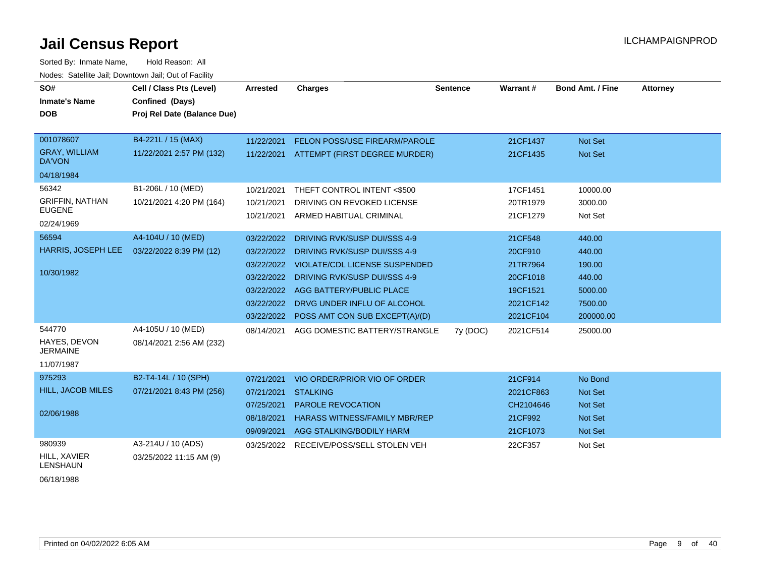Sorted By: Inmate Name, Hold Reason: All Nodes: Satellite Jail; Downtown Jail; Out of Facility

| SO#<br><b>Inmate's Name</b><br><b>DOB</b>        | Cell / Class Pts (Level)<br><b>Confined (Days)</b><br>Proj Rel Date (Balance Due) | Arrested   | <b>Charges</b>                            | <b>Sentence</b> | Warrant#  | <b>Bond Amt. / Fine</b> | <b>Attorney</b> |
|--------------------------------------------------|-----------------------------------------------------------------------------------|------------|-------------------------------------------|-----------------|-----------|-------------------------|-----------------|
|                                                  |                                                                                   |            |                                           |                 |           |                         |                 |
| 001078607                                        | B4-221L / 15 (MAX)                                                                | 11/22/2021 | FELON POSS/USE FIREARM/PAROLE             |                 | 21CF1437  | Not Set                 |                 |
| <b>GRAY, WILLIAM</b><br><b>DA'VON</b>            | 11/22/2021 2:57 PM (132)                                                          | 11/22/2021 | ATTEMPT (FIRST DEGREE MURDER)             |                 | 21CF1435  | <b>Not Set</b>          |                 |
| 04/18/1984                                       |                                                                                   |            |                                           |                 |           |                         |                 |
| 56342                                            | B1-206L / 10 (MED)                                                                | 10/21/2021 | THEFT CONTROL INTENT <\$500               |                 | 17CF1451  | 10000.00                |                 |
| <b>GRIFFIN, NATHAN</b><br><b>EUGENE</b>          | 10/21/2021 4:20 PM (164)                                                          | 10/21/2021 | DRIVING ON REVOKED LICENSE                |                 | 20TR1979  | 3000.00                 |                 |
| 02/24/1969                                       |                                                                                   | 10/21/2021 | ARMED HABITUAL CRIMINAL                   |                 | 21CF1279  | Not Set                 |                 |
| 56594                                            | A4-104U / 10 (MED)                                                                | 03/22/2022 | DRIVING RVK/SUSP DUI/SSS 4-9              |                 | 21CF548   | 440.00                  |                 |
| HARRIS, JOSEPH LEE                               | 03/22/2022 8:39 PM (12)                                                           | 03/22/2022 | DRIVING RVK/SUSP DUI/SSS 4-9              |                 | 20CF910   | 440.00                  |                 |
| 10/30/1982                                       |                                                                                   | 03/22/2022 | <b>VIOLATE/CDL LICENSE SUSPENDED</b>      |                 | 21TR7964  | 190.00                  |                 |
|                                                  |                                                                                   | 03/22/2022 | DRIVING RVK/SUSP DUI/SSS 4-9              |                 | 20CF1018  | 440.00                  |                 |
|                                                  |                                                                                   | 03/22/2022 | AGG BATTERY/PUBLIC PLACE                  |                 | 19CF1521  | 5000.00                 |                 |
|                                                  |                                                                                   | 03/22/2022 | DRVG UNDER INFLU OF ALCOHOL               |                 | 2021CF142 | 7500.00                 |                 |
|                                                  |                                                                                   |            | 03/22/2022 POSS AMT CON SUB EXCEPT(A)/(D) |                 | 2021CF104 | 200000.00               |                 |
| 544770<br><b>HAYES, DEVON</b><br><b>JERMAINE</b> | A4-105U / 10 (MED)<br>08/14/2021 2:56 AM (232)                                    | 08/14/2021 | AGG DOMESTIC BATTERY/STRANGLE             | 7y (DOC)        | 2021CF514 | 25000.00                |                 |
| 11/07/1987                                       |                                                                                   |            |                                           |                 |           |                         |                 |
| 975293                                           | B2-T4-14L / 10 (SPH)                                                              | 07/21/2021 | VIO ORDER/PRIOR VIO OF ORDER              |                 | 21CF914   | No Bond                 |                 |
| <b>HILL, JACOB MILES</b>                         | 07/21/2021 8:43 PM (256)                                                          | 07/21/2021 | <b>STALKING</b>                           |                 | 2021CF863 | <b>Not Set</b>          |                 |
| 02/06/1988                                       |                                                                                   | 07/25/2021 | <b>PAROLE REVOCATION</b>                  |                 | CH2104646 | <b>Not Set</b>          |                 |
|                                                  |                                                                                   | 08/18/2021 | <b>HARASS WITNESS/FAMILY MBR/REP</b>      |                 | 21CF992   | <b>Not Set</b>          |                 |
|                                                  |                                                                                   | 09/09/2021 | AGG STALKING/BODILY HARM                  |                 | 21CF1073  | <b>Not Set</b>          |                 |
| 980939<br>HILL, XAVIER<br><b>LENSHAUN</b>        | A3-214U / 10 (ADS)<br>03/25/2022 11:15 AM (9)                                     | 03/25/2022 | RECEIVE/POSS/SELL STOLEN VEH              |                 | 22CF357   | Not Set                 |                 |

06/18/1988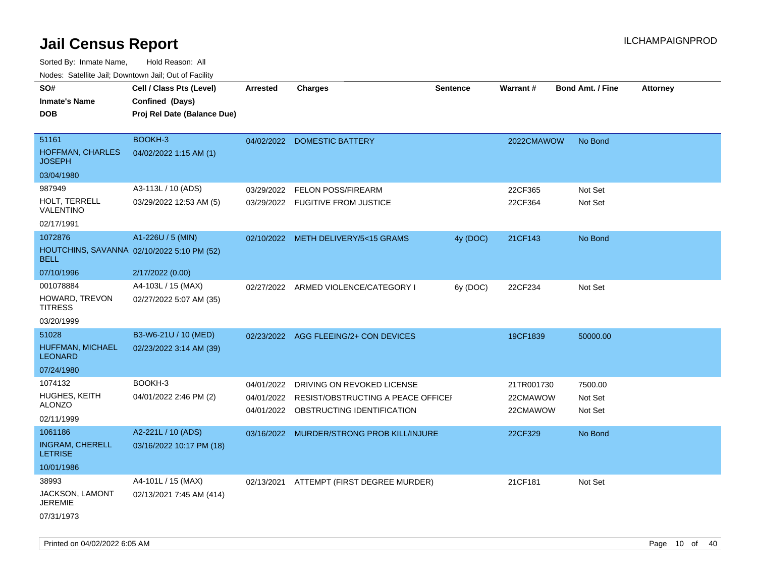Sorted By: Inmate Name, Hold Reason: All

| Nodes: Satellite Jail; Downtown Jail; Out of Facility |                                            |                 |                                           |          |                 |                         |                 |
|-------------------------------------------------------|--------------------------------------------|-----------------|-------------------------------------------|----------|-----------------|-------------------------|-----------------|
| SO#                                                   | Cell / Class Pts (Level)                   | <b>Arrested</b> | <b>Charges</b>                            | Sentence | <b>Warrant#</b> | <b>Bond Amt. / Fine</b> | <b>Attorney</b> |
| <b>Inmate's Name</b>                                  | Confined (Days)                            |                 |                                           |          |                 |                         |                 |
| <b>DOB</b>                                            | Proj Rel Date (Balance Due)                |                 |                                           |          |                 |                         |                 |
|                                                       |                                            |                 |                                           |          |                 |                         |                 |
| 51161                                                 | BOOKH-3                                    |                 | 04/02/2022 DOMESTIC BATTERY               |          | 2022CMAWOW      | No Bond                 |                 |
| HOFFMAN, CHARLES<br><b>JOSEPH</b>                     | 04/02/2022 1:15 AM (1)                     |                 |                                           |          |                 |                         |                 |
| 03/04/1980                                            |                                            |                 |                                           |          |                 |                         |                 |
| 987949                                                | A3-113L / 10 (ADS)                         | 03/29/2022      | FELON POSS/FIREARM                        |          | 22CF365         | Not Set                 |                 |
| HOLT, TERRELL<br><b>VALENTINO</b>                     | 03/29/2022 12:53 AM (5)                    |                 | 03/29/2022 FUGITIVE FROM JUSTICE          |          | 22CF364         | Not Set                 |                 |
| 02/17/1991                                            |                                            |                 |                                           |          |                 |                         |                 |
| 1072876                                               | A1-226U / 5 (MIN)                          |                 | 02/10/2022 METH DELIVERY/5<15 GRAMS       | 4y (DOC) | 21CF143         | No Bond                 |                 |
| <b>BELL</b>                                           | HOUTCHINS, SAVANNA 02/10/2022 5:10 PM (52) |                 |                                           |          |                 |                         |                 |
| 07/10/1996                                            | 2/17/2022 (0.00)                           |                 |                                           |          |                 |                         |                 |
| 001078884                                             | A4-103L / 15 (MAX)                         |                 | 02/27/2022 ARMED VIOLENCE/CATEGORY I      | 6y (DOC) | 22CF234         | Not Set                 |                 |
| HOWARD, TREVON<br><b>TITRESS</b>                      | 02/27/2022 5:07 AM (35)                    |                 |                                           |          |                 |                         |                 |
| 03/20/1999                                            |                                            |                 |                                           |          |                 |                         |                 |
| 51028                                                 | B3-W6-21U / 10 (MED)                       |                 | 02/23/2022 AGG FLEEING/2+ CON DEVICES     |          | 19CF1839        | 50000.00                |                 |
| HUFFMAN, MICHAEL<br><b>LEONARD</b>                    | 02/23/2022 3:14 AM (39)                    |                 |                                           |          |                 |                         |                 |
| 07/24/1980                                            |                                            |                 |                                           |          |                 |                         |                 |
| 1074132                                               | BOOKH-3                                    | 04/01/2022      | DRIVING ON REVOKED LICENSE                |          | 21TR001730      | 7500.00                 |                 |
| HUGHES, KEITH                                         | 04/01/2022 2:46 PM (2)                     | 04/01/2022      | RESIST/OBSTRUCTING A PEACE OFFICEL        |          | 22CMAWOW        | Not Set                 |                 |
| <b>ALONZO</b>                                         |                                            |                 | 04/01/2022 OBSTRUCTING IDENTIFICATION     |          | 22CMAWOW        | Not Set                 |                 |
| 02/11/1999                                            |                                            |                 |                                           |          |                 |                         |                 |
| 1061186                                               | A2-221L / 10 (ADS)                         |                 | 03/16/2022 MURDER/STRONG PROB KILL/INJURE |          | 22CF329         | No Bond                 |                 |
| <b>INGRAM, CHERELL</b><br><b>LETRISE</b>              | 03/16/2022 10:17 PM (18)                   |                 |                                           |          |                 |                         |                 |
| 10/01/1986                                            |                                            |                 |                                           |          |                 |                         |                 |
| 38993                                                 | A4-101L / 15 (MAX)                         | 02/13/2021      | ATTEMPT (FIRST DEGREE MURDER)             |          | 21CF181         | Not Set                 |                 |
| JACKSON, LAMONT<br><b>JEREMIE</b>                     | 02/13/2021 7:45 AM (414)                   |                 |                                           |          |                 |                         |                 |
| 07/31/1973                                            |                                            |                 |                                           |          |                 |                         |                 |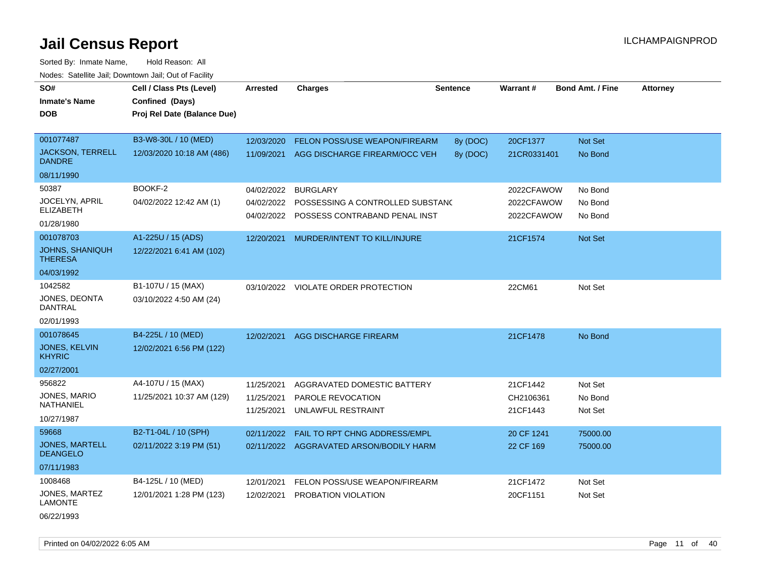Sorted By: Inmate Name, Hold Reason: All Nodes: Satellite Jail; Downtown Jail; Out of Facility

| SO#<br><b>Inmate's Name</b><br><b>DOB</b> | Cell / Class Pts (Level)<br>Confined (Days)<br>Proj Rel Date (Balance Due) | <b>Arrested</b> | <b>Charges</b>                           | Sentence | Warrant#    | <b>Bond Amt. / Fine</b> | <b>Attorney</b> |
|-------------------------------------------|----------------------------------------------------------------------------|-----------------|------------------------------------------|----------|-------------|-------------------------|-----------------|
| 001077487                                 | B3-W8-30L / 10 (MED)                                                       | 12/03/2020      | FELON POSS/USE WEAPON/FIREARM            | 8y (DOC) | 20CF1377    | Not Set                 |                 |
| <b>JACKSON, TERRELL</b><br><b>DANDRE</b>  | 12/03/2020 10:18 AM (486)                                                  | 11/09/2021      | AGG DISCHARGE FIREARM/OCC VEH            | 8y (DOC) | 21CR0331401 | No Bond                 |                 |
| 08/11/1990                                |                                                                            |                 |                                          |          |             |                         |                 |
| 50387                                     | BOOKF-2                                                                    | 04/02/2022      | <b>BURGLARY</b>                          |          | 2022CFAWOW  | No Bond                 |                 |
| JOCELYN, APRIL<br><b>ELIZABETH</b>        | 04/02/2022 12:42 AM (1)                                                    | 04/02/2022      | POSSESSING A CONTROLLED SUBSTANC         |          | 2022CFAWOW  | No Bond                 |                 |
| 01/28/1980                                |                                                                            |                 | 04/02/2022 POSSESS CONTRABAND PENAL INST |          | 2022CFAWOW  | No Bond                 |                 |
| 001078703                                 | A1-225U / 15 (ADS)                                                         | 12/20/2021      | MURDER/INTENT TO KILL/INJURE             |          | 21CF1574    | Not Set                 |                 |
| <b>JOHNS, SHANIQUH</b><br><b>THERESA</b>  | 12/22/2021 6:41 AM (102)                                                   |                 |                                          |          |             |                         |                 |
| 04/03/1992                                |                                                                            |                 |                                          |          |             |                         |                 |
| 1042582                                   | B1-107U / 15 (MAX)                                                         |                 | 03/10/2022 VIOLATE ORDER PROTECTION      |          | 22CM61      | Not Set                 |                 |
| JONES, DEONTA<br>DANTRAL                  | 03/10/2022 4:50 AM (24)                                                    |                 |                                          |          |             |                         |                 |
| 02/01/1993                                |                                                                            |                 |                                          |          |             |                         |                 |
| 001078645                                 | B4-225L / 10 (MED)                                                         | 12/02/2021      | <b>AGG DISCHARGE FIREARM</b>             |          | 21CF1478    | No Bond                 |                 |
| JONES, KELVIN<br><b>KHYRIC</b>            | 12/02/2021 6:56 PM (122)                                                   |                 |                                          |          |             |                         |                 |
| 02/27/2001                                |                                                                            |                 |                                          |          |             |                         |                 |
| 956822                                    | A4-107U / 15 (MAX)                                                         | 11/25/2021      | AGGRAVATED DOMESTIC BATTERY              |          | 21CF1442    | Not Set                 |                 |
| JONES, MARIO<br><b>NATHANIEL</b>          | 11/25/2021 10:37 AM (129)                                                  | 11/25/2021      | PAROLE REVOCATION                        |          | CH2106361   | No Bond                 |                 |
| 10/27/1987                                |                                                                            | 11/25/2021      | UNLAWFUL RESTRAINT                       |          | 21CF1443    | Not Set                 |                 |
| 59668                                     | B2-T1-04L / 10 (SPH)                                                       | 02/11/2022      | FAIL TO RPT CHNG ADDRESS/EMPL            |          | 20 CF 1241  | 75000.00                |                 |
| <b>JONES, MARTELL</b><br><b>DEANGELO</b>  | 02/11/2022 3:19 PM (51)                                                    | 02/11/2022      | AGGRAVATED ARSON/BODILY HARM             |          | 22 CF 169   | 75000.00                |                 |
| 07/11/1983                                |                                                                            |                 |                                          |          |             |                         |                 |
| 1008468                                   | B4-125L / 10 (MED)                                                         | 12/01/2021      | FELON POSS/USE WEAPON/FIREARM            |          | 21CF1472    | Not Set                 |                 |
| JONES, MARTEZ<br><b>LAMONTE</b>           | 12/01/2021 1:28 PM (123)                                                   | 12/02/2021      | PROBATION VIOLATION                      |          | 20CF1151    | Not Set                 |                 |

06/22/1993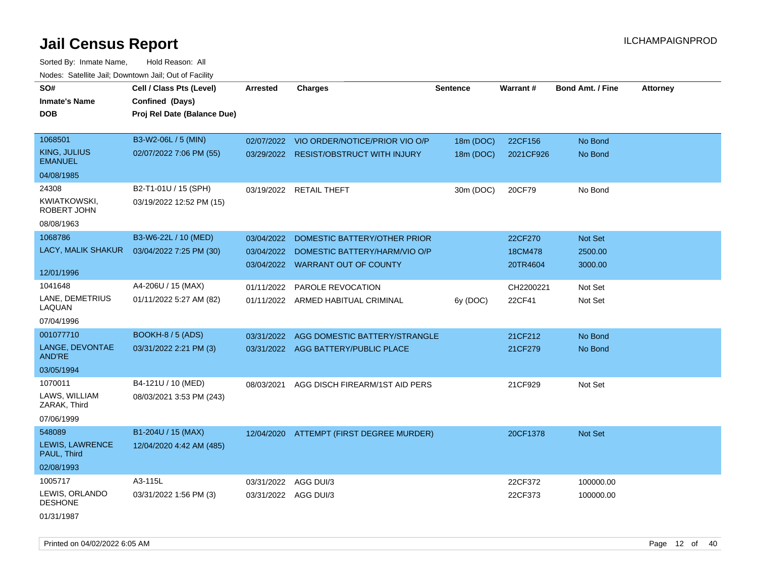| SO#                                   | Cell / Class Pts (Level)    | <b>Arrested</b>      | <b>Charges</b>                           | <b>Sentence</b> | <b>Warrant#</b> | <b>Bond Amt. / Fine</b> | <b>Attorney</b> |
|---------------------------------------|-----------------------------|----------------------|------------------------------------------|-----------------|-----------------|-------------------------|-----------------|
| <b>Inmate's Name</b>                  | Confined (Days)             |                      |                                          |                 |                 |                         |                 |
| <b>DOB</b>                            | Proj Rel Date (Balance Due) |                      |                                          |                 |                 |                         |                 |
|                                       |                             |                      |                                          |                 |                 |                         |                 |
| 1068501                               | B3-W2-06L / 5 (MIN)         | 02/07/2022           | VIO ORDER/NOTICE/PRIOR VIO O/P           | 18m (DOC)       | 22CF156         | No Bond                 |                 |
| <b>KING, JULIUS</b><br><b>EMANUEL</b> | 02/07/2022 7:06 PM (55)     |                      | 03/29/2022 RESIST/OBSTRUCT WITH INJURY   | 18m (DOC)       | 2021CF926       | No Bond                 |                 |
| 04/08/1985                            |                             |                      |                                          |                 |                 |                         |                 |
| 24308                                 | B2-T1-01U / 15 (SPH)        |                      | 03/19/2022 RETAIL THEFT                  | 30m (DOC)       | 20CF79          | No Bond                 |                 |
| <b>KWIATKOWSKI,</b><br>ROBERT JOHN    | 03/19/2022 12:52 PM (15)    |                      |                                          |                 |                 |                         |                 |
| 08/08/1963                            |                             |                      |                                          |                 |                 |                         |                 |
| 1068786                               | B3-W6-22L / 10 (MED)        | 03/04/2022           | DOMESTIC BATTERY/OTHER PRIOR             |                 | 22CF270         | Not Set                 |                 |
| LACY, MALIK SHAKUR                    | 03/04/2022 7:25 PM (30)     | 03/04/2022           | DOMESTIC BATTERY/HARM/VIO O/P            |                 | 18CM478         | 2500.00                 |                 |
|                                       |                             |                      | 03/04/2022 WARRANT OUT OF COUNTY         |                 | 20TR4604        | 3000.00                 |                 |
| 12/01/1996                            |                             |                      |                                          |                 |                 |                         |                 |
| 1041648                               | A4-206U / 15 (MAX)          | 01/11/2022           | PAROLE REVOCATION                        |                 | CH2200221       | Not Set                 |                 |
| LANE, DEMETRIUS<br>LAQUAN             | 01/11/2022 5:27 AM (82)     |                      | 01/11/2022 ARMED HABITUAL CRIMINAL       | 6y (DOC)        | 22CF41          | Not Set                 |                 |
| 07/04/1996                            |                             |                      |                                          |                 |                 |                         |                 |
| 001077710                             | BOOKH-8 / 5 (ADS)           | 03/31/2022           | AGG DOMESTIC BATTERY/STRANGLE            |                 | 21CF212         | No Bond                 |                 |
| LANGE, DEVONTAE<br><b>AND'RE</b>      | 03/31/2022 2:21 PM (3)      |                      | 03/31/2022 AGG BATTERY/PUBLIC PLACE      |                 | 21CF279         | No Bond                 |                 |
| 03/05/1994                            |                             |                      |                                          |                 |                 |                         |                 |
| 1070011                               | B4-121U / 10 (MED)          | 08/03/2021           | AGG DISCH FIREARM/1ST AID PERS           |                 | 21CF929         | Not Set                 |                 |
| LAWS, WILLIAM<br>ZARAK, Third         | 08/03/2021 3:53 PM (243)    |                      |                                          |                 |                 |                         |                 |
| 07/06/1999                            |                             |                      |                                          |                 |                 |                         |                 |
| 548089                                | B1-204U / 15 (MAX)          |                      | 12/04/2020 ATTEMPT (FIRST DEGREE MURDER) |                 | 20CF1378        | <b>Not Set</b>          |                 |
| LEWIS, LAWRENCE<br>PAUL, Third        | 12/04/2020 4:42 AM (485)    |                      |                                          |                 |                 |                         |                 |
| 02/08/1993                            |                             |                      |                                          |                 |                 |                         |                 |
| 1005717                               | A3-115L                     | 03/31/2022 AGG DUI/3 |                                          |                 | 22CF372         | 100000.00               |                 |
| LEWIS, ORLANDO<br><b>DESHONE</b>      | 03/31/2022 1:56 PM (3)      | 03/31/2022 AGG DUI/3 |                                          |                 | 22CF373         | 100000.00               |                 |
| 01/31/1987                            |                             |                      |                                          |                 |                 |                         |                 |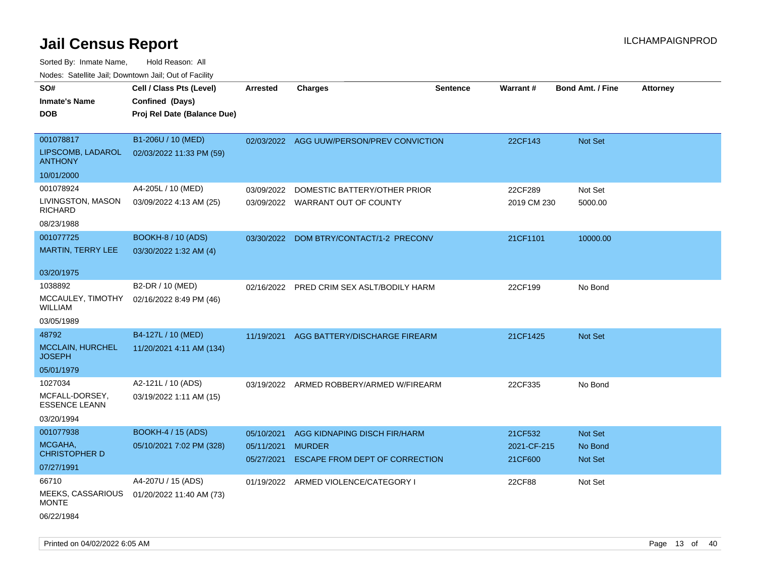| roaco. Calcinio dan, Downtown dan, Cal or Fability |                             |                          |                                                 |                 |                        |                         |                 |
|----------------------------------------------------|-----------------------------|--------------------------|-------------------------------------------------|-----------------|------------------------|-------------------------|-----------------|
| SO#                                                | Cell / Class Pts (Level)    | <b>Arrested</b>          | Charges                                         | <b>Sentence</b> | <b>Warrant#</b>        | <b>Bond Amt. / Fine</b> | <b>Attorney</b> |
| Inmate's Name                                      | Confined (Days)             |                          |                                                 |                 |                        |                         |                 |
| DOB                                                | Proj Rel Date (Balance Due) |                          |                                                 |                 |                        |                         |                 |
|                                                    |                             |                          |                                                 |                 |                        |                         |                 |
| 001078817                                          | B1-206U / 10 (MED)          |                          | 02/03/2022 AGG UUW/PERSON/PREV CONVICTION       |                 | 22CF143                | Not Set                 |                 |
| LIPSCOMB, LADAROL<br><b>ANTHONY</b>                | 02/03/2022 11:33 PM (59)    |                          |                                                 |                 |                        |                         |                 |
| 10/01/2000                                         |                             |                          |                                                 |                 |                        |                         |                 |
| 001078924                                          | A4-205L / 10 (MED)          | 03/09/2022               | DOMESTIC BATTERY/OTHER PRIOR                    |                 | 22CF289                | Not Set                 |                 |
| LIVINGSTON, MASON<br>RICHARD                       | 03/09/2022 4:13 AM (25)     | 03/09/2022               | WARRANT OUT OF COUNTY                           |                 | 2019 CM 230            | 5000.00                 |                 |
| 08/23/1988                                         |                             |                          |                                                 |                 |                        |                         |                 |
| 001077725                                          | <b>BOOKH-8 / 10 (ADS)</b>   | 03/30/2022               | DOM BTRY/CONTACT/1-2 PRECONV                    |                 | 21CF1101               | 10000.00                |                 |
| <b>MARTIN, TERRY LEE</b>                           | 03/30/2022 1:32 AM (4)      |                          |                                                 |                 |                        |                         |                 |
|                                                    |                             |                          |                                                 |                 |                        |                         |                 |
| 03/20/1975                                         |                             |                          |                                                 |                 |                        |                         |                 |
| 1038892                                            | B2-DR / 10 (MED)            | 02/16/2022               | PRED CRIM SEX ASLT/BODILY HARM                  |                 | 22CF199                | No Bond                 |                 |
| MCCAULEY, TIMOTHY<br>WILLIAM                       | 02/16/2022 8:49 PM (46)     |                          |                                                 |                 |                        |                         |                 |
| 03/05/1989                                         |                             |                          |                                                 |                 |                        |                         |                 |
| 48792                                              | B4-127L / 10 (MED)          | 11/19/2021               | AGG BATTERY/DISCHARGE FIREARM                   |                 | 21CF1425               | <b>Not Set</b>          |                 |
| <b>MCCLAIN, HURCHEL</b><br><b>JOSEPH</b>           | 11/20/2021 4:11 AM (134)    |                          |                                                 |                 |                        |                         |                 |
| 05/01/1979                                         |                             |                          |                                                 |                 |                        |                         |                 |
| 1027034                                            | A2-121L / 10 (ADS)          |                          | 03/19/2022 ARMED ROBBERY/ARMED W/FIREARM        |                 | 22CF335                | No Bond                 |                 |
| MCFALL-DORSEY,<br><b>ESSENCE LEANN</b>             | 03/19/2022 1:11 AM (15)     |                          |                                                 |                 |                        |                         |                 |
| 03/20/1994                                         |                             |                          |                                                 |                 |                        |                         |                 |
| 001077938                                          | <b>BOOKH-4 / 15 (ADS)</b>   | 05/10/2021               | AGG KIDNAPING DISCH FIR/HARM                    |                 | 21CF532                | <b>Not Set</b>          |                 |
| MCGAHA,<br>CHRISTOPHER D                           | 05/10/2021 7:02 PM (328)    | 05/11/2021<br>05/27/2021 | <b>MURDER</b><br>ESCAPE FROM DEPT OF CORRECTION |                 | 2021-CF-215<br>21CF600 | No Bond<br>Not Set      |                 |
| 07/27/1991                                         |                             |                          |                                                 |                 |                        |                         |                 |
| 66710                                              | A4-207U / 15 (ADS)          |                          | 01/19/2022 ARMED VIOLENCE/CATEGORY I            |                 | 22CF88                 | Not Set                 |                 |
| <b>MEEKS, CASSARIOUS</b><br>MONTE                  | 01/20/2022 11:40 AM (73)    |                          |                                                 |                 |                        |                         |                 |
| 06/22/1984                                         |                             |                          |                                                 |                 |                        |                         |                 |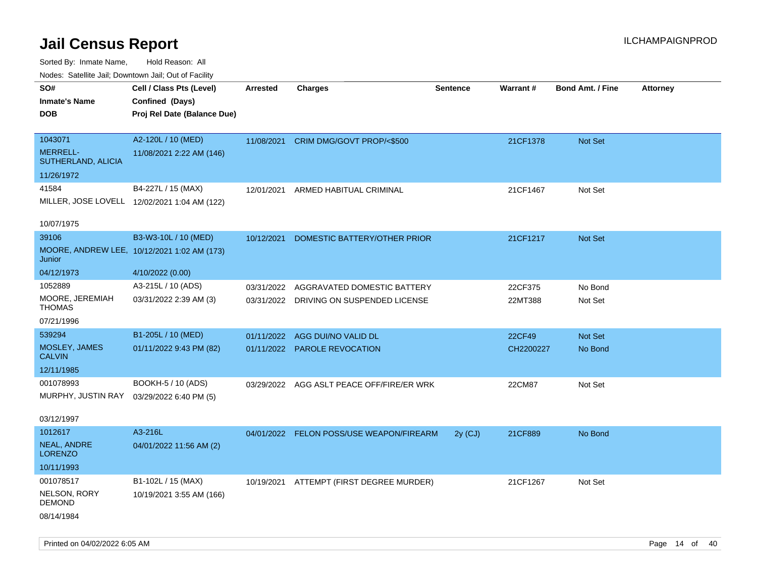| Nodes: Satellite Jail; Downtown Jail; Out of Facility |                                              |                 |                                           |                 |                 |                         |                 |
|-------------------------------------------------------|----------------------------------------------|-----------------|-------------------------------------------|-----------------|-----------------|-------------------------|-----------------|
| SO#                                                   | Cell / Class Pts (Level)                     | <b>Arrested</b> | <b>Charges</b>                            | <b>Sentence</b> | <b>Warrant#</b> | <b>Bond Amt. / Fine</b> | <b>Attorney</b> |
| <b>Inmate's Name</b>                                  | Confined (Days)                              |                 |                                           |                 |                 |                         |                 |
| <b>DOB</b>                                            | Proj Rel Date (Balance Due)                  |                 |                                           |                 |                 |                         |                 |
| 1043071                                               |                                              |                 |                                           |                 |                 |                         |                 |
| MERRELL-                                              | A2-120L / 10 (MED)                           | 11/08/2021      | CRIM DMG/GOVT PROP/<\$500                 |                 | 21CF1378        | Not Set                 |                 |
| SUTHERLAND, ALICIA                                    | 11/08/2021 2:22 AM (146)                     |                 |                                           |                 |                 |                         |                 |
| 11/26/1972                                            |                                              |                 |                                           |                 |                 |                         |                 |
| 41584                                                 | B4-227L / 15 (MAX)                           | 12/01/2021      | ARMED HABITUAL CRIMINAL                   |                 | 21CF1467        | Not Set                 |                 |
|                                                       | MILLER, JOSE LOVELL 12/02/2021 1:04 AM (122) |                 |                                           |                 |                 |                         |                 |
| 10/07/1975                                            |                                              |                 |                                           |                 |                 |                         |                 |
| 39106                                                 | B3-W3-10L / 10 (MED)                         | 10/12/2021      | DOMESTIC BATTERY/OTHER PRIOR              |                 | 21CF1217        | Not Set                 |                 |
| Junior                                                | MOORE, ANDREW LEE, 10/12/2021 1:02 AM (173)  |                 |                                           |                 |                 |                         |                 |
| 04/12/1973                                            | 4/10/2022 (0.00)                             |                 |                                           |                 |                 |                         |                 |
| 1052889                                               | A3-215L / 10 (ADS)                           | 03/31/2022      | AGGRAVATED DOMESTIC BATTERY               |                 | 22CF375         | No Bond                 |                 |
| MOORE, JEREMIAH<br><b>THOMAS</b>                      | 03/31/2022 2:39 AM (3)                       |                 | 03/31/2022 DRIVING ON SUSPENDED LICENSE   |                 | 22MT388         | Not Set                 |                 |
| 07/21/1996                                            |                                              |                 |                                           |                 |                 |                         |                 |
| 539294                                                | B1-205L / 10 (MED)                           | 01/11/2022      | AGG DUI/NO VALID DL                       |                 | 22CF49          | Not Set                 |                 |
| MOSLEY, JAMES                                         | 01/11/2022 9:43 PM (82)                      | 01/11/2022      | PAROLE REVOCATION                         |                 | CH2200227       | No Bond                 |                 |
| <b>CALVIN</b>                                         |                                              |                 |                                           |                 |                 |                         |                 |
| 12/11/1985                                            |                                              |                 |                                           |                 |                 |                         |                 |
| 001078993                                             | BOOKH-5 / 10 (ADS)                           |                 | 03/29/2022 AGG ASLT PEACE OFF/FIRE/ER WRK |                 | 22CM87          | Not Set                 |                 |
| MURPHY, JUSTIN RAY                                    | 03/29/2022 6:40 PM (5)                       |                 |                                           |                 |                 |                         |                 |
| 03/12/1997                                            |                                              |                 |                                           |                 |                 |                         |                 |
| 1012617                                               | A3-216L                                      |                 | 04/01/2022 FELON POSS/USE WEAPON/FIREARM  | $2y$ (CJ)       | 21CF889         | No Bond                 |                 |
| NEAL, ANDRE<br><b>LORENZO</b>                         | 04/01/2022 11:56 AM (2)                      |                 |                                           |                 |                 |                         |                 |
| 10/11/1993                                            |                                              |                 |                                           |                 |                 |                         |                 |
| 001078517                                             |                                              |                 |                                           |                 |                 |                         |                 |
| NELSON, RORY                                          | B1-102L / 15 (MAX)                           | 10/19/2021      | ATTEMPT (FIRST DEGREE MURDER)             |                 | 21CF1267        | Not Set                 |                 |
| <b>DEMOND</b>                                         | 10/19/2021 3:55 AM (166)                     |                 |                                           |                 |                 |                         |                 |
| 08/14/1984                                            |                                              |                 |                                           |                 |                 |                         |                 |
|                                                       |                                              |                 |                                           |                 |                 |                         |                 |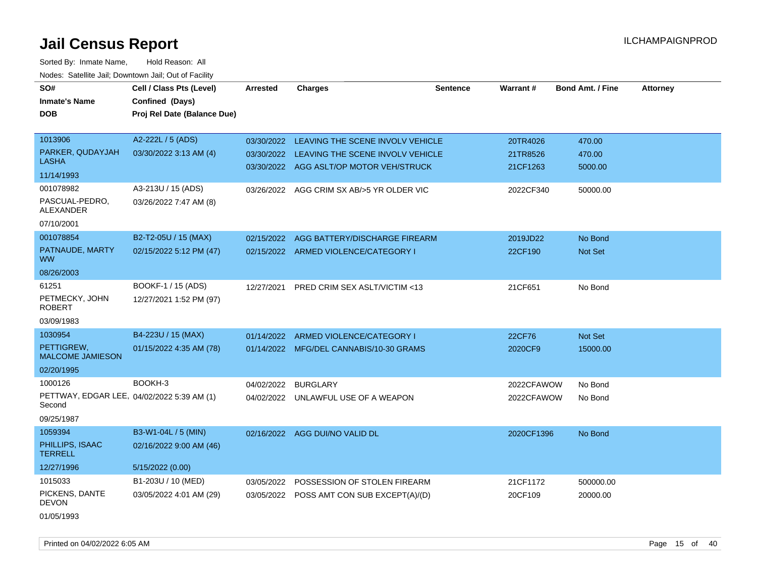| SO#                                   | Cell / Class Pts (Level)                   | <b>Arrested</b> | <b>Charges</b>                              | <b>Sentence</b> | <b>Warrant#</b> | <b>Bond Amt. / Fine</b> | <b>Attorney</b> |
|---------------------------------------|--------------------------------------------|-----------------|---------------------------------------------|-----------------|-----------------|-------------------------|-----------------|
| <b>Inmate's Name</b>                  | Confined (Days)                            |                 |                                             |                 |                 |                         |                 |
| <b>DOB</b>                            | Proj Rel Date (Balance Due)                |                 |                                             |                 |                 |                         |                 |
|                                       |                                            |                 |                                             |                 |                 |                         |                 |
| 1013906                               | A2-222L / 5 (ADS)                          |                 | 03/30/2022 LEAVING THE SCENE INVOLV VEHICLE |                 | 20TR4026        | 470.00                  |                 |
| PARKER, QUDAYJAH                      | 03/30/2022 3:13 AM (4)                     |                 | 03/30/2022 LEAVING THE SCENE INVOLV VEHICLE |                 | 21TR8526        | 470.00                  |                 |
| <b>LASHA</b>                          |                                            |                 | 03/30/2022 AGG ASLT/OP MOTOR VEH/STRUCK     |                 | 21CF1263        | 5000.00                 |                 |
| 11/14/1993                            |                                            |                 |                                             |                 |                 |                         |                 |
| 001078982                             | A3-213U / 15 (ADS)                         | 03/26/2022      | AGG CRIM SX AB/>5 YR OLDER VIC              |                 | 2022CF340       | 50000.00                |                 |
| PASCUAL-PEDRO,<br><b>ALEXANDER</b>    | 03/26/2022 7:47 AM (8)                     |                 |                                             |                 |                 |                         |                 |
| 07/10/2001                            |                                            |                 |                                             |                 |                 |                         |                 |
| 001078854                             | B2-T2-05U / 15 (MAX)                       | 02/15/2022      | AGG BATTERY/DISCHARGE FIREARM               |                 | 2019JD22        | No Bond                 |                 |
| PATNAUDE, MARTY<br><b>WW</b>          | 02/15/2022 5:12 PM (47)                    |                 | 02/15/2022 ARMED VIOLENCE/CATEGORY I        |                 | 22CF190         | <b>Not Set</b>          |                 |
| 08/26/2003                            |                                            |                 |                                             |                 |                 |                         |                 |
| 61251                                 | BOOKF-1 / 15 (ADS)                         | 12/27/2021      | PRED CRIM SEX ASLT/VICTIM <13               |                 | 21CF651         | No Bond                 |                 |
| PETMECKY, JOHN<br><b>ROBERT</b>       | 12/27/2021 1:52 PM (97)                    |                 |                                             |                 |                 |                         |                 |
| 03/09/1983                            |                                            |                 |                                             |                 |                 |                         |                 |
| 1030954                               | B4-223U / 15 (MAX)                         |                 | 01/14/2022 ARMED VIOLENCE/CATEGORY I        |                 | 22CF76          | <b>Not Set</b>          |                 |
| PETTIGREW,<br><b>MALCOME JAMIESON</b> | 01/15/2022 4:35 AM (78)                    |                 | 01/14/2022 MFG/DEL CANNABIS/10-30 GRAMS     |                 | 2020CF9         | 15000.00                |                 |
| 02/20/1995                            |                                            |                 |                                             |                 |                 |                         |                 |
| 1000126                               | BOOKH-3                                    | 04/02/2022      | <b>BURGLARY</b>                             |                 | 2022CFAWOW      | No Bond                 |                 |
| Second                                | PETTWAY, EDGAR LEE, 04/02/2022 5:39 AM (1) |                 | 04/02/2022 UNLAWFUL USE OF A WEAPON         |                 | 2022CFAWOW      | No Bond                 |                 |
| 09/25/1987                            |                                            |                 |                                             |                 |                 |                         |                 |
| 1059394                               | B3-W1-04L / 5 (MIN)                        |                 | 02/16/2022 AGG DUI/NO VALID DL              |                 | 2020CF1396      | No Bond                 |                 |
| PHILLIPS, ISAAC<br><b>TERRELL</b>     | 02/16/2022 9:00 AM (46)                    |                 |                                             |                 |                 |                         |                 |
| 12/27/1996                            | 5/15/2022 (0.00)                           |                 |                                             |                 |                 |                         |                 |
| 1015033                               | B1-203U / 10 (MED)                         | 03/05/2022      | POSSESSION OF STOLEN FIREARM                |                 | 21CF1172        | 500000.00               |                 |
| PICKENS, DANTE<br><b>DEVON</b>        | 03/05/2022 4:01 AM (29)                    |                 | 03/05/2022 POSS AMT CON SUB EXCEPT(A)/(D)   |                 | 20CF109         | 20000.00                |                 |
| 01/05/1993                            |                                            |                 |                                             |                 |                 |                         |                 |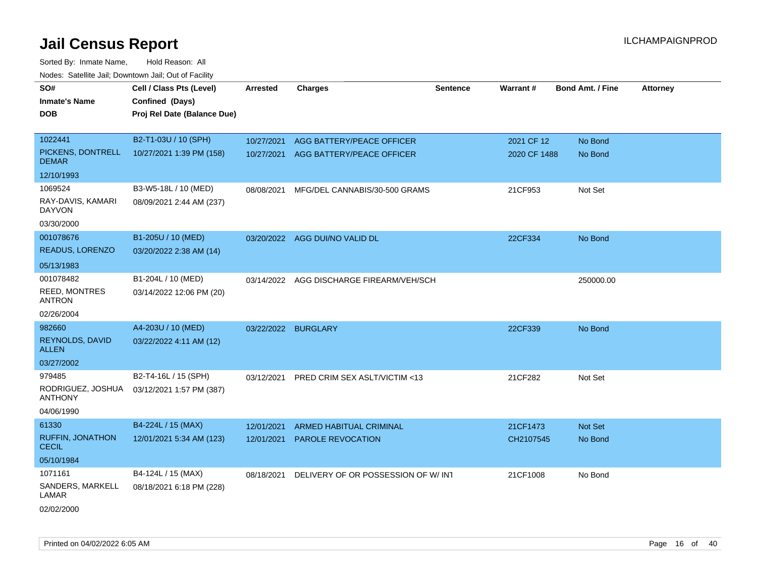| SO#                                 | Cell / Class Pts (Level)    | <b>Arrested</b>     | <b>Charges</b>                     | <b>Sentence</b> | Warrant#     | <b>Bond Amt. / Fine</b> | Attorney |
|-------------------------------------|-----------------------------|---------------------|------------------------------------|-----------------|--------------|-------------------------|----------|
| Inmate's Name                       | Confined (Days)             |                     |                                    |                 |              |                         |          |
| DOB                                 | Proj Rel Date (Balance Due) |                     |                                    |                 |              |                         |          |
|                                     |                             |                     |                                    |                 |              |                         |          |
| 1022441                             | B2-T1-03U / 10 (SPH)        | 10/27/2021          | AGG BATTERY/PEACE OFFICER          |                 | 2021 CF 12   | No Bond                 |          |
| PICKENS, DONTRELL<br><b>DEMAR</b>   | 10/27/2021 1:39 PM (158)    | 10/27/2021          | AGG BATTERY/PEACE OFFICER          |                 | 2020 CF 1488 | No Bond                 |          |
| 12/10/1993                          |                             |                     |                                    |                 |              |                         |          |
| 1069524                             | B3-W5-18L / 10 (MED)        | 08/08/2021          | MFG/DEL CANNABIS/30-500 GRAMS      |                 | 21CF953      | Not Set                 |          |
| RAY-DAVIS, KAMARI<br><b>DAYVON</b>  | 08/09/2021 2:44 AM (237)    |                     |                                    |                 |              |                         |          |
| 03/30/2000                          |                             |                     |                                    |                 |              |                         |          |
| 001078676                           | B1-205U / 10 (MED)          |                     | 03/20/2022 AGG DUI/NO VALID DL     |                 | 22CF334      | No Bond                 |          |
| READUS, LORENZO                     | 03/20/2022 2:38 AM (14)     |                     |                                    |                 |              |                         |          |
| 05/13/1983                          |                             |                     |                                    |                 |              |                         |          |
| 001078482                           | B1-204L / 10 (MED)          | 03/14/2022          | AGG DISCHARGE FIREARM/VEH/SCH      |                 |              | 250000.00               |          |
| REED, MONTRES<br><b>ANTRON</b>      | 03/14/2022 12:06 PM (20)    |                     |                                    |                 |              |                         |          |
| 02/26/2004                          |                             |                     |                                    |                 |              |                         |          |
| 982660                              | A4-203U / 10 (MED)          | 03/22/2022 BURGLARY |                                    |                 | 22CF339      | No Bond                 |          |
| REYNOLDS, DAVID<br><b>ALLEN</b>     | 03/22/2022 4:11 AM (12)     |                     |                                    |                 |              |                         |          |
| 03/27/2002                          |                             |                     |                                    |                 |              |                         |          |
| 979485                              | B2-T4-16L / 15 (SPH)        | 03/12/2021          | PRED CRIM SEX ASLT/VICTIM <13      |                 | 21CF282      | Not Set                 |          |
| RODRIGUEZ, JOSHUA<br><b>ANTHONY</b> | 03/12/2021 1:57 PM (387)    |                     |                                    |                 |              |                         |          |
| 04/06/1990                          |                             |                     |                                    |                 |              |                         |          |
| 61330                               | B4-224L / 15 (MAX)          | 12/01/2021          | ARMED HABITUAL CRIMINAL            |                 | 21CF1473     | Not Set                 |          |
| RUFFIN, JONATHON<br><b>CECIL</b>    | 12/01/2021 5:34 AM (123)    | 12/01/2021          | <b>PAROLE REVOCATION</b>           |                 | CH2107545    | No Bond                 |          |
| 05/10/1984                          |                             |                     |                                    |                 |              |                         |          |
| 1071161                             | B4-124L / 15 (MAX)          | 08/18/2021          | DELIVERY OF OR POSSESSION OF W/INT |                 | 21CF1008     | No Bond                 |          |
| SANDERS, MARKELL<br>LAMAR           | 08/18/2021 6:18 PM (228)    |                     |                                    |                 |              |                         |          |
| 02/02/2000                          |                             |                     |                                    |                 |              |                         |          |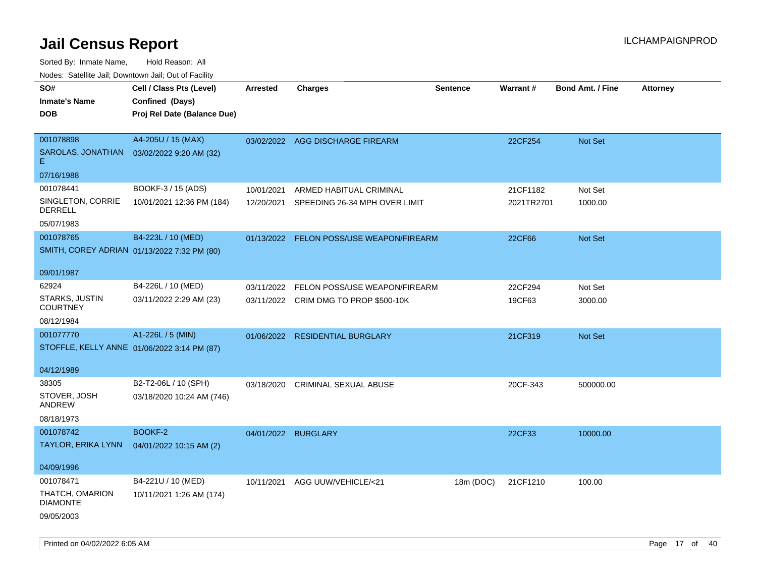| ivouss. Saleline Jali, Downtown Jali, Out of Facility |                             |                     |                                          |                 |            |                         |                 |
|-------------------------------------------------------|-----------------------------|---------------------|------------------------------------------|-----------------|------------|-------------------------|-----------------|
| SO#                                                   | Cell / Class Pts (Level)    | <b>Arrested</b>     | <b>Charges</b>                           | <b>Sentence</b> | Warrant#   | <b>Bond Amt. / Fine</b> | <b>Attorney</b> |
| <b>Inmate's Name</b>                                  | Confined (Days)             |                     |                                          |                 |            |                         |                 |
| DOB                                                   | Proj Rel Date (Balance Due) |                     |                                          |                 |            |                         |                 |
|                                                       |                             |                     |                                          |                 |            |                         |                 |
| 001078898                                             | A4-205U / 15 (MAX)          |                     | 03/02/2022 AGG DISCHARGE FIREARM         |                 | 22CF254    | Not Set                 |                 |
| SAROLAS, JONATHAN<br>Е.                               | 03/02/2022 9:20 AM (32)     |                     |                                          |                 |            |                         |                 |
| 07/16/1988                                            |                             |                     |                                          |                 |            |                         |                 |
| 001078441                                             | BOOKF-3 / 15 (ADS)          | 10/01/2021          | ARMED HABITUAL CRIMINAL                  |                 | 21CF1182   | Not Set                 |                 |
| SINGLETON, CORRIE<br><b>DERRELL</b>                   | 10/01/2021 12:36 PM (184)   | 12/20/2021          | SPEEDING 26-34 MPH OVER LIMIT            |                 | 2021TR2701 | 1000.00                 |                 |
| 05/07/1983                                            |                             |                     |                                          |                 |            |                         |                 |
| 001078765                                             | B4-223L / 10 (MED)          |                     | 01/13/2022 FELON POSS/USE WEAPON/FIREARM |                 | 22CF66     | <b>Not Set</b>          |                 |
| SMITH, COREY ADRIAN 01/13/2022 7:32 PM (80)           |                             |                     |                                          |                 |            |                         |                 |
|                                                       |                             |                     |                                          |                 |            |                         |                 |
| 09/01/1987                                            |                             |                     |                                          |                 |            |                         |                 |
| 62924                                                 | B4-226L / 10 (MED)          | 03/11/2022          | FELON POSS/USE WEAPON/FIREARM            |                 | 22CF294    | Not Set                 |                 |
| STARKS, JUSTIN<br><b>COURTNEY</b>                     | 03/11/2022 2:29 AM (23)     |                     | 03/11/2022 CRIM DMG TO PROP \$500-10K    |                 | 19CF63     | 3000.00                 |                 |
| 08/12/1984                                            |                             |                     |                                          |                 |            |                         |                 |
| 001077770                                             | A1-226L / 5 (MIN)           |                     | 01/06/2022 RESIDENTIAL BURGLARY          |                 | 21CF319    | Not Set                 |                 |
| STOFFLE, KELLY ANNE 01/06/2022 3:14 PM (87)           |                             |                     |                                          |                 |            |                         |                 |
|                                                       |                             |                     |                                          |                 |            |                         |                 |
| 04/12/1989                                            |                             |                     |                                          |                 |            |                         |                 |
| 38305                                                 | B2-T2-06L / 10 (SPH)        |                     | 03/18/2020 CRIMINAL SEXUAL ABUSE         |                 | 20CF-343   | 500000.00               |                 |
| STOVER, JOSH<br>ANDREW                                | 03/18/2020 10:24 AM (746)   |                     |                                          |                 |            |                         |                 |
| 08/18/1973                                            |                             |                     |                                          |                 |            |                         |                 |
| 001078742                                             | BOOKF-2                     | 04/01/2022 BURGLARY |                                          |                 | 22CF33     | 10000.00                |                 |
| <b>TAYLOR, ERIKA LYNN</b>                             | 04/01/2022 10:15 AM (2)     |                     |                                          |                 |            |                         |                 |
|                                                       |                             |                     |                                          |                 |            |                         |                 |
| 04/09/1996                                            |                             |                     |                                          |                 |            |                         |                 |
| 001078471                                             | B4-221U / 10 (MED)          | 10/11/2021          | AGG UUW/VEHICLE/<21                      | 18m (DOC)       | 21CF1210   | 100.00                  |                 |
| THATCH, OMARION<br><b>DIAMONTE</b>                    | 10/11/2021 1:26 AM (174)    |                     |                                          |                 |            |                         |                 |
| 09/05/2003                                            |                             |                     |                                          |                 |            |                         |                 |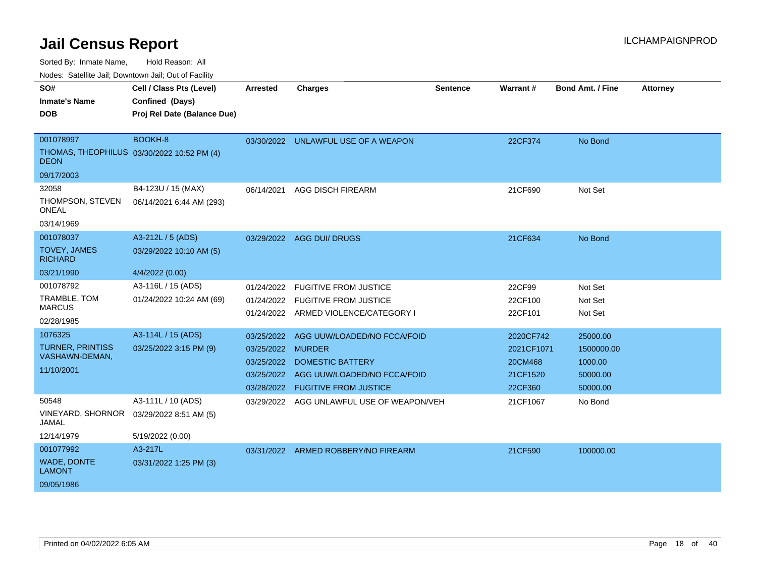Sorted By: Inmate Name, Hold Reason: All

Nodes: Satellite Jail; Downtown Jail; Out of Facility

| SO#<br><b>Inmate's Name</b><br><b>DOB</b><br>001078997<br>THOMAS, THEOPHILUS 03/30/2022 10:52 PM (4) | Cell / Class Pts (Level)<br>Confined (Days)<br>Proj Rel Date (Balance Due)<br>BOOKH-8 | <b>Arrested</b><br>03/30/2022                                             | <b>Charges</b><br>UNLAWFUL USE OF A WEAPON                                                                            | <b>Sentence</b> | Warrant#<br>22CF374                                       | <b>Bond Amt. / Fine</b><br>No Bond                        | <b>Attorney</b> |
|------------------------------------------------------------------------------------------------------|---------------------------------------------------------------------------------------|---------------------------------------------------------------------------|-----------------------------------------------------------------------------------------------------------------------|-----------------|-----------------------------------------------------------|-----------------------------------------------------------|-----------------|
| <b>DEON</b><br>09/17/2003                                                                            |                                                                                       |                                                                           |                                                                                                                       |                 |                                                           |                                                           |                 |
| 32058<br>THOMPSON, STEVEN<br><b>ONEAL</b><br>03/14/1969                                              | B4-123U / 15 (MAX)<br>06/14/2021 6:44 AM (293)                                        | 06/14/2021                                                                | <b>AGG DISCH FIREARM</b>                                                                                              |                 | 21CF690                                                   | Not Set                                                   |                 |
| 001078037<br><b>TOVEY, JAMES</b><br><b>RICHARD</b><br>03/21/1990                                     | A3-212L / 5 (ADS)<br>03/29/2022 10:10 AM (5)<br>4/4/2022 (0.00)                       |                                                                           | 03/29/2022 AGG DUI/ DRUGS                                                                                             |                 | 21CF634                                                   | No Bond                                                   |                 |
| 001078792<br>TRAMBLE, TOM<br><b>MARCUS</b><br>02/28/1985                                             | A3-116L / 15 (ADS)<br>01/24/2022 10:24 AM (69)                                        | 01/24/2022<br>01/24/2022                                                  | <b>FUGITIVE FROM JUSTICE</b><br><b>FUGITIVE FROM JUSTICE</b><br>01/24/2022 ARMED VIOLENCE/CATEGORY I                  |                 | 22CF99<br>22CF100<br>22CF101                              | Not Set<br>Not Set<br>Not Set                             |                 |
| 1076325<br><b>TURNER, PRINTISS</b><br>VASHAWN-DEMAN,<br>11/10/2001                                   | A3-114L / 15 (ADS)<br>03/25/2022 3:15 PM (9)                                          | 03/25/2022<br>03/25/2022 MURDER<br>03/25/2022<br>03/25/2022<br>03/28/2022 | AGG UUW/LOADED/NO FCCA/FOID<br><b>DOMESTIC BATTERY</b><br>AGG UUW/LOADED/NO FCCA/FOID<br><b>FUGITIVE FROM JUSTICE</b> |                 | 2020CF742<br>2021CF1071<br>20CM468<br>21CF1520<br>22CF360 | 25000.00<br>1500000.00<br>1000.00<br>50000.00<br>50000.00 |                 |
| 50548<br><b>VINEYARD, SHORNOR</b><br>JAMAL<br>12/14/1979                                             | A3-111L / 10 (ADS)<br>03/29/2022 8:51 AM (5)<br>5/19/2022 (0.00)                      | 03/29/2022                                                                | AGG UNLAWFUL USE OF WEAPON/VEH                                                                                        |                 | 21CF1067                                                  | No Bond                                                   |                 |
| 001077992<br>WADE, DONTE<br><b>LAMONT</b><br>09/05/1986                                              | A3-217L<br>03/31/2022 1:25 PM (3)                                                     |                                                                           | 03/31/2022 ARMED ROBBERY/NO FIREARM                                                                                   |                 | 21CF590                                                   | 100000.00                                                 |                 |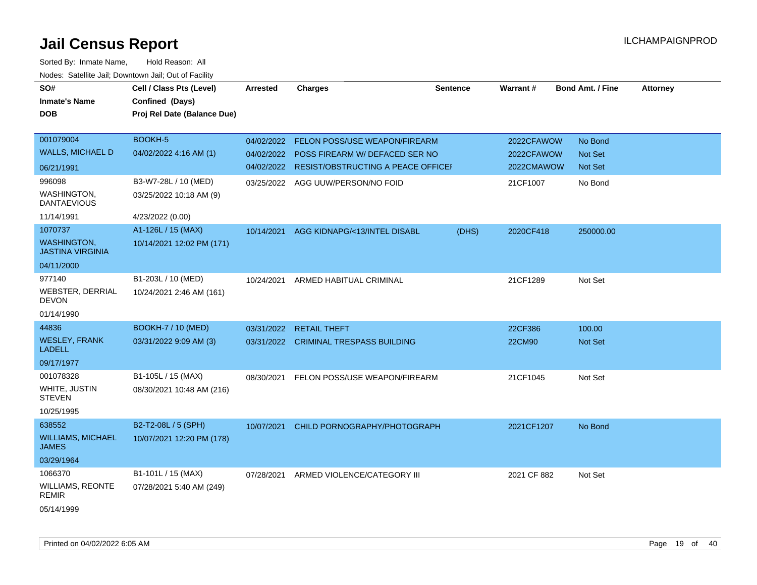| SO#<br><b>Inmate's Name</b><br>DOB            | Cell / Class Pts (Level)<br>Confined (Days)<br>Proj Rel Date (Balance Due) | <b>Arrested</b> | <b>Charges</b>                                | <b>Sentence</b> | Warrant#    | <b>Bond Amt. / Fine</b> | <b>Attorney</b> |
|-----------------------------------------------|----------------------------------------------------------------------------|-----------------|-----------------------------------------------|-----------------|-------------|-------------------------|-----------------|
| 001079004                                     | <b>BOOKH-5</b>                                                             | 04/02/2022      | <b>FELON POSS/USE WEAPON/FIREARM</b>          |                 | 2022CFAWOW  | No Bond                 |                 |
| <b>WALLS, MICHAEL D</b>                       | 04/02/2022 4:16 AM (1)                                                     | 04/02/2022      | POSS FIREARM W/ DEFACED SER NO                |                 | 2022CFAWOW  | Not Set                 |                 |
| 06/21/1991                                    |                                                                            |                 | 04/02/2022 RESIST/OBSTRUCTING A PEACE OFFICEI |                 | 2022CMAWOW  | Not Set                 |                 |
| 996098                                        | B3-W7-28L / 10 (MED)                                                       |                 | 03/25/2022 AGG UUW/PERSON/NO FOID             |                 | 21CF1007    | No Bond                 |                 |
| <b>WASHINGTON,</b><br>DANTAEVIOUS             | 03/25/2022 10:18 AM (9)                                                    |                 |                                               |                 |             |                         |                 |
| 11/14/1991                                    | 4/23/2022 (0.00)                                                           |                 |                                               |                 |             |                         |                 |
| 1070737                                       | A1-126L / 15 (MAX)                                                         | 10/14/2021      | AGG KIDNAPG/<13/INTEL DISABL                  | (DHS)           | 2020CF418   | 250000.00               |                 |
| <b>WASHINGTON,</b><br><b>JASTINA VIRGINIA</b> | 10/14/2021 12:02 PM (171)                                                  |                 |                                               |                 |             |                         |                 |
| 04/11/2000                                    |                                                                            |                 |                                               |                 |             |                         |                 |
| 977140                                        | B1-203L / 10 (MED)                                                         | 10/24/2021      | ARMED HABITUAL CRIMINAL                       |                 | 21CF1289    | Not Set                 |                 |
| WEBSTER, DERRIAL<br><b>DEVON</b>              | 10/24/2021 2:46 AM (161)                                                   |                 |                                               |                 |             |                         |                 |
| 01/14/1990                                    |                                                                            |                 |                                               |                 |             |                         |                 |
| 44836                                         | <b>BOOKH-7 / 10 (MED)</b>                                                  | 03/31/2022      | <b>RETAIL THEFT</b>                           |                 | 22CF386     | 100.00                  |                 |
| <b>WESLEY, FRANK</b><br><b>LADELL</b>         | 03/31/2022 9:09 AM (3)                                                     |                 | 03/31/2022 CRIMINAL TRESPASS BUILDING         |                 | 22CM90      | <b>Not Set</b>          |                 |
| 09/17/1977                                    |                                                                            |                 |                                               |                 |             |                         |                 |
| 001078328                                     | B1-105L / 15 (MAX)                                                         | 08/30/2021      | <b>FELON POSS/USE WEAPON/FIREARM</b>          |                 | 21CF1045    | Not Set                 |                 |
| WHITE, JUSTIN<br><b>STEVEN</b>                | 08/30/2021 10:48 AM (216)                                                  |                 |                                               |                 |             |                         |                 |
| 10/25/1995                                    |                                                                            |                 |                                               |                 |             |                         |                 |
| 638552                                        | B2-T2-08L / 5 (SPH)                                                        | 10/07/2021      | CHILD PORNOGRAPHY/PHOTOGRAPH                  |                 | 2021CF1207  | No Bond                 |                 |
| <b>WILLIAMS, MICHAEL</b><br>JAMES             | 10/07/2021 12:20 PM (178)                                                  |                 |                                               |                 |             |                         |                 |
| 03/29/1964                                    |                                                                            |                 |                                               |                 |             |                         |                 |
| 1066370                                       | B1-101L / 15 (MAX)                                                         | 07/28/2021      | ARMED VIOLENCE/CATEGORY III                   |                 | 2021 CF 882 | Not Set                 |                 |
| WILLIAMS, REONTE<br>REMIR                     | 07/28/2021 5:40 AM (249)                                                   |                 |                                               |                 |             |                         |                 |
| 05/14/1999                                    |                                                                            |                 |                                               |                 |             |                         |                 |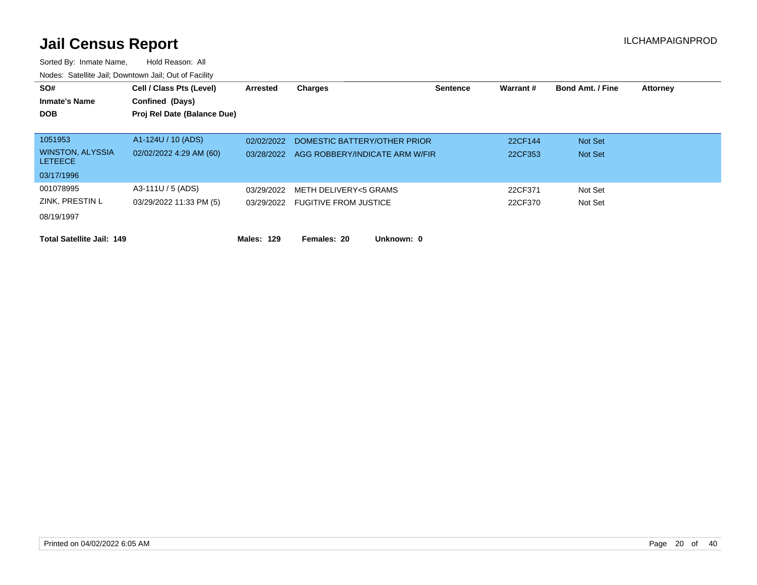| SO#                                       | Cell / Class Pts (Level)    | Arrested   | <b>Charges</b>                 | <b>Sentence</b> | Warrant # | <b>Bond Amt. / Fine</b> | <b>Attorney</b> |
|-------------------------------------------|-----------------------------|------------|--------------------------------|-----------------|-----------|-------------------------|-----------------|
| <b>Inmate's Name</b>                      | Confined (Days)             |            |                                |                 |           |                         |                 |
| <b>DOB</b>                                | Proj Rel Date (Balance Due) |            |                                |                 |           |                         |                 |
|                                           |                             |            |                                |                 |           |                         |                 |
| 1051953                                   | A1-124U / 10 (ADS)          | 02/02/2022 | DOMESTIC BATTERY/OTHER PRIOR   |                 | 22CF144   | Not Set                 |                 |
| <b>WINSTON, ALYSSIA</b><br><b>LETEECE</b> | 02/02/2022 4:29 AM (60)     | 03/28/2022 | AGG ROBBERY/INDICATE ARM W/FIR |                 | 22CF353   | Not Set                 |                 |
| 03/17/1996                                |                             |            |                                |                 |           |                         |                 |
| 001078995                                 | A3-111U / 5 (ADS)           | 03/29/2022 | METH DELIVERY<5 GRAMS          |                 | 22CF371   | Not Set                 |                 |
| ZINK, PRESTIN L                           | 03/29/2022 11:33 PM (5)     | 03/29/2022 | <b>FUGITIVE FROM JUSTICE</b>   |                 | 22CF370   | Not Set                 |                 |
| 08/19/1997                                |                             |            |                                |                 |           |                         |                 |
| <b>Total Satellite Jail: 149</b>          |                             | Males: 129 | Females: 20<br>Unknown: 0      |                 |           |                         |                 |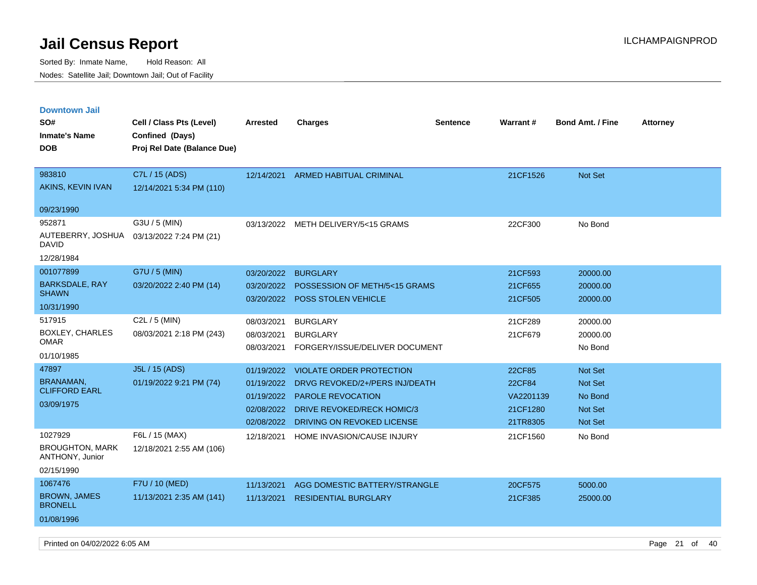Sorted By: Inmate Name, Hold Reason: All Nodes: Satellite Jail; Downtown Jail; Out of Facility

| <b>Downtown Jail</b><br>SO#<br><b>Inmate's Name</b><br><b>DOB</b> | Cell / Class Pts (Level)<br>Confined (Days)<br>Proj Rel Date (Balance Due) | <b>Arrested</b> | <b>Charges</b>                        | <b>Sentence</b> | Warrant#  | <b>Bond Amt. / Fine</b> | <b>Attorney</b> |
|-------------------------------------------------------------------|----------------------------------------------------------------------------|-----------------|---------------------------------------|-----------------|-----------|-------------------------|-----------------|
| 983810                                                            | C7L / 15 (ADS)                                                             | 12/14/2021      | <b>ARMED HABITUAL CRIMINAL</b>        |                 | 21CF1526  | Not Set                 |                 |
| AKINS, KEVIN IVAN                                                 | 12/14/2021 5:34 PM (110)                                                   |                 |                                       |                 |           |                         |                 |
| 09/23/1990                                                        |                                                                            |                 |                                       |                 |           |                         |                 |
| 952871                                                            | G3U / 5 (MIN)                                                              |                 | 03/13/2022 METH DELIVERY/5<15 GRAMS   |                 | 22CF300   | No Bond                 |                 |
| AUTEBERRY, JOSHUA<br><b>DAVID</b>                                 | 03/13/2022 7:24 PM (21)                                                    |                 |                                       |                 |           |                         |                 |
| 12/28/1984                                                        |                                                                            |                 |                                       |                 |           |                         |                 |
| 001077899                                                         | G7U / 5 (MIN)                                                              | 03/20/2022      | <b>BURGLARY</b>                       |                 | 21CF593   | 20000.00                |                 |
| <b>BARKSDALE, RAY</b><br><b>SHAWN</b>                             | 03/20/2022 2:40 PM (14)                                                    | 03/20/2022      | POSSESSION OF METH/5<15 GRAMS         |                 | 21CF655   | 20000.00                |                 |
| 10/31/1990                                                        |                                                                            | 03/20/2022      | POSS STOLEN VEHICLE                   |                 | 21CF505   | 20000.00                |                 |
| 517915                                                            | C <sub>2</sub> L $/$ 5 (MIN)                                               | 08/03/2021      | <b>BURGLARY</b>                       |                 | 21CF289   | 20000.00                |                 |
| BOXLEY, CHARLES<br><b>OMAR</b>                                    | 08/03/2021 2:18 PM (243)                                                   | 08/03/2021      | <b>BURGLARY</b>                       |                 | 21CF679   | 20000.00                |                 |
| 01/10/1985                                                        |                                                                            | 08/03/2021      | FORGERY/ISSUE/DELIVER DOCUMENT        |                 |           | No Bond                 |                 |
| 47897                                                             | J5L / 15 (ADS)                                                             | 01/19/2022      | <b>VIOLATE ORDER PROTECTION</b>       |                 | 22CF85    | Not Set                 |                 |
| <b>BRANAMAN</b>                                                   | 01/19/2022 9:21 PM (74)                                                    | 01/19/2022      | DRVG REVOKED/2+/PERS INJ/DEATH        |                 | 22CF84    | Not Set                 |                 |
| <b>CLIFFORD EARL</b>                                              |                                                                            | 01/19/2022      | PAROLE REVOCATION                     |                 | VA2201139 | No Bond                 |                 |
| 03/09/1975                                                        |                                                                            |                 | 02/08/2022 DRIVE REVOKED/RECK HOMIC/3 |                 | 21CF1280  | <b>Not Set</b>          |                 |
|                                                                   |                                                                            | 02/08/2022      | DRIVING ON REVOKED LICENSE            |                 | 21TR8305  | Not Set                 |                 |
| 1027929                                                           | F6L / 15 (MAX)                                                             | 12/18/2021      | HOME INVASION/CAUSE INJURY            |                 | 21CF1560  | No Bond                 |                 |
| <b>BROUGHTON, MARK</b><br>ANTHONY, Junior                         | 12/18/2021 2:55 AM (106)                                                   |                 |                                       |                 |           |                         |                 |
| 02/15/1990                                                        |                                                                            |                 |                                       |                 |           |                         |                 |
| 1067476                                                           | F7U / 10 (MED)                                                             | 11/13/2021      | AGG DOMESTIC BATTERY/STRANGLE         |                 | 20CF575   | 5000.00                 |                 |
| <b>BROWN, JAMES</b><br><b>BRONELL</b>                             | 11/13/2021 2:35 AM (141)                                                   | 11/13/2021      | <b>RESIDENTIAL BURGLARY</b>           |                 | 21CF385   | 25000.00                |                 |
| 01/08/1996                                                        |                                                                            |                 |                                       |                 |           |                         |                 |

Printed on 04/02/2022 6:05 AM Page 21 of 40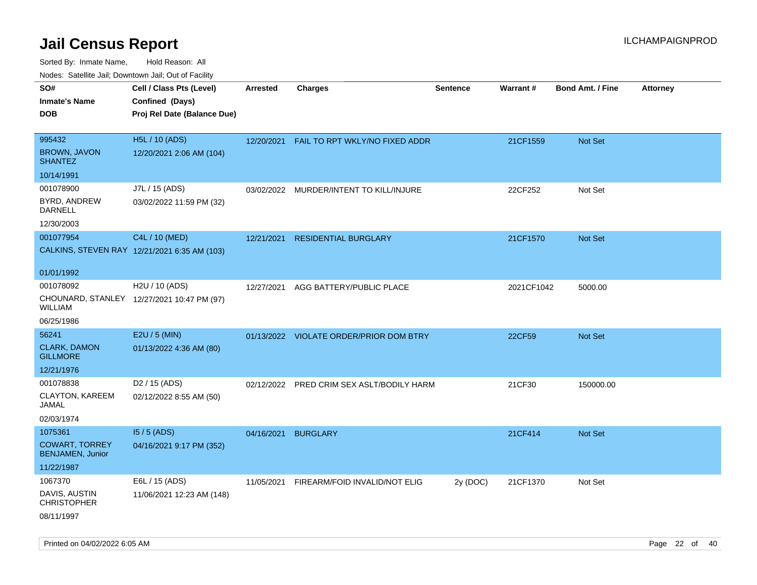| rouco. Calcinic Jan, Downtown Jan, Out of Facility                        |                                                                            |                 |                                         |                 |                 |                         |                 |
|---------------------------------------------------------------------------|----------------------------------------------------------------------------|-----------------|-----------------------------------------|-----------------|-----------------|-------------------------|-----------------|
| SO#<br>Inmate's Name<br><b>DOB</b>                                        | Cell / Class Pts (Level)<br>Confined (Days)<br>Proj Rel Date (Balance Due) | <b>Arrested</b> | <b>Charges</b>                          | <b>Sentence</b> | <b>Warrant#</b> | <b>Bond Amt. / Fine</b> | <b>Attorney</b> |
| 995432<br><b>BROWN, JAVON</b><br><b>SHANTEZ</b>                           | H5L / 10 (ADS)<br>12/20/2021 2:06 AM (104)                                 | 12/20/2021      | FAIL TO RPT WKLY/NO FIXED ADDR          |                 | 21CF1559        | Not Set                 |                 |
| 10/14/1991                                                                |                                                                            |                 |                                         |                 |                 |                         |                 |
| 001078900<br>BYRD, ANDREW<br>DARNELL<br>12/30/2003                        | J7L / 15 (ADS)<br>03/02/2022 11:59 PM (32)                                 |                 | 03/02/2022 MURDER/INTENT TO KILL/INJURE |                 | 22CF252         | Not Set                 |                 |
| 001077954                                                                 | C4L / 10 (MED)<br>CALKINS, STEVEN RAY 12/21/2021 6:35 AM (103)             | 12/21/2021      | <b>RESIDENTIAL BURGLARY</b>             |                 | 21CF1570        | <b>Not Set</b>          |                 |
| 01/01/1992<br>001078092<br>WILLIAM                                        | H <sub>2</sub> U / 10 (ADS)<br>CHOUNARD, STANLEY 12/27/2021 10:47 PM (97)  | 12/27/2021      | AGG BATTERY/PUBLIC PLACE                |                 | 2021CF1042      | 5000.00                 |                 |
| 06/25/1986                                                                |                                                                            |                 |                                         |                 |                 |                         |                 |
| 56241<br><b>CLARK, DAMON</b><br><b>GILLMORE</b>                           | E2U / 5 (MIN)<br>01/13/2022 4:36 AM (80)                                   |                 | 01/13/2022 VIOLATE ORDER/PRIOR DOM BTRY |                 | 22CF59          | <b>Not Set</b>          |                 |
| 12/21/1976                                                                |                                                                            |                 |                                         |                 |                 |                         |                 |
| 001078838<br><b>CLAYTON, KAREEM</b><br>JAMAL<br>02/03/1974                | D <sub>2</sub> / 15 (ADS)<br>02/12/2022 8:55 AM (50)                       | 02/12/2022      | PRED CRIM SEX ASLT/BODILY HARM          |                 | 21CF30          | 150000.00               |                 |
| 1075361<br><b>COWART, TORREY</b><br><b>BENJAMEN, Junior</b><br>11/22/1987 | $15/5$ (ADS)<br>04/16/2021 9:17 PM (352)                                   | 04/16/2021      | <b>BURGLARY</b>                         |                 | 21CF414         | <b>Not Set</b>          |                 |
| 1067370<br>DAVIS, AUSTIN<br>CHRISTOPHER<br>08/11/1997                     | E6L / 15 (ADS)<br>11/06/2021 12:23 AM (148)                                | 11/05/2021      | FIREARM/FOID INVALID/NOT ELIG           | 2y (DOC)        | 21CF1370        | Not Set                 |                 |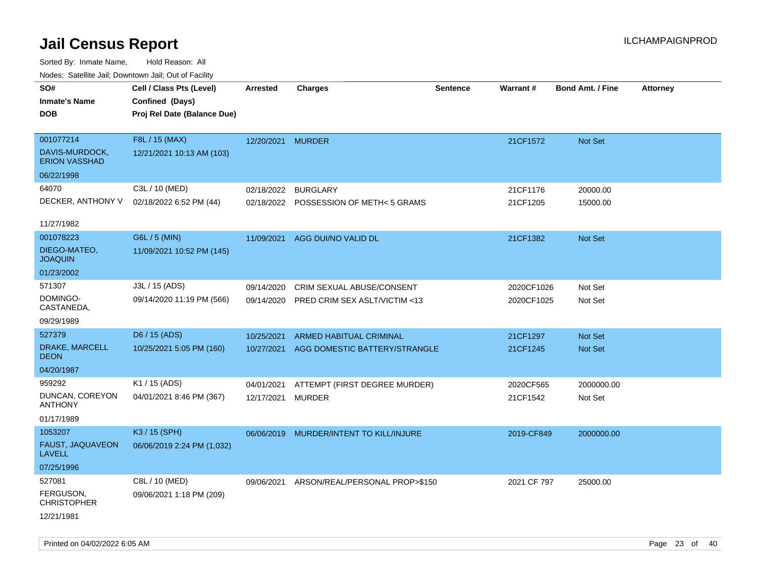Sorted By: Inmate Name, Hold Reason: All Nodes: Satellite Jail; Downtown Jail; Out of Facility

| Nuuts. Saltiille Jall, Duwilluwii Jall, Oul of Facility |                             |                   |                                         |                 |                 |                         |                 |
|---------------------------------------------------------|-----------------------------|-------------------|-----------------------------------------|-----------------|-----------------|-------------------------|-----------------|
| SO#                                                     | Cell / Class Pts (Level)    | Arrested          | <b>Charges</b>                          | <b>Sentence</b> | <b>Warrant#</b> | <b>Bond Amt. / Fine</b> | <b>Attorney</b> |
| <b>Inmate's Name</b>                                    | Confined (Days)             |                   |                                         |                 |                 |                         |                 |
| <b>DOB</b>                                              | Proj Rel Date (Balance Due) |                   |                                         |                 |                 |                         |                 |
|                                                         |                             |                   |                                         |                 |                 |                         |                 |
| 001077214                                               | F8L / 15 (MAX)              | 12/20/2021 MURDER |                                         |                 | 21CF1572        | Not Set                 |                 |
| DAVIS-MURDOCK,<br><b>ERION VASSHAD</b>                  | 12/21/2021 10:13 AM (103)   |                   |                                         |                 |                 |                         |                 |
| 06/22/1998                                              |                             |                   |                                         |                 |                 |                         |                 |
| 64070                                                   | C3L / 10 (MED)              | 02/18/2022        | <b>BURGLARY</b>                         |                 | 21CF1176        | 20000.00                |                 |
| DECKER, ANTHONY V                                       | 02/18/2022 6:52 PM (44)     |                   | 02/18/2022 POSSESSION OF METH< 5 GRAMS  |                 | 21CF1205        | 15000.00                |                 |
|                                                         |                             |                   |                                         |                 |                 |                         |                 |
| 11/27/1982                                              |                             |                   |                                         |                 |                 |                         |                 |
| 001078223                                               | G6L / 5 (MIN)               | 11/09/2021        | AGG DUI/NO VALID DL                     |                 | 21CF1382        | <b>Not Set</b>          |                 |
| DIEGO-MATEO,<br><b>JOAQUIN</b>                          | 11/09/2021 10:52 PM (145)   |                   |                                         |                 |                 |                         |                 |
| 01/23/2002                                              |                             |                   |                                         |                 |                 |                         |                 |
| 571307                                                  | J3L / 15 (ADS)              | 09/14/2020        | CRIM SEXUAL ABUSE/CONSENT               |                 | 2020CF1026      | Not Set                 |                 |
| DOMINGO-<br>CASTANEDA,                                  | 09/14/2020 11:19 PM (566)   | 09/14/2020        | <b>PRED CRIM SEX ASLT/VICTIM &lt;13</b> |                 | 2020CF1025      | Not Set                 |                 |
| 09/29/1989                                              |                             |                   |                                         |                 |                 |                         |                 |
| 527379                                                  | D6 / 15 (ADS)               | 10/25/2021        | ARMED HABITUAL CRIMINAL                 |                 | 21CF1297        | <b>Not Set</b>          |                 |
| DRAKE, MARCELL<br><b>DEON</b>                           | 10/25/2021 5:05 PM (160)    | 10/27/2021        | AGG DOMESTIC BATTERY/STRANGLE           |                 | 21CF1245        | <b>Not Set</b>          |                 |
| 04/20/1987                                              |                             |                   |                                         |                 |                 |                         |                 |
| 959292                                                  | K1 / 15 (ADS)               | 04/01/2021        | ATTEMPT (FIRST DEGREE MURDER)           |                 | 2020CF565       | 2000000.00              |                 |
| DUNCAN, COREYON<br><b>ANTHONY</b>                       | 04/01/2021 8:46 PM (367)    | 12/17/2021        | MURDER                                  |                 | 21CF1542        | Not Set                 |                 |
| 01/17/1989                                              |                             |                   |                                         |                 |                 |                         |                 |
| 1053207                                                 | K3 / 15 (SPH)               | 06/06/2019        | MURDER/INTENT TO KILL/INJURE            |                 | 2019-CF849      | 2000000.00              |                 |
| FAUST, JAQUAVEON<br>LAVELL                              | 06/06/2019 2:24 PM (1,032)  |                   |                                         |                 |                 |                         |                 |
| 07/25/1996                                              |                             |                   |                                         |                 |                 |                         |                 |
| 527081                                                  | C8L / 10 (MED)              | 09/06/2021        | ARSON/REAL/PERSONAL PROP>\$150          |                 | 2021 CF 797     | 25000.00                |                 |
| FERGUSON,<br><b>CHRISTOPHER</b>                         | 09/06/2021 1:18 PM (209)    |                   |                                         |                 |                 |                         |                 |
| 12/21/1981                                              |                             |                   |                                         |                 |                 |                         |                 |

Printed on 04/02/2022 6:05 AM Page 23 of 40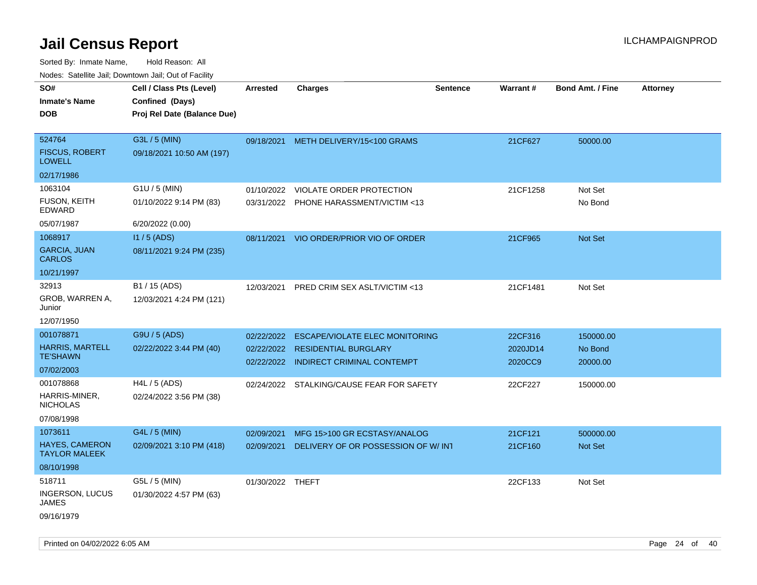| roaco. Calcinio dan, Downtown dan, Cal or Fability |                                           |                  |                                           |                 |                 |                         |                 |
|----------------------------------------------------|-------------------------------------------|------------------|-------------------------------------------|-----------------|-----------------|-------------------------|-----------------|
| SO#                                                | Cell / Class Pts (Level)                  | <b>Arrested</b>  | Charges                                   | <b>Sentence</b> | <b>Warrant#</b> | <b>Bond Amt. / Fine</b> | <b>Attorney</b> |
| Inmate's Name                                      | Confined (Days)                           |                  |                                           |                 |                 |                         |                 |
| <b>DOB</b>                                         | Proj Rel Date (Balance Due)               |                  |                                           |                 |                 |                         |                 |
|                                                    |                                           |                  |                                           |                 |                 |                         |                 |
| 524764                                             | G3L / 5 (MIN)                             |                  | 09/18/2021 METH DELIVERY/15<100 GRAMS     |                 | 21CF627         | 50000.00                |                 |
| <b>FISCUS, ROBERT</b><br>LOWELL                    | 09/18/2021 10:50 AM (197)                 |                  |                                           |                 |                 |                         |                 |
| 02/17/1986                                         |                                           |                  |                                           |                 |                 |                         |                 |
| 1063104                                            | G1U / 5 (MIN)                             | 01/10/2022       | VIOLATE ORDER PROTECTION                  |                 | 21CF1258        | Not Set                 |                 |
| FUSON, KEITH<br>EDWARD                             | 01/10/2022 9:14 PM (83)                   |                  | 03/31/2022 PHONE HARASSMENT/VICTIM <13    |                 |                 | No Bond                 |                 |
| 05/07/1987                                         | 6/20/2022 (0.00)                          |                  |                                           |                 |                 |                         |                 |
| 1068917                                            | $11/5$ (ADS)                              |                  | 08/11/2021 VIO ORDER/PRIOR VIO OF ORDER   |                 | 21CF965         | <b>Not Set</b>          |                 |
| <b>GARCIA, JUAN</b><br>CARLOS                      | 08/11/2021 9:24 PM (235)                  |                  |                                           |                 |                 |                         |                 |
| 10/21/1997                                         |                                           |                  |                                           |                 |                 |                         |                 |
| 32913<br>GROB, WARREN A,<br>Junior                 | B1 / 15 (ADS)<br>12/03/2021 4:24 PM (121) | 12/03/2021       | PRED CRIM SEX ASLT/VICTIM <13             |                 | 21CF1481        | Not Set                 |                 |
| 12/07/1950                                         |                                           |                  |                                           |                 |                 |                         |                 |
| 001078871                                          | G9U / 5 (ADS)                             | 02/22/2022       | <b>ESCAPE/VIOLATE ELEC MONITORING</b>     |                 | 22CF316         | 150000.00               |                 |
| <b>HARRIS, MARTELL</b>                             | 02/22/2022 3:44 PM (40)                   | 02/22/2022       | <b>RESIDENTIAL BURGLARY</b>               |                 | 2020JD14        | No Bond                 |                 |
| TE'SHAWN                                           |                                           |                  | 02/22/2022 INDIRECT CRIMINAL CONTEMPT     |                 | 2020CC9         | 20000.00                |                 |
| 07/02/2003                                         |                                           |                  |                                           |                 |                 |                         |                 |
| 001078868                                          | $H4L / 5$ (ADS)                           |                  | 02/24/2022 STALKING/CAUSE FEAR FOR SAFETY |                 | 22CF227         | 150000.00               |                 |
| HARRIS-MINER.<br>NICHOLAS                          | 02/24/2022 3:56 PM (38)                   |                  |                                           |                 |                 |                         |                 |
| 07/08/1998                                         |                                           |                  |                                           |                 |                 |                         |                 |
| 1073611                                            | G4L / 5 (MIN)                             | 02/09/2021       | MFG 15>100 GR ECSTASY/ANALOG              |                 | 21CF121         | 500000.00               |                 |
| <b>HAYES, CAMERON</b><br>TAYLOR MALEEK             | 02/09/2021 3:10 PM (418)                  | 02/09/2021       | DELIVERY OF OR POSSESSION OF W/INT        |                 | 21CF160         | <b>Not Set</b>          |                 |
| 08/10/1998                                         |                                           |                  |                                           |                 |                 |                         |                 |
| 518711                                             | G5L / 5 (MIN)                             | 01/30/2022 THEFT |                                           |                 | 22CF133         | Not Set                 |                 |
| <b>INGERSON, LUCUS</b><br>JAMES                    | 01/30/2022 4:57 PM (63)                   |                  |                                           |                 |                 |                         |                 |
| 09/16/1979                                         |                                           |                  |                                           |                 |                 |                         |                 |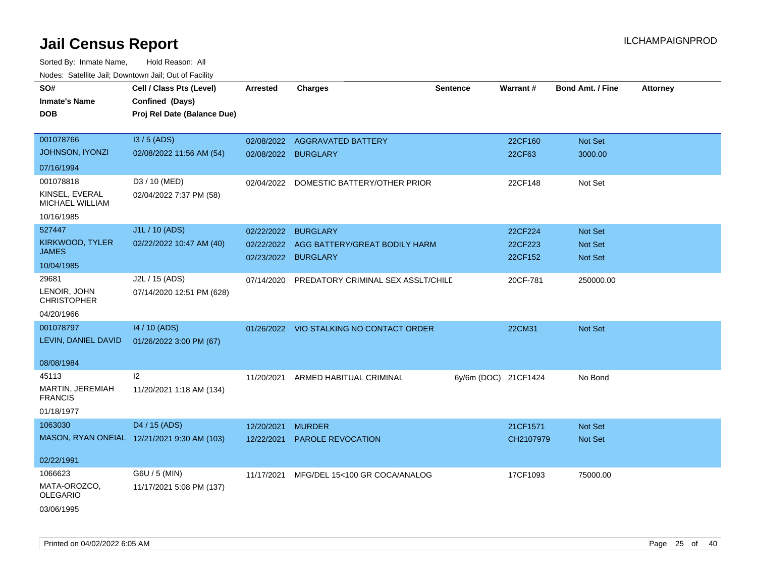| SO#<br><b>Inmate's Name</b><br><b>DOB</b>                           | Cell / Class Pts (Level)<br>Confined (Days)<br>Proj Rel Date (Balance Due) | <b>Arrested</b>                        | <b>Charges</b>                                                      | <b>Sentence</b>      | Warrant#                      | <b>Bond Amt. / Fine</b>              | <b>Attorney</b> |
|---------------------------------------------------------------------|----------------------------------------------------------------------------|----------------------------------------|---------------------------------------------------------------------|----------------------|-------------------------------|--------------------------------------|-----------------|
| 001078766<br>JOHNSON, IYONZI<br>07/16/1994                          | I3 / 5 (ADS)<br>02/08/2022 11:56 AM (54)                                   | 02/08/2022<br>02/08/2022 BURGLARY      | <b>AGGRAVATED BATTERY</b>                                           |                      | 22CF160<br>22CF63             | Not Set<br>3000.00                   |                 |
| 001078818<br>KINSEL, EVERAL<br><b>MICHAEL WILLIAM</b><br>10/16/1985 | D3 / 10 (MED)<br>02/04/2022 7:37 PM (58)                                   | 02/04/2022                             | DOMESTIC BATTERY/OTHER PRIOR                                        |                      | 22CF148                       | Not Set                              |                 |
| 527447<br>KIRKWOOD, TYLER<br><b>JAMES</b><br>10/04/1985             | J1L / 10 (ADS)<br>02/22/2022 10:47 AM (40)                                 | 02/22/2022<br>02/22/2022<br>02/23/2022 | <b>BURGLARY</b><br>AGG BATTERY/GREAT BODILY HARM<br><b>BURGLARY</b> |                      | 22CF224<br>22CF223<br>22CF152 | Not Set<br>Not Set<br><b>Not Set</b> |                 |
| 29681<br>LENOIR, JOHN<br><b>CHRISTOPHER</b><br>04/20/1966           | J2L / 15 (ADS)<br>07/14/2020 12:51 PM (628)                                | 07/14/2020                             | PREDATORY CRIMINAL SEX ASSLT/CHILD                                  |                      | 20CF-781                      | 250000.00                            |                 |
| 001078797<br>LEVIN, DANIEL DAVID<br>08/08/1984                      | 14 / 10 (ADS)<br>01/26/2022 3:00 PM (67)                                   |                                        | 01/26/2022 VIO STALKING NO CONTACT ORDER                            |                      | 22CM31                        | Not Set                              |                 |
| 45113<br>MARTIN, JEREMIAH<br><b>FRANCIS</b><br>01/18/1977           | 12<br>11/20/2021 1:18 AM (134)                                             | 11/20/2021                             | ARMED HABITUAL CRIMINAL                                             | 6y/6m (DOC) 21CF1424 |                               | No Bond                              |                 |
| 1063030<br>02/22/1991                                               | D4 / 15 (ADS)<br>MASON, RYAN ONEIAL 12/21/2021 9:30 AM (103)               | 12/20/2021<br>12/22/2021               | <b>MURDER</b><br><b>PAROLE REVOCATION</b>                           |                      | 21CF1571<br>CH2107979         | <b>Not Set</b><br><b>Not Set</b>     |                 |
| 1066623<br>MATA-OROZCO,<br><b>OLEGARIO</b><br>03/06/1995            | G6U / 5 (MIN)<br>11/17/2021 5:08 PM (137)                                  | 11/17/2021                             | MFG/DEL 15<100 GR COCA/ANALOG                                       |                      | 17CF1093                      | 75000.00                             |                 |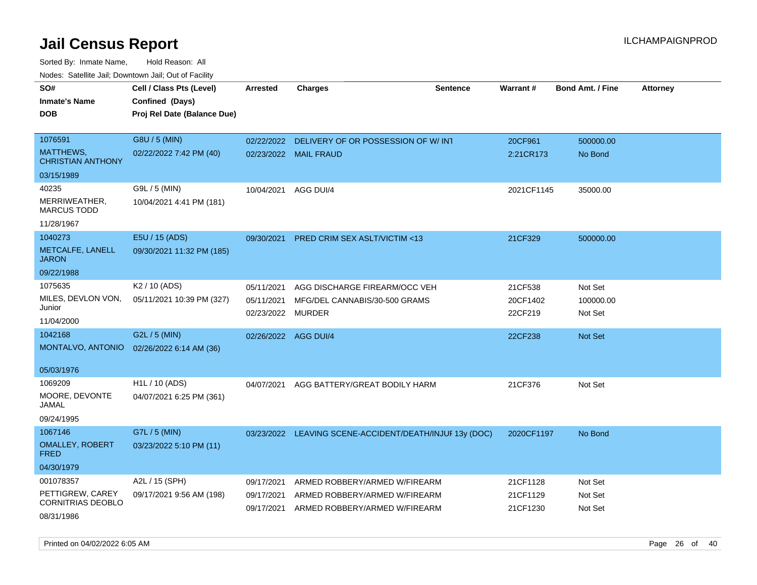| SO#<br><b>Inmate's Name</b><br><b>DOB</b>    | Cell / Class Pts (Level)<br>Confined (Days)<br>Proj Rel Date (Balance Due) | <b>Arrested</b>          | <b>Charges</b>                                          | <b>Sentence</b> | Warrant#            | <b>Bond Amt. / Fine</b> | <b>Attorney</b> |
|----------------------------------------------|----------------------------------------------------------------------------|--------------------------|---------------------------------------------------------|-----------------|---------------------|-------------------------|-----------------|
| 1076591                                      | G8U / 5 (MIN)                                                              | 02/22/2022               | DELIVERY OF OR POSSESSION OF W/INT                      |                 | 20CF961             | 500000.00               |                 |
| MATTHEWS,<br><b>CHRISTIAN ANTHONY</b>        | 02/22/2022 7:42 PM (40)                                                    |                          | 02/23/2022 MAIL FRAUD                                   |                 | 2:21CR173           | No Bond                 |                 |
| 03/15/1989                                   |                                                                            |                          |                                                         |                 |                     |                         |                 |
| 40235                                        | G9L / 5 (MIN)                                                              | 10/04/2021               | AGG DUI/4                                               |                 | 2021CF1145          | 35000.00                |                 |
| MERRIWEATHER,<br><b>MARCUS TODD</b>          | 10/04/2021 4:41 PM (181)                                                   |                          |                                                         |                 |                     |                         |                 |
| 11/28/1967                                   |                                                                            |                          |                                                         |                 |                     |                         |                 |
| 1040273                                      | E5U / 15 (ADS)                                                             | 09/30/2021               | PRED CRIM SEX ASLT/VICTIM <13                           |                 | 21CF329             | 500000.00               |                 |
| METCALFE, LANELL<br><b>JARON</b>             | 09/30/2021 11:32 PM (185)                                                  |                          |                                                         |                 |                     |                         |                 |
| 09/22/1988                                   |                                                                            |                          |                                                         |                 |                     |                         |                 |
| 1075635                                      | K <sub>2</sub> / 10 (ADS)                                                  | 05/11/2021               | AGG DISCHARGE FIREARM/OCC VEH                           |                 | 21CF538             | Not Set                 |                 |
| MILES, DEVLON VON,<br>Junior                 | 05/11/2021 10:39 PM (327)                                                  | 05/11/2021<br>02/23/2022 | MFG/DEL CANNABIS/30-500 GRAMS<br>MURDER                 |                 | 20CF1402<br>22CF219 | 100000.00<br>Not Set    |                 |
| 11/04/2000                                   |                                                                            |                          |                                                         |                 |                     |                         |                 |
| 1042168                                      | G2L / 5 (MIN)                                                              | 02/26/2022               | AGG DUI/4                                               |                 | 22CF238             | <b>Not Set</b>          |                 |
| MONTALVO, ANTONIO                            | 02/26/2022 6:14 AM (36)                                                    |                          |                                                         |                 |                     |                         |                 |
| 05/03/1976                                   |                                                                            |                          |                                                         |                 |                     |                         |                 |
| 1069209                                      | H <sub>1</sub> L / 10 (ADS)                                                | 04/07/2021               | AGG BATTERY/GREAT BODILY HARM                           |                 | 21CF376             | Not Set                 |                 |
| MOORE, DEVONTE<br>JAMAL                      | 04/07/2021 6:25 PM (361)                                                   |                          |                                                         |                 |                     |                         |                 |
| 09/24/1995                                   |                                                                            |                          |                                                         |                 |                     |                         |                 |
| 1067146                                      | G7L / 5 (MIN)                                                              |                          | 03/23/2022 LEAVING SCENE-ACCIDENT/DEATH/INJUF 13y (DOC) |                 | 2020CF1197          | No Bond                 |                 |
| <b>OMALLEY, ROBERT</b><br><b>FRED</b>        | 03/23/2022 5:10 PM (11)                                                    |                          |                                                         |                 |                     |                         |                 |
| 04/30/1979                                   |                                                                            |                          |                                                         |                 |                     |                         |                 |
| 001078357                                    | A2L / 15 (SPH)                                                             | 09/17/2021               | ARMED ROBBERY/ARMED W/FIREARM                           |                 | 21CF1128            | Not Set                 |                 |
| PETTIGREW, CAREY<br><b>CORNITRIAS DEOBLO</b> | 09/17/2021 9:56 AM (198)                                                   | 09/17/2021               | ARMED ROBBERY/ARMED W/FIREARM                           |                 | 21CF1129            | Not Set                 |                 |
| 08/31/1986                                   |                                                                            | 09/17/2021               | ARMED ROBBERY/ARMED W/FIREARM                           |                 | 21CF1230            | Not Set                 |                 |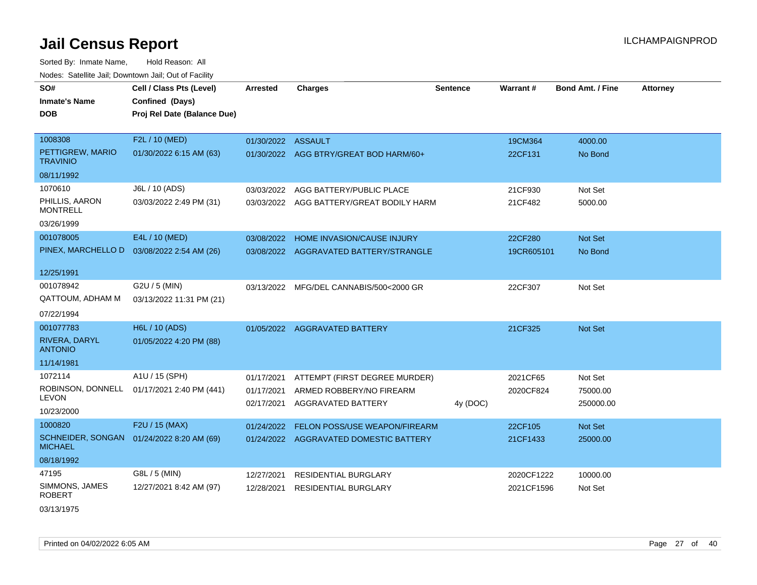Sorted By: Inmate Name, Hold Reason: All Nodes: Satellite Jail; Downtown Jail; Out of Facility

| nouco. Calcinio can, Downlown can, Out of Fabilit           |                                            |                    |                                          |                 |            |                         |                 |
|-------------------------------------------------------------|--------------------------------------------|--------------------|------------------------------------------|-----------------|------------|-------------------------|-----------------|
| SO#                                                         | Cell / Class Pts (Level)                   | <b>Arrested</b>    | <b>Charges</b>                           | <b>Sentence</b> | Warrant#   | <b>Bond Amt. / Fine</b> | <b>Attorney</b> |
| <b>Inmate's Name</b>                                        | Confined (Days)                            |                    |                                          |                 |            |                         |                 |
| DOB                                                         | Proj Rel Date (Balance Due)                |                    |                                          |                 |            |                         |                 |
|                                                             |                                            |                    |                                          |                 |            |                         |                 |
| 1008308                                                     | F2L / 10 (MED)                             | 01/30/2022 ASSAULT |                                          |                 | 19CM364    | 4000.00                 |                 |
| PETTIGREW, MARIO<br><b>TRAVINIO</b>                         | 01/30/2022 6:15 AM (63)                    |                    | 01/30/2022 AGG BTRY/GREAT BOD HARM/60+   |                 | 22CF131    | No Bond                 |                 |
| 08/11/1992                                                  |                                            |                    |                                          |                 |            |                         |                 |
| 1070610                                                     | J6L / 10 (ADS)                             |                    | 03/03/2022 AGG BATTERY/PUBLIC PLACE      |                 | 21CF930    | Not Set                 |                 |
| PHILLIS, AARON<br><b>MONTRELL</b>                           | 03/03/2022 2:49 PM (31)                    |                    | 03/03/2022 AGG BATTERY/GREAT BODILY HARM |                 | 21CF482    | 5000.00                 |                 |
| 03/26/1999                                                  |                                            |                    |                                          |                 |            |                         |                 |
| 001078005                                                   | E4L / 10 (MED)                             | 03/08/2022         | HOME INVASION/CAUSE INJURY               |                 | 22CF280    | Not Set                 |                 |
| PINEX, MARCHELLO D                                          | 03/08/2022 2:54 AM (26)                    |                    | 03/08/2022 AGGRAVATED BATTERY/STRANGLE   |                 | 19CR605101 | No Bond                 |                 |
|                                                             |                                            |                    |                                          |                 |            |                         |                 |
| 12/25/1991                                                  |                                            |                    |                                          |                 |            |                         |                 |
| 001078942                                                   | G2U / 5 (MIN)                              |                    | 03/13/2022 MFG/DEL CANNABIS/500<2000 GR  |                 | 22CF307    | Not Set                 |                 |
| <b>QATTOUM, ADHAM M</b>                                     | 03/13/2022 11:31 PM (21)                   |                    |                                          |                 |            |                         |                 |
| 07/22/1994                                                  |                                            |                    |                                          |                 |            |                         |                 |
| 001077783                                                   | H6L / 10 (ADS)                             |                    | 01/05/2022 AGGRAVATED BATTERY            |                 | 21CF325    | <b>Not Set</b>          |                 |
| RIVERA, DARYL<br><b>ANTONIO</b>                             | 01/05/2022 4:20 PM (88)                    |                    |                                          |                 |            |                         |                 |
| 11/14/1981                                                  |                                            |                    |                                          |                 |            |                         |                 |
| 1072114                                                     | A1U / 15 (SPH)                             | 01/17/2021         | ATTEMPT (FIRST DEGREE MURDER)            |                 | 2021CF65   | Not Set                 |                 |
|                                                             | ROBINSON, DONNELL 01/17/2021 2:40 PM (441) | 01/17/2021         | ARMED ROBBERY/NO FIREARM                 |                 | 2020CF824  | 75000.00                |                 |
| <b>LEVON</b>                                                |                                            | 02/17/2021         | <b>AGGRAVATED BATTERY</b>                | 4y (DOC)        |            | 250000.00               |                 |
| 10/23/2000                                                  |                                            |                    |                                          |                 |            |                         |                 |
| 1000820                                                     | F2U / 15 (MAX)                             | 01/24/2022         | FELON POSS/USE WEAPON/FIREARM            |                 | 22CF105    | Not Set                 |                 |
| SCHNEIDER, SONGAN 01/24/2022 8:20 AM (69)<br><b>MICHAEL</b> |                                            |                    | 01/24/2022 AGGRAVATED DOMESTIC BATTERY   |                 | 21CF1433   | 25000.00                |                 |
| 08/18/1992                                                  |                                            |                    |                                          |                 |            |                         |                 |
| 47195                                                       | G8L / 5 (MIN)                              | 12/27/2021         | <b>RESIDENTIAL BURGLARY</b>              |                 | 2020CF1222 | 10000.00                |                 |
| SIMMONS, JAMES<br><b>ROBERT</b>                             | 12/27/2021 8:42 AM (97)                    | 12/28/2021         | <b>RESIDENTIAL BURGLARY</b>              |                 | 2021CF1596 | Not Set                 |                 |

03/13/1975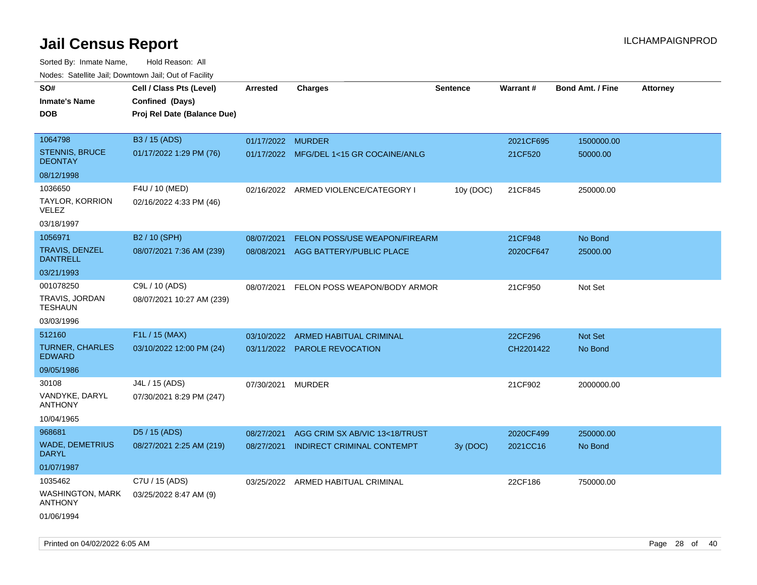| rougs. Calcing Jan, Downtown Jan, Out of Facility |                             |                   |                                         |                 |           |                         |                 |
|---------------------------------------------------|-----------------------------|-------------------|-----------------------------------------|-----------------|-----------|-------------------------|-----------------|
| SO#                                               | Cell / Class Pts (Level)    | <b>Arrested</b>   | <b>Charges</b>                          | <b>Sentence</b> | Warrant#  | <b>Bond Amt. / Fine</b> | <b>Attorney</b> |
| <b>Inmate's Name</b>                              | Confined (Days)             |                   |                                         |                 |           |                         |                 |
| <b>DOB</b>                                        | Proj Rel Date (Balance Due) |                   |                                         |                 |           |                         |                 |
|                                                   |                             |                   |                                         |                 |           |                         |                 |
| 1064798                                           | B3 / 15 (ADS)               | 01/17/2022 MURDER |                                         |                 | 2021CF695 | 1500000.00              |                 |
| STENNIS, BRUCE<br><b>DEONTAY</b>                  | 01/17/2022 1:29 PM (76)     |                   | 01/17/2022 MFG/DEL 1<15 GR COCAINE/ANLG |                 | 21CF520   | 50000.00                |                 |
| 08/12/1998                                        |                             |                   |                                         |                 |           |                         |                 |
| 1036650                                           | F4U / 10 (MED)              |                   | 02/16/2022 ARMED VIOLENCE/CATEGORY I    | 10y (DOC)       | 21CF845   | 250000.00               |                 |
| TAYLOR, KORRION<br>VELEZ                          | 02/16/2022 4:33 PM (46)     |                   |                                         |                 |           |                         |                 |
| 03/18/1997                                        |                             |                   |                                         |                 |           |                         |                 |
| 1056971                                           | B2 / 10 (SPH)               | 08/07/2021        | FELON POSS/USE WEAPON/FIREARM           |                 | 21CF948   | No Bond                 |                 |
| TRAVIS, DENZEL<br><b>DANTRELL</b>                 | 08/07/2021 7:36 AM (239)    | 08/08/2021        | AGG BATTERY/PUBLIC PLACE                |                 | 2020CF647 | 25000.00                |                 |
| 03/21/1993                                        |                             |                   |                                         |                 |           |                         |                 |
| 001078250                                         | C9L / 10 (ADS)              | 08/07/2021        | FELON POSS WEAPON/BODY ARMOR            |                 | 21CF950   | Not Set                 |                 |
| TRAVIS, JORDAN<br><b>TESHAUN</b>                  | 08/07/2021 10:27 AM (239)   |                   |                                         |                 |           |                         |                 |
| 03/03/1996                                        |                             |                   |                                         |                 |           |                         |                 |
| 512160                                            | F1L / 15 (MAX)              | 03/10/2022        | ARMED HABITUAL CRIMINAL                 |                 | 22CF296   | <b>Not Set</b>          |                 |
| <b>TURNER, CHARLES</b><br><b>EDWARD</b>           | 03/10/2022 12:00 PM (24)    |                   | 03/11/2022 PAROLE REVOCATION            |                 | CH2201422 | No Bond                 |                 |
| 09/05/1986                                        |                             |                   |                                         |                 |           |                         |                 |
| 30108                                             | J4L / 15 (ADS)              | 07/30/2021 MURDER |                                         |                 | 21CF902   | 2000000.00              |                 |
| VANDYKE, DARYL<br><b>ANTHONY</b>                  | 07/30/2021 8:29 PM (247)    |                   |                                         |                 |           |                         |                 |
| 10/04/1965                                        |                             |                   |                                         |                 |           |                         |                 |
| 968681                                            | D <sub>5</sub> / 15 (ADS)   | 08/27/2021        | AGG CRIM SX AB/VIC 13<18/TRUST          |                 | 2020CF499 | 250000.00               |                 |
| <b>WADE, DEMETRIUS</b><br><b>DARYL</b>            | 08/27/2021 2:25 AM (219)    | 08/27/2021        | INDIRECT CRIMINAL CONTEMPT              | 3y (DOC)        | 2021CC16  | No Bond                 |                 |
| 01/07/1987                                        |                             |                   |                                         |                 |           |                         |                 |
| 1035462                                           | C7U / 15 (ADS)              |                   | 03/25/2022 ARMED HABITUAL CRIMINAL      |                 | 22CF186   | 750000.00               |                 |
| <b>WASHINGTON, MARK</b><br><b>ANTHONY</b>         | 03/25/2022 8:47 AM (9)      |                   |                                         |                 |           |                         |                 |
| 01/06/1994                                        |                             |                   |                                         |                 |           |                         |                 |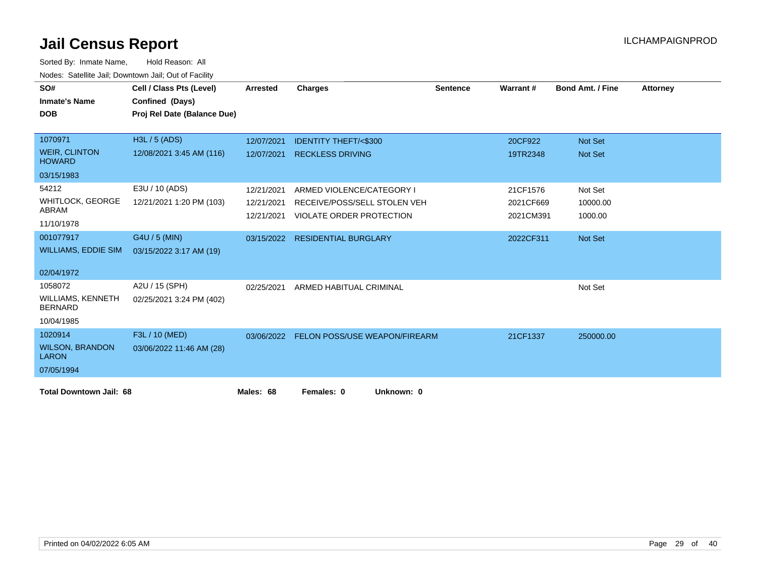| SO#                                        | Cell / Class Pts (Level)    | <b>Arrested</b> | <b>Charges</b>                       | <b>Sentence</b> | Warrant#  | <b>Bond Amt. / Fine</b> | <b>Attorney</b> |
|--------------------------------------------|-----------------------------|-----------------|--------------------------------------|-----------------|-----------|-------------------------|-----------------|
| <b>Inmate's Name</b>                       | Confined (Days)             |                 |                                      |                 |           |                         |                 |
| <b>DOB</b>                                 | Proj Rel Date (Balance Due) |                 |                                      |                 |           |                         |                 |
|                                            |                             |                 |                                      |                 |           |                         |                 |
| 1070971                                    | H3L / 5 (ADS)               |                 |                                      |                 |           |                         |                 |
|                                            |                             | 12/07/2021      | <b>IDENTITY THEFT/&lt;\$300</b>      |                 | 20CF922   | Not Set                 |                 |
| <b>WEIR, CLINTON</b><br><b>HOWARD</b>      | 12/08/2021 3:45 AM (116)    | 12/07/2021      | <b>RECKLESS DRIVING</b>              |                 | 19TR2348  | Not Set                 |                 |
| 03/15/1983                                 |                             |                 |                                      |                 |           |                         |                 |
| 54212                                      | E3U / 10 (ADS)              | 12/21/2021      | ARMED VIOLENCE/CATEGORY I            |                 | 21CF1576  | Not Set                 |                 |
| <b>WHITLOCK, GEORGE</b>                    | 12/21/2021 1:20 PM (103)    | 12/21/2021      | RECEIVE/POSS/SELL STOLEN VEH         |                 | 2021CF669 | 10000.00                |                 |
| ABRAM                                      |                             | 12/21/2021      | VIOLATE ORDER PROTECTION             |                 | 2021CM391 | 1000.00                 |                 |
| 11/10/1978                                 |                             |                 |                                      |                 |           |                         |                 |
| 001077917                                  | G4U / 5 (MIN)               |                 | 03/15/2022 RESIDENTIAL BURGLARY      |                 | 2022CF311 | Not Set                 |                 |
| <b>WILLIAMS, EDDIE SIM</b>                 | 03/15/2022 3:17 AM (19)     |                 |                                      |                 |           |                         |                 |
| 02/04/1972                                 |                             |                 |                                      |                 |           |                         |                 |
|                                            |                             |                 |                                      |                 |           |                         |                 |
| 1058072                                    | A2U / 15 (SPH)              | 02/25/2021      | ARMED HABITUAL CRIMINAL              |                 |           | Not Set                 |                 |
| <b>WILLIAMS, KENNETH</b><br><b>BERNARD</b> | 02/25/2021 3:24 PM (402)    |                 |                                      |                 |           |                         |                 |
| 10/04/1985                                 |                             |                 |                                      |                 |           |                         |                 |
| 1020914                                    | F3L / 10 (MED)              | 03/06/2022      | <b>FELON POSS/USE WEAPON/FIREARM</b> |                 | 21CF1337  | 250000.00               |                 |
| <b>WILSON, BRANDON</b><br><b>LARON</b>     | 03/06/2022 11:46 AM (28)    |                 |                                      |                 |           |                         |                 |
| 07/05/1994                                 |                             |                 |                                      |                 |           |                         |                 |
| <b>Total Downtown Jail: 68</b>             |                             | Males: 68       | Females: 0<br>Unknown: 0             |                 |           |                         |                 |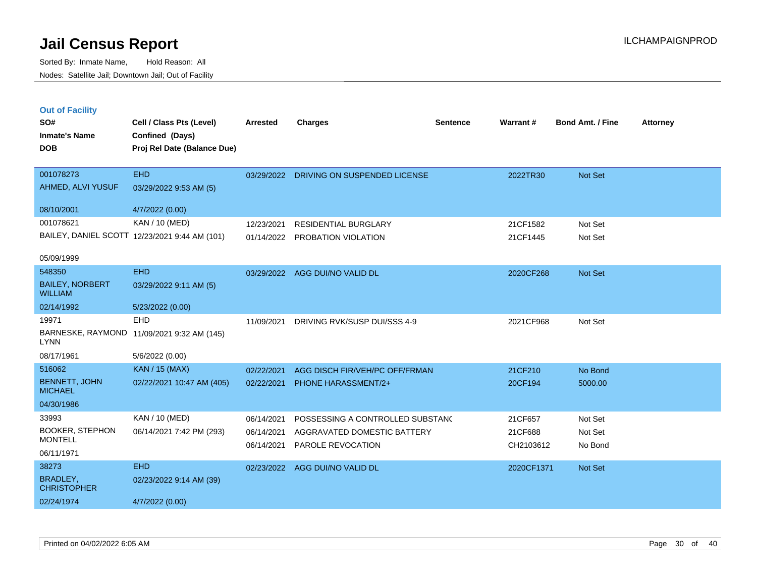Sorted By: Inmate Name, Hold Reason: All Nodes: Satellite Jail; Downtown Jail; Out of Facility

| <b>Out of Facility</b><br>SO#<br><b>Inmate's Name</b><br><b>DOB</b> | Cell / Class Pts (Level)<br>Confined (Days)<br>Proj Rel Date (Balance Due) | <b>Arrested</b>          | <b>Charges</b>                                   | <b>Sentence</b> | Warrant#             | <b>Bond Amt. / Fine</b> | <b>Attorney</b> |
|---------------------------------------------------------------------|----------------------------------------------------------------------------|--------------------------|--------------------------------------------------|-----------------|----------------------|-------------------------|-----------------|
| 001078273                                                           | <b>EHD</b>                                                                 | 03/29/2022               | DRIVING ON SUSPENDED LICENSE                     |                 | 2022TR30             | <b>Not Set</b>          |                 |
| AHMED, ALVI YUSUF                                                   | 03/29/2022 9:53 AM (5)                                                     |                          |                                                  |                 |                      |                         |                 |
| 08/10/2001                                                          | 4/7/2022 (0.00)                                                            |                          |                                                  |                 |                      |                         |                 |
| 001078621                                                           | KAN / 10 (MED)                                                             | 12/23/2021               | <b>RESIDENTIAL BURGLARY</b>                      |                 | 21CF1582             | Not Set                 |                 |
|                                                                     | BAILEY, DANIEL SCOTT 12/23/2021 9:44 AM (101)                              | 01/14/2022               | PROBATION VIOLATION                              |                 | 21CF1445             | Not Set                 |                 |
| 05/09/1999                                                          |                                                                            |                          |                                                  |                 |                      |                         |                 |
| 548350                                                              | <b>EHD</b>                                                                 |                          | 03/29/2022 AGG DUI/NO VALID DL                   |                 | 2020CF268            | Not Set                 |                 |
| <b>BAILEY, NORBERT</b><br><b>WILLIAM</b>                            | 03/29/2022 9:11 AM (5)                                                     |                          |                                                  |                 |                      |                         |                 |
| 02/14/1992                                                          | 5/23/2022 (0.00)                                                           |                          |                                                  |                 |                      |                         |                 |
| 19971                                                               | <b>EHD</b>                                                                 | 11/09/2021               | DRIVING RVK/SUSP DUI/SSS 4-9                     |                 | 2021CF968            | Not Set                 |                 |
| <b>LYNN</b>                                                         | BARNESKE, RAYMOND 11/09/2021 9:32 AM (145)                                 |                          |                                                  |                 |                      |                         |                 |
| 08/17/1961                                                          | 5/6/2022 (0.00)                                                            |                          |                                                  |                 |                      |                         |                 |
| 516062                                                              | <b>KAN / 15 (MAX)</b>                                                      | 02/22/2021               | AGG DISCH FIR/VEH/PC OFF/FRMAN                   |                 | 21CF210              | No Bond                 |                 |
| <b>BENNETT, JOHN</b><br><b>MICHAEL</b>                              | 02/22/2021 10:47 AM (405)                                                  | 02/22/2021               | <b>PHONE HARASSMENT/2+</b>                       |                 | 20CF194              | 5000.00                 |                 |
| 04/30/1986                                                          |                                                                            |                          |                                                  |                 |                      |                         |                 |
| 33993                                                               | KAN / 10 (MED)                                                             | 06/14/2021               | POSSESSING A CONTROLLED SUBSTANC                 |                 | 21CF657              | Not Set                 |                 |
| <b>BOOKER, STEPHON</b><br><b>MONTELL</b>                            | 06/14/2021 7:42 PM (293)                                                   | 06/14/2021<br>06/14/2021 | AGGRAVATED DOMESTIC BATTERY<br>PAROLE REVOCATION |                 | 21CF688<br>CH2103612 | Not Set<br>No Bond      |                 |
| 06/11/1971                                                          |                                                                            |                          |                                                  |                 |                      |                         |                 |

BRADLEY, **CHRISTOPHER** 38273 EHD 02/23/2022 9:14 AM (39) 02/24/1974 4/7/2022 (0.00) 02/23/2022 AGG DUI/NO VALID DL 2020CF1371 Not Set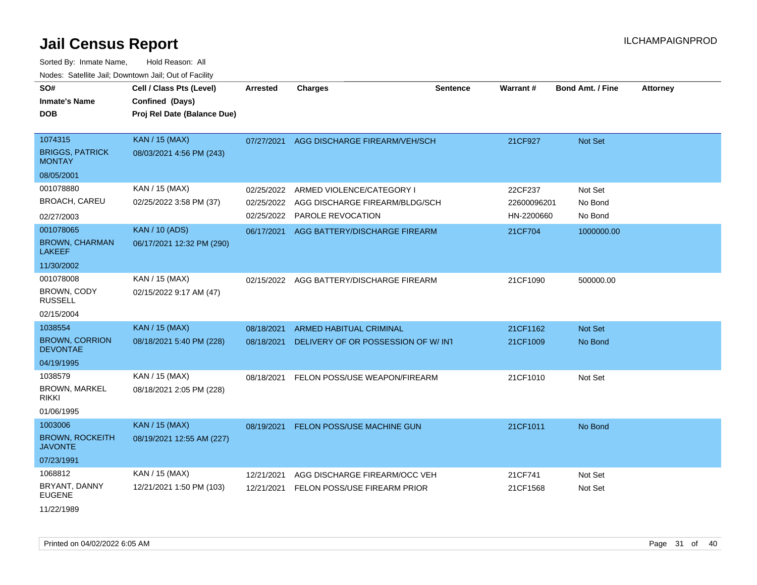| SO#<br><b>Inmate's Name</b><br>DOB                 | Cell / Class Pts (Level)<br>Confined (Days)<br>Proj Rel Date (Balance Due) | <b>Arrested</b> | <b>Charges</b>                           | <b>Sentence</b> | <b>Warrant#</b> | <b>Bond Amt. / Fine</b> | <b>Attorney</b> |
|----------------------------------------------------|----------------------------------------------------------------------------|-----------------|------------------------------------------|-----------------|-----------------|-------------------------|-----------------|
| 1074315<br><b>BRIGGS, PATRICK</b><br><b>MONTAY</b> | <b>KAN / 15 (MAX)</b><br>08/03/2021 4:56 PM (243)                          | 07/27/2021      | AGG DISCHARGE FIREARM/VEH/SCH            |                 | 21CF927         | Not Set                 |                 |
| 08/05/2001                                         |                                                                            |                 |                                          |                 |                 |                         |                 |
| 001078880                                          | KAN / 15 (MAX)                                                             | 02/25/2022      | ARMED VIOLENCE/CATEGORY I                |                 | 22CF237         | Not Set                 |                 |
| <b>BROACH, CAREU</b>                               | 02/25/2022 3:58 PM (37)                                                    | 02/25/2022      | AGG DISCHARGE FIREARM/BLDG/SCH           |                 | 22600096201     | No Bond                 |                 |
| 02/27/2003                                         |                                                                            | 02/25/2022      | PAROLE REVOCATION                        |                 | HN-2200660      | No Bond                 |                 |
| 001078065                                          | <b>KAN / 10 (ADS)</b>                                                      | 06/17/2021      | AGG BATTERY/DISCHARGE FIREARM            |                 | 21CF704         | 1000000.00              |                 |
| <b>BROWN, CHARMAN</b><br><b>LAKEEF</b>             | 06/17/2021 12:32 PM (290)                                                  |                 |                                          |                 |                 |                         |                 |
| 11/30/2002                                         |                                                                            |                 |                                          |                 |                 |                         |                 |
| 001078008                                          | KAN / 15 (MAX)                                                             |                 | 02/15/2022 AGG BATTERY/DISCHARGE FIREARM |                 | 21CF1090        | 500000.00               |                 |
| BROWN, CODY<br><b>RUSSELL</b>                      | 02/15/2022 9:17 AM (47)                                                    |                 |                                          |                 |                 |                         |                 |
| 02/15/2004                                         |                                                                            |                 |                                          |                 |                 |                         |                 |
| 1038554                                            | KAN / 15 (MAX)                                                             | 08/18/2021      | <b>ARMED HABITUAL CRIMINAL</b>           |                 | 21CF1162        | <b>Not Set</b>          |                 |
| <b>BROWN, CORRION</b><br><b>DEVONTAE</b>           | 08/18/2021 5:40 PM (228)                                                   | 08/18/2021      | DELIVERY OF OR POSSESSION OF W/INT       |                 | 21CF1009        | No Bond                 |                 |
| 04/19/1995                                         |                                                                            |                 |                                          |                 |                 |                         |                 |
| 1038579                                            | KAN / 15 (MAX)                                                             | 08/18/2021      | FELON POSS/USE WEAPON/FIREARM            |                 | 21CF1010        | Not Set                 |                 |
| <b>BROWN, MARKEL</b><br>rikki                      | 08/18/2021 2:05 PM (228)                                                   |                 |                                          |                 |                 |                         |                 |
| 01/06/1995                                         |                                                                            |                 |                                          |                 |                 |                         |                 |
| 1003006                                            | <b>KAN / 15 (MAX)</b>                                                      | 08/19/2021      | FELON POSS/USE MACHINE GUN               |                 | 21CF1011        | No Bond                 |                 |
| <b>BROWN, ROCKEITH</b><br><b>JAVONTE</b>           | 08/19/2021 12:55 AM (227)                                                  |                 |                                          |                 |                 |                         |                 |
| 07/23/1991                                         |                                                                            |                 |                                          |                 |                 |                         |                 |
| 1068812                                            | KAN / 15 (MAX)                                                             | 12/21/2021      | AGG DISCHARGE FIREARM/OCC VEH            |                 | 21CF741         | Not Set                 |                 |
| BRYANT, DANNY<br><b>EUGENE</b>                     | 12/21/2021 1:50 PM (103)                                                   | 12/21/2021      | FELON POSS/USE FIREARM PRIOR             |                 | 21CF1568        | Not Set                 |                 |
| 11/22/1989                                         |                                                                            |                 |                                          |                 |                 |                         |                 |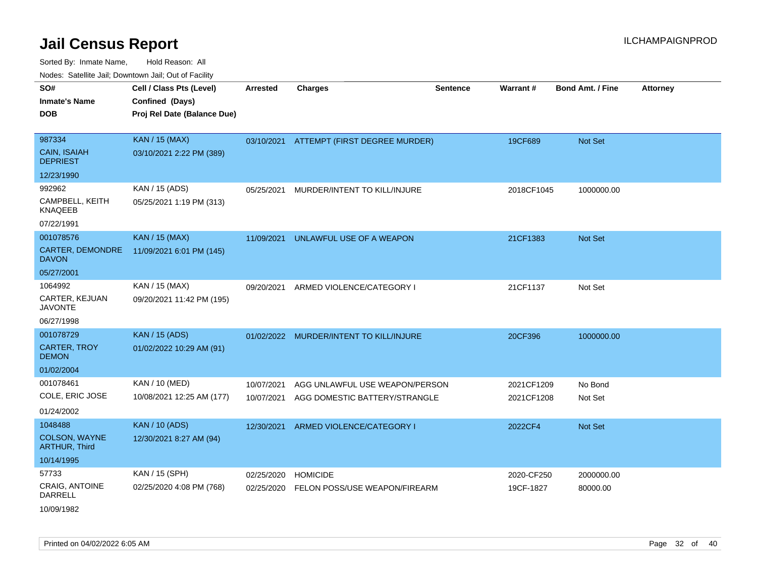Sorted By: Inmate Name, Hold Reason: All Nodes: Satellite Jail; Downtown Jail; Out of Facility

| SO#<br><b>Inmate's Name</b><br><b>DOB</b>        | Cell / Class Pts (Level)<br>Confined (Days)<br>Proj Rel Date (Balance Due) | <b>Arrested</b> | <b>Charges</b>                           | <b>Sentence</b> | <b>Warrant#</b> | <b>Bond Amt. / Fine</b> | <b>Attorney</b> |
|--------------------------------------------------|----------------------------------------------------------------------------|-----------------|------------------------------------------|-----------------|-----------------|-------------------------|-----------------|
|                                                  |                                                                            |                 |                                          |                 |                 |                         |                 |
| 987334<br><b>CAIN, ISAIAH</b><br><b>DEPRIEST</b> | <b>KAN / 15 (MAX)</b><br>03/10/2021 2:22 PM (389)                          |                 | 03/10/2021 ATTEMPT (FIRST DEGREE MURDER) |                 | 19CF689         | Not Set                 |                 |
| 12/23/1990                                       |                                                                            |                 |                                          |                 |                 |                         |                 |
| 992962                                           | KAN / 15 (ADS)                                                             | 05/25/2021      | MURDER/INTENT TO KILL/INJURE             |                 | 2018CF1045      | 1000000.00              |                 |
| CAMPBELL, KEITH<br><b>KNAQEEB</b>                | 05/25/2021 1:19 PM (313)                                                   |                 |                                          |                 |                 |                         |                 |
| 07/22/1991                                       |                                                                            |                 |                                          |                 |                 |                         |                 |
| 001078576                                        | <b>KAN / 15 (MAX)</b>                                                      | 11/09/2021      | UNLAWFUL USE OF A WEAPON                 |                 | 21CF1383        | <b>Not Set</b>          |                 |
| <b>CARTER, DEMONDRE</b><br><b>DAVON</b>          | 11/09/2021 6:01 PM (145)                                                   |                 |                                          |                 |                 |                         |                 |
| 05/27/2001                                       |                                                                            |                 |                                          |                 |                 |                         |                 |
| 1064992                                          | KAN / 15 (MAX)                                                             | 09/20/2021      | ARMED VIOLENCE/CATEGORY I                |                 | 21CF1137        | Not Set                 |                 |
| CARTER, KEJUAN<br><b>JAVONTE</b>                 | 09/20/2021 11:42 PM (195)                                                  |                 |                                          |                 |                 |                         |                 |
| 06/27/1998                                       |                                                                            |                 |                                          |                 |                 |                         |                 |
| 001078729                                        | <b>KAN / 15 (ADS)</b>                                                      | 01/02/2022      | MURDER/INTENT TO KILL/INJURE             |                 | 20CF396         | 1000000.00              |                 |
| <b>CARTER, TROY</b><br><b>DEMON</b>              | 01/02/2022 10:29 AM (91)                                                   |                 |                                          |                 |                 |                         |                 |
| 01/02/2004                                       |                                                                            |                 |                                          |                 |                 |                         |                 |
| 001078461                                        | KAN / 10 (MED)                                                             | 10/07/2021      | AGG UNLAWFUL USE WEAPON/PERSON           |                 | 2021CF1209      | No Bond                 |                 |
| COLE, ERIC JOSE                                  | 10/08/2021 12:25 AM (177)                                                  | 10/07/2021      | AGG DOMESTIC BATTERY/STRANGLE            |                 | 2021CF1208      | Not Set                 |                 |
| 01/24/2002                                       |                                                                            |                 |                                          |                 |                 |                         |                 |
| 1048488                                          | <b>KAN / 10 (ADS)</b>                                                      | 12/30/2021      | ARMED VIOLENCE/CATEGORY I                |                 | 2022CF4         | <b>Not Set</b>          |                 |
| <b>COLSON, WAYNE</b><br><b>ARTHUR, Third</b>     | 12/30/2021 8:27 AM (94)                                                    |                 |                                          |                 |                 |                         |                 |
| 10/14/1995                                       |                                                                            |                 |                                          |                 |                 |                         |                 |
| 57733                                            | KAN / 15 (SPH)                                                             | 02/25/2020      | <b>HOMICIDE</b>                          |                 | 2020-CF250      | 2000000.00              |                 |
| <b>CRAIG, ANTOINE</b><br>DARRELL                 | 02/25/2020 4:08 PM (768)                                                   | 02/25/2020      | FELON POSS/USE WEAPON/FIREARM            |                 | 19CF-1827       | 80000.00                |                 |

10/09/1982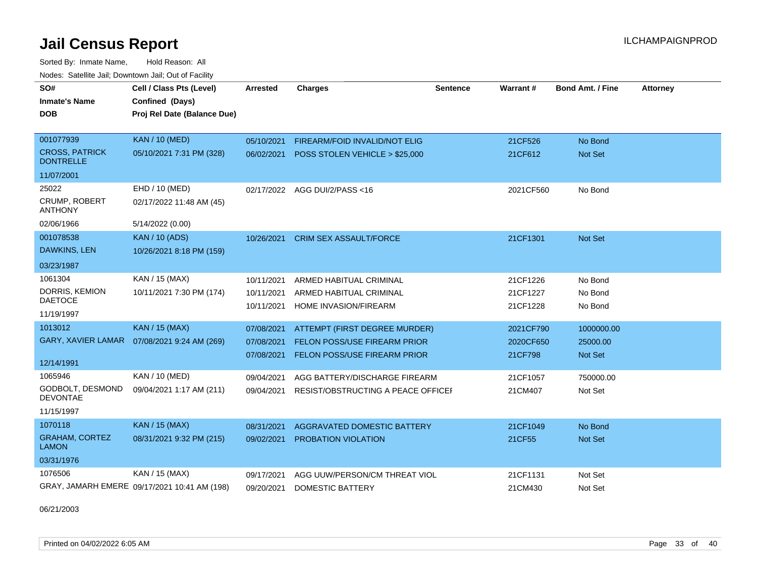Sorted By: Inmate Name, Hold Reason: All Nodes: Satellite Jail; Downtown Jail; Out of Facility

| SO#<br><b>Inmate's Name</b><br><b>DOB</b> | Cell / Class Pts (Level)<br>Confined (Days)<br>Proj Rel Date (Balance Due) | Arrested   | <b>Charges</b>                      | Sentence | <b>Warrant#</b> | <b>Bond Amt. / Fine</b> | <b>Attorney</b> |
|-------------------------------------------|----------------------------------------------------------------------------|------------|-------------------------------------|----------|-----------------|-------------------------|-----------------|
| 001077939                                 | <b>KAN / 10 (MED)</b>                                                      | 05/10/2021 | FIREARM/FOID INVALID/NOT ELIG       |          | 21CF526         | No Bond                 |                 |
| <b>CROSS, PATRICK</b><br><b>DONTRELLE</b> | 05/10/2021 7:31 PM (328)                                                   | 06/02/2021 | POSS STOLEN VEHICLE > \$25,000      |          | 21CF612         | Not Set                 |                 |
| 11/07/2001                                |                                                                            |            |                                     |          |                 |                         |                 |
| 25022                                     | EHD / 10 (MED)                                                             | 02/17/2022 | AGG DUI/2/PASS <16                  |          | 2021CF560       | No Bond                 |                 |
| CRUMP, ROBERT<br><b>ANTHONY</b>           | 02/17/2022 11:48 AM (45)                                                   |            |                                     |          |                 |                         |                 |
| 02/06/1966                                | 5/14/2022 (0.00)                                                           |            |                                     |          |                 |                         |                 |
| 001078538                                 | <b>KAN / 10 (ADS)</b>                                                      | 10/26/2021 | <b>CRIM SEX ASSAULT/FORCE</b>       |          | 21CF1301        | Not Set                 |                 |
| <b>DAWKINS, LEN</b>                       | 10/26/2021 8:18 PM (159)                                                   |            |                                     |          |                 |                         |                 |
| 03/23/1987                                |                                                                            |            |                                     |          |                 |                         |                 |
| 1061304                                   | KAN / 15 (MAX)                                                             | 10/11/2021 | ARMED HABITUAL CRIMINAL             |          | 21CF1226        | No Bond                 |                 |
| DORRIS, KEMION<br><b>DAETOCE</b>          | 10/11/2021 7:30 PM (174)                                                   | 10/11/2021 | ARMED HABITUAL CRIMINAL             |          | 21CF1227        | No Bond                 |                 |
| 11/19/1997                                |                                                                            | 10/11/2021 | HOME INVASION/FIREARM               |          | 21CF1228        | No Bond                 |                 |
| 1013012                                   | <b>KAN</b> / 15 (MAX)                                                      | 07/08/2021 | ATTEMPT (FIRST DEGREE MURDER)       |          | 2021CF790       | 1000000.00              |                 |
|                                           | GARY, XAVIER LAMAR  07/08/2021 9:24 AM (269)                               | 07/08/2021 | <b>FELON POSS/USE FIREARM PRIOR</b> |          | 2020CF650       | 25000.00                |                 |
| 12/14/1991                                |                                                                            | 07/08/2021 | FELON POSS/USE FIREARM PRIOR        |          | 21CF798         | Not Set                 |                 |
| 1065946                                   | <b>KAN / 10 (MED)</b>                                                      | 09/04/2021 | AGG BATTERY/DISCHARGE FIREARM       |          | 21CF1057        | 750000.00               |                 |
| GODBOLT, DESMOND<br><b>DEVONTAE</b>       | 09/04/2021 1:17 AM (211)                                                   | 09/04/2021 | RESIST/OBSTRUCTING A PEACE OFFICEI  |          | 21CM407         | Not Set                 |                 |
| 11/15/1997                                |                                                                            |            |                                     |          |                 |                         |                 |
| 1070118                                   | KAN / 15 (MAX)                                                             | 08/31/2021 | AGGRAVATED DOMESTIC BATTERY         |          | 21CF1049        | No Bond                 |                 |
| <b>GRAHAM, CORTEZ</b><br><b>LAMON</b>     | 08/31/2021 9:32 PM (215)                                                   | 09/02/2021 | PROBATION VIOLATION                 |          | 21CF55          | Not Set                 |                 |
| 03/31/1976                                |                                                                            |            |                                     |          |                 |                         |                 |
| 1076506                                   | KAN / 15 (MAX)                                                             | 09/17/2021 | AGG UUW/PERSON/CM THREAT VIOL       |          | 21CF1131        | Not Set                 |                 |
|                                           | GRAY, JAMARH EMERE 09/17/2021 10:41 AM (198)                               | 09/20/2021 | <b>DOMESTIC BATTERY</b>             |          | 21CM430         | Not Set                 |                 |

06/21/2003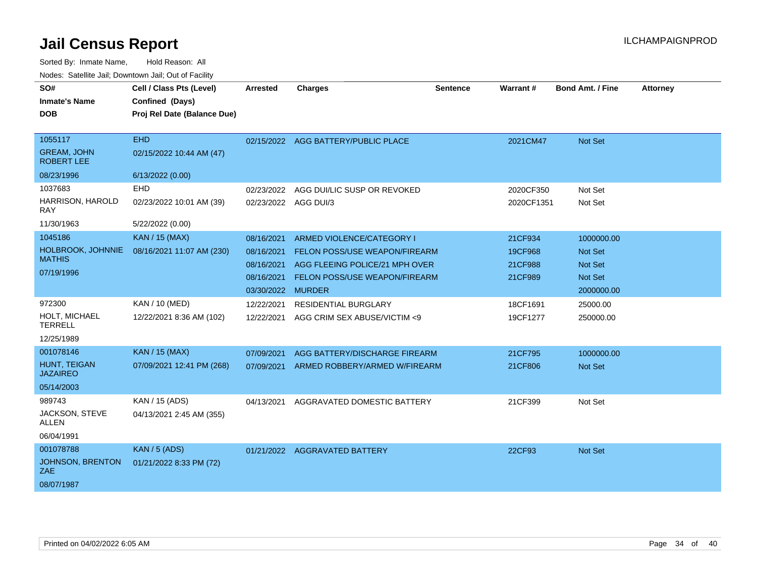| SO#                                     | Cell / Class Pts (Level)                       | <b>Arrested</b>   | <b>Charges</b>                       | <b>Sentence</b> | Warrant#   | <b>Bond Amt. / Fine</b> | <b>Attorney</b> |
|-----------------------------------------|------------------------------------------------|-------------------|--------------------------------------|-----------------|------------|-------------------------|-----------------|
| <b>Inmate's Name</b><br><b>DOB</b>      | Confined (Days)<br>Proj Rel Date (Balance Due) |                   |                                      |                 |            |                         |                 |
|                                         |                                                |                   |                                      |                 |            |                         |                 |
| 1055117                                 | <b>EHD</b>                                     |                   | 02/15/2022 AGG BATTERY/PUBLIC PLACE  |                 | 2021CM47   | Not Set                 |                 |
| <b>GREAM, JOHN</b><br><b>ROBERT LEE</b> | 02/15/2022 10:44 AM (47)                       |                   |                                      |                 |            |                         |                 |
| 08/23/1996                              | 6/13/2022 (0.00)                               |                   |                                      |                 |            |                         |                 |
| 1037683                                 | EHD                                            | 02/23/2022        | AGG DUI/LIC SUSP OR REVOKED          |                 | 2020CF350  | Not Set                 |                 |
| HARRISON, HAROLD<br><b>RAY</b>          | 02/23/2022 10:01 AM (39)                       | 02/23/2022        | AGG DUI/3                            |                 | 2020CF1351 | Not Set                 |                 |
| 11/30/1963                              | 5/22/2022 (0.00)                               |                   |                                      |                 |            |                         |                 |
| 1045186                                 | KAN / 15 (MAX)                                 | 08/16/2021        | ARMED VIOLENCE/CATEGORY I            |                 | 21CF934    | 1000000.00              |                 |
| <b>HOLBROOK, JOHNNIE</b>                | 08/16/2021 11:07 AM (230)                      | 08/16/2021        | <b>FELON POSS/USE WEAPON/FIREARM</b> |                 | 19CF968    | Not Set                 |                 |
| <b>MATHIS</b>                           |                                                | 08/16/2021        | AGG FLEEING POLICE/21 MPH OVER       |                 | 21CF988    | <b>Not Set</b>          |                 |
| 07/19/1996                              |                                                | 08/16/2021        | <b>FELON POSS/USE WEAPON/FIREARM</b> |                 | 21CF989    | <b>Not Set</b>          |                 |
|                                         |                                                | 03/30/2022 MURDER |                                      |                 |            | 2000000.00              |                 |
| 972300                                  | KAN / 10 (MED)                                 | 12/22/2021        | <b>RESIDENTIAL BURGLARY</b>          |                 | 18CF1691   | 25000.00                |                 |
| HOLT, MICHAEL<br><b>TERRELL</b>         | 12/22/2021 8:36 AM (102)                       | 12/22/2021        | AGG CRIM SEX ABUSE/VICTIM <9         |                 | 19CF1277   | 250000.00               |                 |
| 12/25/1989                              |                                                |                   |                                      |                 |            |                         |                 |
| 001078146                               | <b>KAN / 15 (MAX)</b>                          | 07/09/2021        | AGG BATTERY/DISCHARGE FIREARM        |                 | 21CF795    | 1000000.00              |                 |
| <b>HUNT. TEIGAN</b><br><b>JAZAIREO</b>  | 07/09/2021 12:41 PM (268)                      | 07/09/2021        | ARMED ROBBERY/ARMED W/FIREARM        |                 | 21CF806    | <b>Not Set</b>          |                 |
| 05/14/2003                              |                                                |                   |                                      |                 |            |                         |                 |
| 989743                                  | KAN / 15 (ADS)                                 | 04/13/2021        | AGGRAVATED DOMESTIC BATTERY          |                 | 21CF399    | Not Set                 |                 |
| JACKSON, STEVE<br><b>ALLEN</b>          | 04/13/2021 2:45 AM (355)                       |                   |                                      |                 |            |                         |                 |
| 06/04/1991                              |                                                |                   |                                      |                 |            |                         |                 |
| 001078788                               | <b>KAN / 5 (ADS)</b>                           |                   | 01/21/2022 AGGRAVATED BATTERY        |                 | 22CF93     | Not Set                 |                 |
| JOHNSON, BRENTON<br>ZAE.                | 01/21/2022 8:33 PM (72)                        |                   |                                      |                 |            |                         |                 |
| 08/07/1987                              |                                                |                   |                                      |                 |            |                         |                 |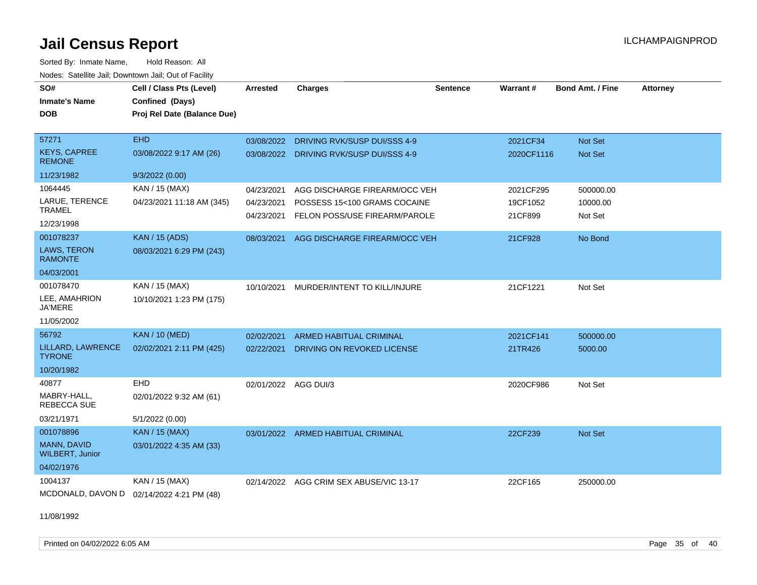Sorted By: Inmate Name, Hold Reason: All Nodes: Satellite Jail; Downtown Jail; Out of Facility

| SO#<br><b>Inmate's Name</b><br><b>DOB</b>                        | Cell / Class Pts (Level)<br>Confined (Days)<br>Proj Rel Date (Balance Due) | <b>Arrested</b>                        | <b>Charges</b>                                                                                 | <b>Sentence</b> | Warrant#                         | <b>Bond Amt. / Fine</b>          | <b>Attorney</b> |
|------------------------------------------------------------------|----------------------------------------------------------------------------|----------------------------------------|------------------------------------------------------------------------------------------------|-----------------|----------------------------------|----------------------------------|-----------------|
| 57271<br><b>KEYS, CAPREE</b>                                     | <b>EHD</b><br>03/08/2022 9:17 AM (26)                                      | 03/08/2022                             | DRIVING RVK/SUSP DUI/SSS 4-9<br>03/08/2022 DRIVING RVK/SUSP DUI/SSS 4-9                        |                 | 2021CF34<br>2020CF1116           | Not Set<br><b>Not Set</b>        |                 |
| <b>REMONE</b><br>11/23/1982                                      | 9/3/2022(0.00)                                                             |                                        |                                                                                                |                 |                                  |                                  |                 |
| 1064445<br>LARUE, TERENCE<br><b>TRAMEL</b><br>12/23/1998         | KAN / 15 (MAX)<br>04/23/2021 11:18 AM (345)                                | 04/23/2021<br>04/23/2021<br>04/23/2021 | AGG DISCHARGE FIREARM/OCC VEH<br>POSSESS 15<100 GRAMS COCAINE<br>FELON POSS/USE FIREARM/PAROLE |                 | 2021CF295<br>19CF1052<br>21CF899 | 500000.00<br>10000.00<br>Not Set |                 |
| 001078237<br><b>LAWS, TERON</b><br><b>RAMONTE</b><br>04/03/2001  | <b>KAN / 15 (ADS)</b><br>08/03/2021 6:29 PM (243)                          | 08/03/2021                             | AGG DISCHARGE FIREARM/OCC VEH                                                                  |                 | 21CF928                          | No Bond                          |                 |
| 001078470<br>LEE, AMAHRION<br><b>JA'MERE</b><br>11/05/2002       | KAN / 15 (MAX)<br>10/10/2021 1:23 PM (175)                                 | 10/10/2021                             | MURDER/INTENT TO KILL/INJURE                                                                   |                 | 21CF1221                         | Not Set                          |                 |
| 56792<br>LILLARD, LAWRENCE<br><b>TYRONE</b><br>10/20/1982        | <b>KAN / 10 (MED)</b><br>02/02/2021 2:11 PM (425)                          | 02/02/2021<br>02/22/2021               | <b>ARMED HABITUAL CRIMINAL</b><br>DRIVING ON REVOKED LICENSE                                   |                 | 2021CF141<br>21TR426             | 500000.00<br>5000.00             |                 |
| 40877<br>MABRY-HALL,<br><b>REBECCA SUE</b><br>03/21/1971         | EHD<br>02/01/2022 9:32 AM (61)<br>5/1/2022 (0.00)                          | 02/01/2022 AGG DUI/3                   |                                                                                                |                 | 2020CF986                        | Not Set                          |                 |
| 001078896<br>MANN, DAVID<br><b>WILBERT, Junior</b><br>04/02/1976 | KAN / 15 (MAX)<br>03/01/2022 4:35 AM (33)                                  |                                        | 03/01/2022 ARMED HABITUAL CRIMINAL                                                             |                 | 22CF239                          | Not Set                          |                 |
| 1004137                                                          | KAN / 15 (MAX)<br>MCDONALD, DAVON D 02/14/2022 4:21 PM (48)                |                                        | 02/14/2022 AGG CRIM SEX ABUSE/VIC 13-17                                                        |                 | 22CF165                          | 250000.00                        |                 |

11/08/1992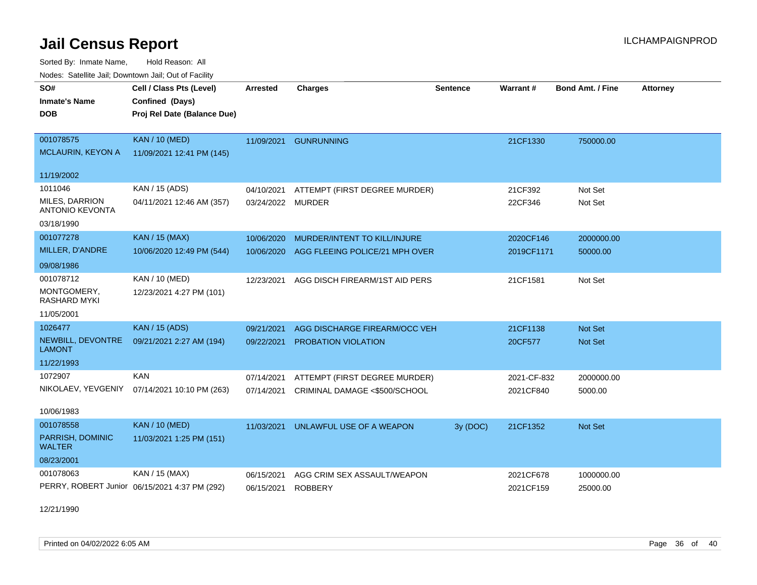Sorted By: Inmate Name, Hold Reason: All Nodes: Satellite Jail; Downtown Jail; Out of Facility

| nouco. Calcinio can, Downlown can, Out of Fabilit |                                               |                 |                                |                 |                 |                         |                 |
|---------------------------------------------------|-----------------------------------------------|-----------------|--------------------------------|-----------------|-----------------|-------------------------|-----------------|
| SO#                                               | Cell / Class Pts (Level)                      | <b>Arrested</b> | <b>Charges</b>                 | <b>Sentence</b> | <b>Warrant#</b> | <b>Bond Amt. / Fine</b> | <b>Attorney</b> |
| <b>Inmate's Name</b>                              | Confined (Days)                               |                 |                                |                 |                 |                         |                 |
| DOB                                               | Proj Rel Date (Balance Due)                   |                 |                                |                 |                 |                         |                 |
|                                                   |                                               |                 |                                |                 |                 |                         |                 |
| 001078575                                         | <b>KAN / 10 (MED)</b>                         | 11/09/2021      | <b>GUNRUNNING</b>              |                 | 21CF1330        | 750000.00               |                 |
| <b>MCLAURIN, KEYON A</b>                          | 11/09/2021 12:41 PM (145)                     |                 |                                |                 |                 |                         |                 |
| 11/19/2002                                        |                                               |                 |                                |                 |                 |                         |                 |
| 1011046                                           | KAN / 15 (ADS)                                | 04/10/2021      | ATTEMPT (FIRST DEGREE MURDER)  |                 | 21CF392         | Not Set                 |                 |
| MILES, DARRION<br><b>ANTONIO KEVONTA</b>          | 04/11/2021 12:46 AM (357)                     | 03/24/2022      | <b>MURDER</b>                  |                 | 22CF346         | Not Set                 |                 |
| 03/18/1990                                        |                                               |                 |                                |                 |                 |                         |                 |
| 001077278                                         | <b>KAN / 15 (MAX)</b>                         | 10/06/2020      | MURDER/INTENT TO KILL/INJURE   |                 | 2020CF146       | 2000000.00              |                 |
| MILLER, D'ANDRE                                   | 10/06/2020 12:49 PM (544)                     | 10/06/2020      | AGG FLEEING POLICE/21 MPH OVER |                 | 2019CF1171      | 50000.00                |                 |
| 09/08/1986                                        |                                               |                 |                                |                 |                 |                         |                 |
| 001078712                                         | KAN / 10 (MED)                                | 12/23/2021      | AGG DISCH FIREARM/1ST AID PERS |                 | 21CF1581        | Not Set                 |                 |
| MONTGOMERY,<br><b>RASHARD MYKI</b>                | 12/23/2021 4:27 PM (101)                      |                 |                                |                 |                 |                         |                 |
| 11/05/2001                                        |                                               |                 |                                |                 |                 |                         |                 |
| 1026477                                           | <b>KAN / 15 (ADS)</b>                         | 09/21/2021      | AGG DISCHARGE FIREARM/OCC VEH  |                 | 21CF1138        | Not Set                 |                 |
| NEWBILL, DEVONTRE<br><b>LAMONT</b>                | 09/21/2021 2:27 AM (194)                      | 09/22/2021      | <b>PROBATION VIOLATION</b>     |                 | 20CF577         | <b>Not Set</b>          |                 |
| 11/22/1993                                        |                                               |                 |                                |                 |                 |                         |                 |
| 1072907                                           | <b>KAN</b>                                    | 07/14/2021      | ATTEMPT (FIRST DEGREE MURDER)  |                 | 2021-CF-832     | 2000000.00              |                 |
| NIKOLAEV, YEVGENIY                                | 07/14/2021 10:10 PM (263)                     | 07/14/2021      | CRIMINAL DAMAGE <\$500/SCHOOL  |                 | 2021CF840       | 5000.00                 |                 |
| 10/06/1983                                        |                                               |                 |                                |                 |                 |                         |                 |
| 001078558                                         | <b>KAN / 10 (MED)</b>                         | 11/03/2021      | UNLAWFUL USE OF A WEAPON       | 3y (DOC)        | 21CF1352        | Not Set                 |                 |
| PARRISH, DOMINIC<br><b>WALTER</b>                 | 11/03/2021 1:25 PM (151)                      |                 |                                |                 |                 |                         |                 |
| 08/23/2001                                        |                                               |                 |                                |                 |                 |                         |                 |
| 001078063                                         | KAN / 15 (MAX)                                | 06/15/2021      | AGG CRIM SEX ASSAULT/WEAPON    |                 | 2021CF678       | 1000000.00              |                 |
|                                                   | PERRY, ROBERT Junior 06/15/2021 4:37 PM (292) | 06/15/2021      | <b>ROBBERY</b>                 |                 | 2021CF159       | 25000.00                |                 |

12/21/1990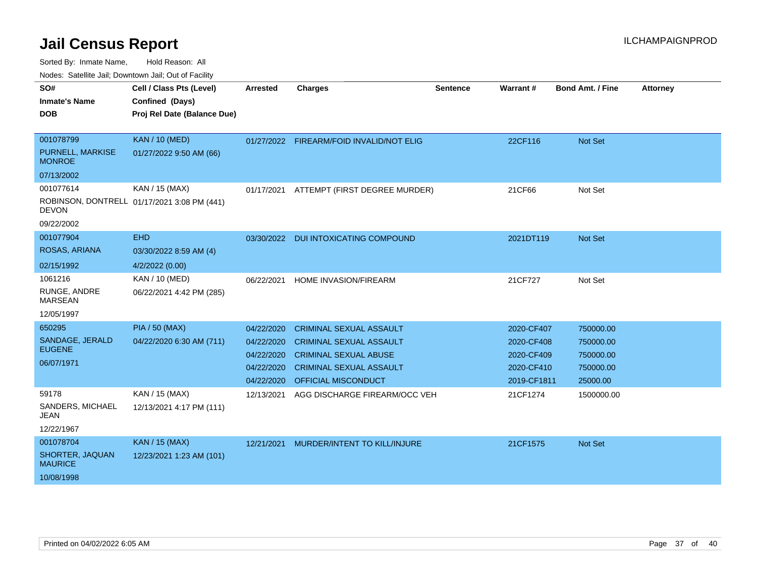Sorted By: Inmate Name, Hold Reason: All

Nodes: Satellite Jail; Downtown Jail; Out of Facility

| SO#<br><b>Inmate's Name</b><br><b>DOB</b>                    | Cell / Class Pts (Level)<br>Confined (Days)<br>Proj Rel Date (Balance Due) | <b>Arrested</b>                                                    | <b>Charges</b>                                                                                                                                                   | <b>Sentence</b> | Warrant#                                                            | <b>Bond Amt. / Fine</b>                                      | <b>Attorney</b> |
|--------------------------------------------------------------|----------------------------------------------------------------------------|--------------------------------------------------------------------|------------------------------------------------------------------------------------------------------------------------------------------------------------------|-----------------|---------------------------------------------------------------------|--------------------------------------------------------------|-----------------|
| 001078799<br>PURNELL, MARKISE<br><b>MONROE</b><br>07/13/2002 | <b>KAN / 10 (MED)</b><br>01/27/2022 9:50 AM (66)                           |                                                                    | 01/27/2022 FIREARM/FOID INVALID/NOT ELIG                                                                                                                         |                 | 22CF116                                                             | Not Set                                                      |                 |
| 001077614<br><b>DEVON</b><br>09/22/2002                      | KAN / 15 (MAX)<br>ROBINSON, DONTRELL 01/17/2021 3:08 PM (441)              | 01/17/2021                                                         | ATTEMPT (FIRST DEGREE MURDER)                                                                                                                                    |                 | 21CF66                                                              | Not Set                                                      |                 |
| 001077904<br>ROSAS, ARIANA<br>02/15/1992                     | <b>EHD</b><br>03/30/2022 8:59 AM (4)<br>4/2/2022 (0.00)                    | 03/30/2022                                                         | <b>DUI INTOXICATING COMPOUND</b>                                                                                                                                 |                 | 2021DT119                                                           | Not Set                                                      |                 |
| 1061216<br>RUNGE, ANDRE<br><b>MARSEAN</b><br>12/05/1997      | KAN / 10 (MED)<br>06/22/2021 4:42 PM (285)                                 | 06/22/2021                                                         | HOME INVASION/FIREARM                                                                                                                                            |                 | 21CF727                                                             | Not Set                                                      |                 |
| 650295<br>SANDAGE, JERALD<br><b>EUGENE</b><br>06/07/1971     | <b>PIA / 50 (MAX)</b><br>04/22/2020 6:30 AM (711)                          | 04/22/2020<br>04/22/2020<br>04/22/2020<br>04/22/2020<br>04/22/2020 | <b>CRIMINAL SEXUAL ASSAULT</b><br><b>CRIMINAL SEXUAL ASSAULT</b><br><b>CRIMINAL SEXUAL ABUSE</b><br><b>CRIMINAL SEXUAL ASSAULT</b><br><b>OFFICIAL MISCONDUCT</b> |                 | 2020-CF407<br>2020-CF408<br>2020-CF409<br>2020-CF410<br>2019-CF1811 | 750000.00<br>750000.00<br>750000.00<br>750000.00<br>25000.00 |                 |
| 59178<br>SANDERS, MICHAEL<br>JEAN<br>12/22/1967              | KAN / 15 (MAX)<br>12/13/2021 4:17 PM (111)                                 | 12/13/2021                                                         | AGG DISCHARGE FIREARM/OCC VEH                                                                                                                                    |                 | 21CF1274                                                            | 1500000.00                                                   |                 |
| 001078704<br>SHORTER, JAQUAN<br><b>MAURICE</b><br>10/08/1998 | <b>KAN / 15 (MAX)</b><br>12/23/2021 1:23 AM (101)                          | 12/21/2021                                                         | MURDER/INTENT TO KILL/INJURE                                                                                                                                     |                 | 21CF1575                                                            | Not Set                                                      |                 |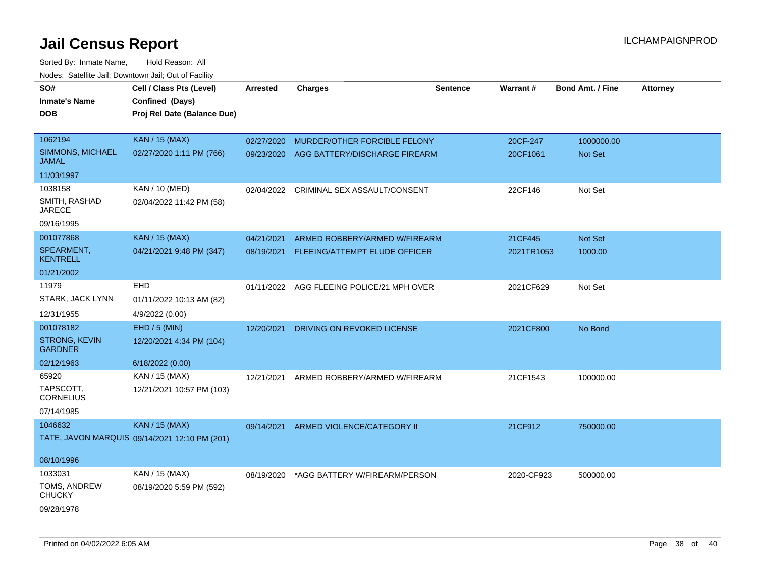| SO#                                     | Cell / Class Pts (Level)                      | <b>Arrested</b> | <b>Charges</b>                            | <b>Sentence</b> | Warrant#   | <b>Bond Amt. / Fine</b> | <b>Attorney</b> |
|-----------------------------------------|-----------------------------------------------|-----------------|-------------------------------------------|-----------------|------------|-------------------------|-----------------|
| <b>Inmate's Name</b>                    | Confined (Days)                               |                 |                                           |                 |            |                         |                 |
| <b>DOB</b>                              | Proj Rel Date (Balance Due)                   |                 |                                           |                 |            |                         |                 |
|                                         |                                               |                 |                                           |                 |            |                         |                 |
| 1062194                                 | <b>KAN / 15 (MAX)</b>                         | 02/27/2020      | MURDER/OTHER FORCIBLE FELONY              |                 | 20CF-247   | 1000000.00              |                 |
| <b>SIMMONS, MICHAEL</b><br><b>JAMAL</b> | 02/27/2020 1:11 PM (766)                      | 09/23/2020      | AGG BATTERY/DISCHARGE FIREARM             |                 | 20CF1061   | <b>Not Set</b>          |                 |
| 11/03/1997                              |                                               |                 |                                           |                 |            |                         |                 |
| 1038158                                 | <b>KAN / 10 (MED)</b>                         | 02/04/2022      | CRIMINAL SEX ASSAULT/CONSENT              |                 | 22CF146    | Not Set                 |                 |
| SMITH, RASHAD<br><b>JARECE</b>          | 02/04/2022 11:42 PM (58)                      |                 |                                           |                 |            |                         |                 |
| 09/16/1995                              |                                               |                 |                                           |                 |            |                         |                 |
| 001077868                               | <b>KAN</b> / 15 (MAX)                         | 04/21/2021      | ARMED ROBBERY/ARMED W/FIREARM             |                 | 21CF445    | Not Set                 |                 |
| SPEARMENT,<br><b>KENTRELL</b>           | 04/21/2021 9:48 PM (347)                      | 08/19/2021      | FLEEING/ATTEMPT ELUDE OFFICER             |                 | 2021TR1053 | 1000.00                 |                 |
| 01/21/2002                              |                                               |                 |                                           |                 |            |                         |                 |
| 11979                                   | EHD                                           |                 | 01/11/2022 AGG FLEEING POLICE/21 MPH OVER |                 | 2021CF629  | Not Set                 |                 |
| STARK, JACK LYNN                        | 01/11/2022 10:13 AM (82)                      |                 |                                           |                 |            |                         |                 |
| 12/31/1955                              | 4/9/2022 (0.00)                               |                 |                                           |                 |            |                         |                 |
| 001078182                               | EHD / 5 (MIN)                                 | 12/20/2021      | DRIVING ON REVOKED LICENSE                |                 | 2021CF800  | No Bond                 |                 |
| <b>STRONG, KEVIN</b>                    |                                               |                 |                                           |                 |            |                         |                 |
| <b>GARDNER</b>                          | 12/20/2021 4:34 PM (104)                      |                 |                                           |                 |            |                         |                 |
| 02/12/1963                              | 6/18/2022 (0.00)                              |                 |                                           |                 |            |                         |                 |
| 65920                                   | KAN / 15 (MAX)                                | 12/21/2021      | ARMED ROBBERY/ARMED W/FIREARM             |                 | 21CF1543   | 100000.00               |                 |
| TAPSCOTT,<br><b>CORNELIUS</b>           | 12/21/2021 10:57 PM (103)                     |                 |                                           |                 |            |                         |                 |
| 07/14/1985                              |                                               |                 |                                           |                 |            |                         |                 |
| 1046632                                 | <b>KAN / 15 (MAX)</b>                         | 09/14/2021      | ARMED VIOLENCE/CATEGORY II                |                 | 21CF912    | 750000.00               |                 |
|                                         | TATE, JAVON MARQUIS 09/14/2021 12:10 PM (201) |                 |                                           |                 |            |                         |                 |
|                                         |                                               |                 |                                           |                 |            |                         |                 |
| 08/10/1996                              |                                               |                 |                                           |                 |            |                         |                 |
| 1033031                                 | KAN / 15 (MAX)                                | 08/19/2020      | *AGG BATTERY W/FIREARM/PERSON             |                 | 2020-CF923 | 500000.00               |                 |
| TOMS, ANDREW<br><b>CHUCKY</b>           | 08/19/2020 5:59 PM (592)                      |                 |                                           |                 |            |                         |                 |
| 09/28/1978                              |                                               |                 |                                           |                 |            |                         |                 |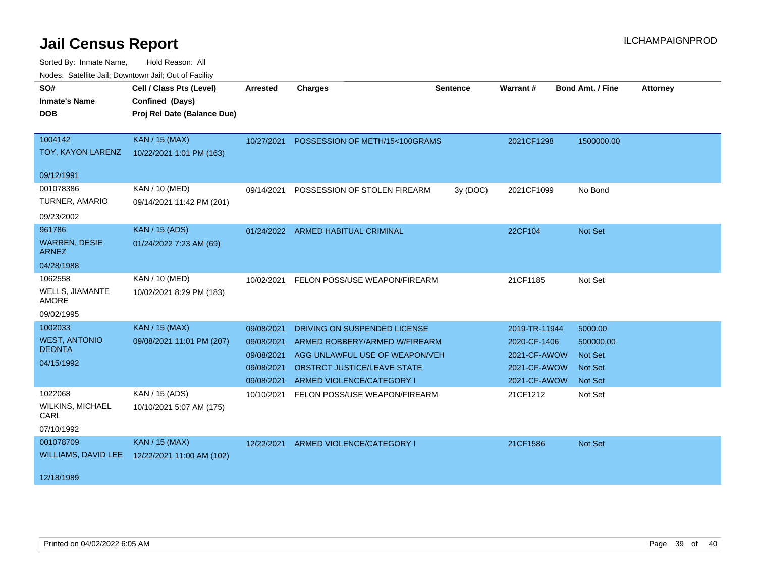| SO#                                  | Cell / Class Pts (Level)    | <b>Arrested</b> | <b>Charges</b>                       | <b>Sentence</b> | <b>Warrant#</b> | <b>Bond Amt. / Fine</b> | <b>Attorney</b> |
|--------------------------------------|-----------------------------|-----------------|--------------------------------------|-----------------|-----------------|-------------------------|-----------------|
| <b>Inmate's Name</b>                 | Confined (Days)             |                 |                                      |                 |                 |                         |                 |
| <b>DOB</b>                           | Proj Rel Date (Balance Due) |                 |                                      |                 |                 |                         |                 |
|                                      |                             |                 |                                      |                 |                 |                         |                 |
| 1004142                              | <b>KAN / 15 (MAX)</b>       | 10/27/2021      | POSSESSION OF METH/15<100GRAMS       |                 | 2021CF1298      | 1500000.00              |                 |
| TOY, KAYON LARENZ                    | 10/22/2021 1:01 PM (163)    |                 |                                      |                 |                 |                         |                 |
| 09/12/1991                           |                             |                 |                                      |                 |                 |                         |                 |
| 001078386                            | KAN / 10 (MED)              | 09/14/2021      | POSSESSION OF STOLEN FIREARM         | 3y (DOC)        | 2021CF1099      | No Bond                 |                 |
| TURNER, AMARIO                       | 09/14/2021 11:42 PM (201)   |                 |                                      |                 |                 |                         |                 |
| 09/23/2002                           |                             |                 |                                      |                 |                 |                         |                 |
| 961786                               | <b>KAN / 15 (ADS)</b>       |                 | 01/24/2022 ARMED HABITUAL CRIMINAL   |                 | 22CF104         | Not Set                 |                 |
| <b>WARREN, DESIE</b><br><b>ARNEZ</b> | 01/24/2022 7:23 AM (69)     |                 |                                      |                 |                 |                         |                 |
| 04/28/1988                           |                             |                 |                                      |                 |                 |                         |                 |
| 1062558                              | KAN / 10 (MED)              | 10/02/2021      | FELON POSS/USE WEAPON/FIREARM        |                 | 21CF1185        | Not Set                 |                 |
| WELLS, JIAMANTE<br><b>AMORE</b>      | 10/02/2021 8:29 PM (183)    |                 |                                      |                 |                 |                         |                 |
| 09/02/1995                           |                             |                 |                                      |                 |                 |                         |                 |
| 1002033                              | <b>KAN / 15 (MAX)</b>       | 09/08/2021      | DRIVING ON SUSPENDED LICENSE         |                 | 2019-TR-11944   | 5000.00                 |                 |
| <b>WEST, ANTONIO</b>                 | 09/08/2021 11:01 PM (207)   | 09/08/2021      | ARMED ROBBERY/ARMED W/FIREARM        |                 | 2020-CF-1406    | 500000.00               |                 |
| <b>DEONTA</b>                        |                             | 09/08/2021      | AGG UNLAWFUL USE OF WEAPON/VEH       |                 | 2021-CF-AWOW    | <b>Not Set</b>          |                 |
| 04/15/1992                           |                             | 09/08/2021      | OBSTRCT JUSTICE/LEAVE STATE          |                 | 2021-CF-AWOW    | <b>Not Set</b>          |                 |
|                                      |                             | 09/08/2021      | ARMED VIOLENCE/CATEGORY I            |                 | 2021-CF-AWOW    | Not Set                 |                 |
| 1022068                              | KAN / 15 (ADS)              | 10/10/2021      | FELON POSS/USE WEAPON/FIREARM        |                 | 21CF1212        | Not Set                 |                 |
| <b>WILKINS, MICHAEL</b><br>CARL      | 10/10/2021 5:07 AM (175)    |                 |                                      |                 |                 |                         |                 |
| 07/10/1992                           |                             |                 |                                      |                 |                 |                         |                 |
| 001078709                            | <b>KAN / 15 (MAX)</b>       |                 | 12/22/2021 ARMED VIOLENCE/CATEGORY I |                 | 21CF1586        | <b>Not Set</b>          |                 |
| <b>WILLIAMS, DAVID LEE</b>           | 12/22/2021 11:00 AM (102)   |                 |                                      |                 |                 |                         |                 |
| 12/18/1989                           |                             |                 |                                      |                 |                 |                         |                 |